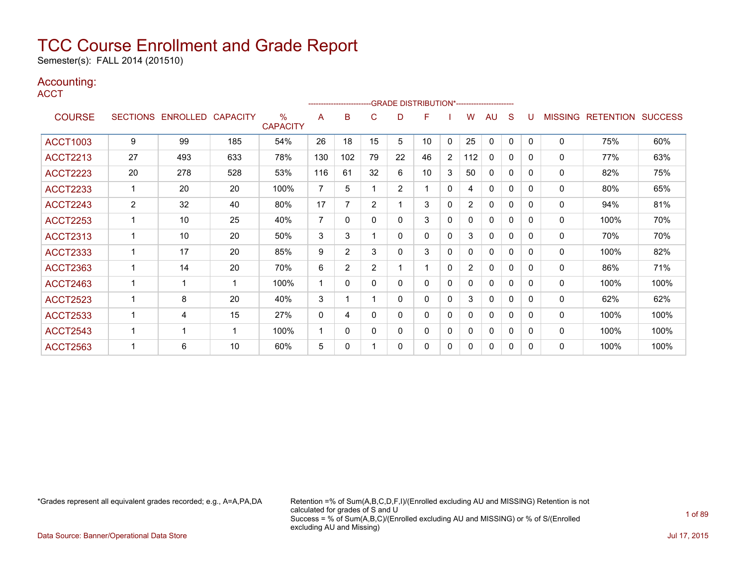Semester(s): FALL 2014 (201510)

### Accounting:

**ACCT** 

|                 |                |                            |     |                         |                | ------------------------ |                |              | -GRADE DISTRIBUTION*----------------------- |                |                |              |          |          |                |                          |      |
|-----------------|----------------|----------------------------|-----|-------------------------|----------------|--------------------------|----------------|--------------|---------------------------------------------|----------------|----------------|--------------|----------|----------|----------------|--------------------------|------|
| <b>COURSE</b>   |                | SECTIONS ENROLLED CAPACITY |     | $\%$<br><b>CAPACITY</b> | A              | B                        | C              | D            | F                                           |                | W              | <b>AU</b>    | S        |          | <b>MISSING</b> | <b>RETENTION SUCCESS</b> |      |
| <b>ACCT1003</b> | 9              | 99                         | 185 | 54%                     | 26             | 18                       | 15             | 5            | 10                                          | 0              | 25             | 0            | 0        | $\Omega$ | 0              | 75%                      | 60%  |
| <b>ACCT2213</b> | 27             | 493                        | 633 | 78%                     | 130            | 102                      | 79             | 22           | 46                                          | $\overline{2}$ | 112            | $\mathbf{0}$ | $\Omega$ | $\Omega$ | 0              | 77%                      | 63%  |
| <b>ACCT2223</b> | 20             | 278                        | 528 | 53%                     | 116            | 61                       | 32             | 6            | 10                                          | 3              | 50             | $\mathbf{0}$ | $\Omega$ | 0        | 0              | 82%                      | 75%  |
| <b>ACCT2233</b> | 1              | 20                         | 20  | 100%                    | $\overline{7}$ | 5                        |                | 2            |                                             | $\mathbf{0}$   | 4              | $\mathbf{0}$ | 0        | 0        | 0              | 80%                      | 65%  |
| <b>ACCT2243</b> | $\overline{2}$ | 32                         | 40  | 80%                     | 17             | 7                        | 2              |              | 3                                           | $\mathbf{0}$   | $\overline{2}$ | $\mathbf{0}$ | 0        | 0        | 0              | 94%                      | 81%  |
| <b>ACCT2253</b> | $\mathbf{1}$   | 10                         | 25  | 40%                     | $\overline{7}$ | 0                        | $\mathbf 0$    | 0            | 3                                           | 0              | 0              | $\mathbf{0}$ | 0        | 0        | 0              | 100%                     | 70%  |
| <b>ACCT2313</b> | 1              | 10                         | 20  | 50%                     | 3              | 3                        |                | $\mathbf{0}$ | $\Omega$                                    | $\mathbf{0}$   | 3              | $\mathbf{0}$ | $\Omega$ | 0        | 0              | 70%                      | 70%  |
| <b>ACCT2333</b> | 1              | 17                         | 20  | 85%                     | 9              | $\overline{2}$           | 3              | $\Omega$     | 3                                           | $\mathbf{0}$   | 0              | $\Omega$     | $\Omega$ | 0        | 0              | 100%                     | 82%  |
| <b>ACCT2363</b> |                | 14                         | 20  | 70%                     | 6              | $\overline{2}$           | $\overline{2}$ |              |                                             | $\mathbf{0}$   | $\overline{2}$ | $\Omega$     | $\Omega$ | $\Omega$ | 0              | 86%                      | 71%  |
| <b>ACCT2463</b> | 1              | $\mathbf 1$                | 1   | 100%                    | 1              | $\Omega$                 | 0              | $\Omega$     | $\mathbf{0}$                                | $\mathbf{0}$   | 0              | $\mathbf{0}$ | $\Omega$ | 0        | 0              | 100%                     | 100% |
| <b>ACCT2523</b> |                | 8                          | 20  | 40%                     | 3              |                          |                | $\Omega$     | 0                                           | $\mathbf{0}$   | 3              | $\mathbf{0}$ | 0        | 0        | $\mathbf{0}$   | 62%                      | 62%  |
| <b>ACCT2533</b> | 1              | 4                          | 15  | 27%                     | $\Omega$       | 4                        | $\mathbf 0$    | $\mathbf{0}$ | $\mathbf{0}$                                | $\mathbf{0}$   | 0              | $\mathbf{0}$ | $\Omega$ | 0        | 0              | 100%                     | 100% |
| <b>ACCT2543</b> | 1              | 1                          | 1   | 100%                    | 1              | $\Omega$                 | $\mathbf 0$    | $\Omega$     | $\Omega$                                    | $\mathbf{0}$   | 0              | $\mathbf{0}$ | 0        | 0        | $\mathbf{0}$   | 100%                     | 100% |
| <b>ACCT2563</b> |                | 6                          | 10  | 60%                     | 5              | $\Omega$                 |                | $\mathbf{0}$ | $\Omega$                                    | 0              | $\Omega$       | $\mathbf{0}$ | 0        | $\Omega$ | $\mathbf{0}$   | 100%                     | 100% |

\*Grades represent all equivalent grades recorded; e.g., A=A,PA,DA Retention =% of Sum(A,B,C,D,F,I)/(Enrolled excluding AU and MISSING) Retention is not calculated for grades of S and U Success = % of Sum(A,B,C)/(Enrolled excluding AU and MISSING) or % of S/(Enrolled excluding AU and Missing)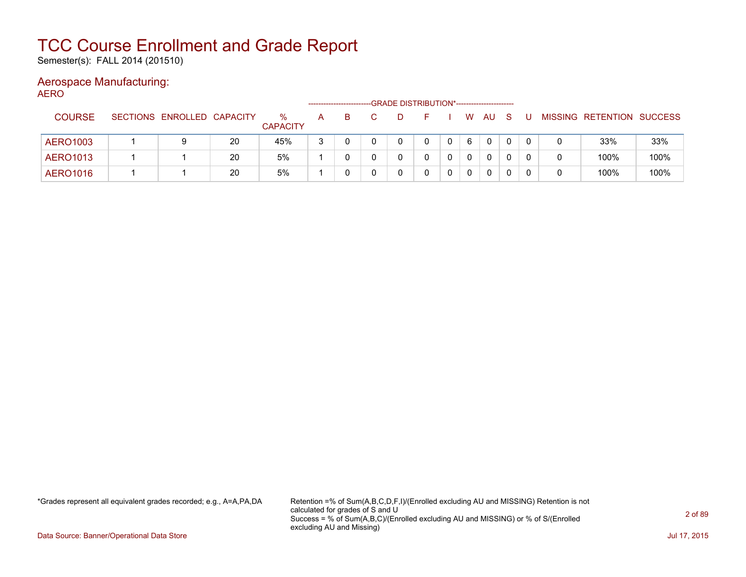Semester(s): FALL 2014 (201510)

### Aerospace Manufacturing:

AERO

|                 |                            |    |                      |   |   |  | -GRADE DISTRIBUTION*----------------------- |          |    |              |  |                   |                |
|-----------------|----------------------------|----|----------------------|---|---|--|---------------------------------------------|----------|----|--------------|--|-------------------|----------------|
| <b>COURSE</b>   | SECTIONS ENROLLED CAPACITY |    | ℅<br><b>CAPACITY</b> | А | B |  |                                             | W        | AU |              |  | MISSING RETENTION | <b>SUCCESS</b> |
| AERO1003        | 9                          | 20 | 45%                  | 3 |   |  |                                             | 6        | 0  | $\Omega$     |  | 33%               | 33%            |
| AERO1013        |                            | 20 | 5%                   |   |   |  |                                             | $\Omega$ | 0  | $\mathbf{0}$ |  | 100%              | 100%           |
| <b>AERO1016</b> |                            | 20 | 5%                   |   |   |  |                                             | 0        | 0  |              |  | 100%              | 100%           |

\*Grades represent all equivalent grades recorded; e.g., A=A,PA,DA Retention =% of Sum(A,B,C,D,F,I)/(Enrolled excluding AU and MISSING) Retention is not calculated for grades of S and U Success = % of Sum(A,B,C)/(Enrolled excluding AU and MISSING) or % of S/(Enrolled excluding AU and Missing)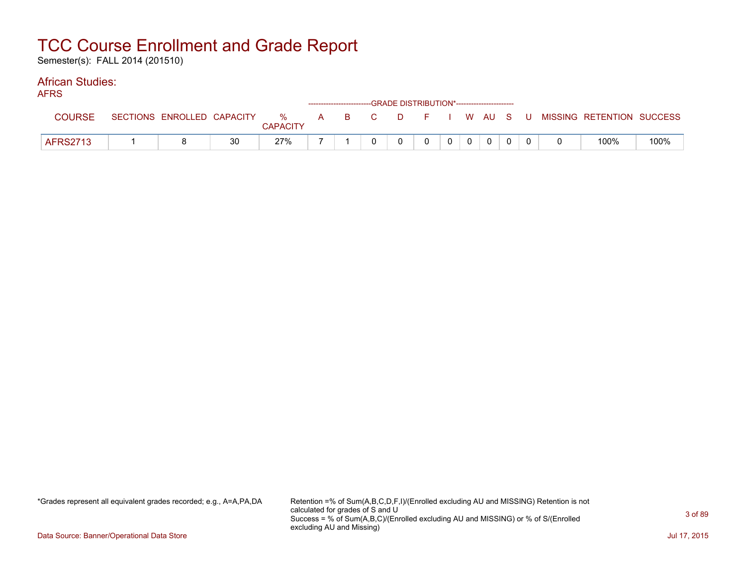Semester(s): FALL 2014 (201510)

#### African Studies: AFRS

| AFNO            |                            |    |                         |  |          | ------------------------GRADE DISTRIBUTION*----------------------- |                |          |             |  |                                                |      |
|-----------------|----------------------------|----|-------------------------|--|----------|--------------------------------------------------------------------|----------------|----------|-------------|--|------------------------------------------------|------|
| <b>COURSE</b>   | SECTIONS ENROLLED CAPACITY |    | $\%$<br><b>CAPACITY</b> |  |          |                                                                    |                |          |             |  | A B C D F I W AU S U MISSING RETENTION SUCCESS |      |
| <b>AFRS2713</b> |                            | 30 | 27%                     |  | $\Omega$ | 0                                                                  | 0 <sup>1</sup> | $\Omega$ | $\mathbf 0$ |  | 100%                                           | 100% |

\*Grades represent all equivalent grades recorded; e.g., A=A,PA,DA Retention =% of Sum(A,B,C,D,F,I)/(Enrolled excluding AU and MISSING) Retention is not calculated for grades of S and U Success = % of Sum(A,B,C)/(Enrolled excluding AU and MISSING) or % of S/(Enrolled excluding AU and Missing)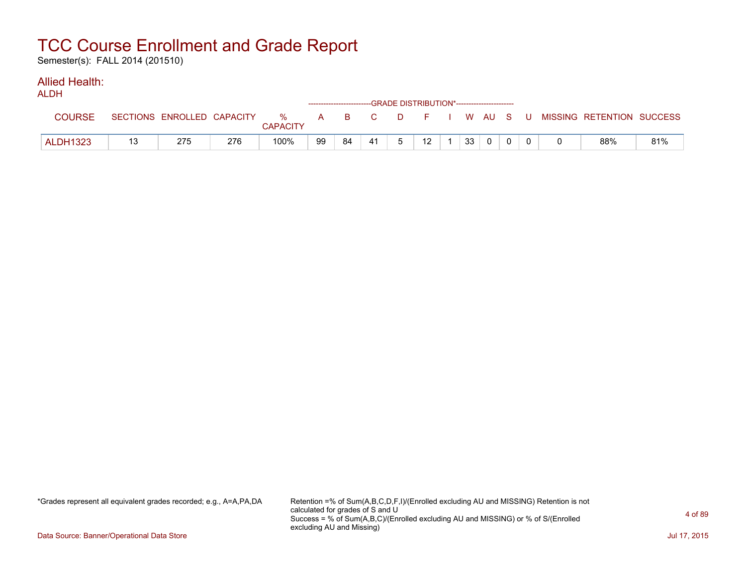Semester(s): FALL 2014 (201510)

#### Allied Health: ALDH<sub>1</sub>

| ALDN            |                            |     |                      |    |       |    |        | ------------------------GRADE DISTRIBUTION*----------------------- |    |          |  |                           |     |
|-----------------|----------------------------|-----|----------------------|----|-------|----|--------|--------------------------------------------------------------------|----|----------|--|---------------------------|-----|
| <b>COURSE</b>   | SECTIONS ENROLLED CAPACITY |     | %<br><b>CAPACITY</b> |    | A B C |    | $\Box$ | F I WAUSU                                                          |    |          |  | MISSING RETENTION SUCCESS |     |
| <b>ALDH1323</b> | 275                        | 276 | 100%                 | 99 | 84    | 41 | Б.     | 12 <sup>°</sup>                                                    | 33 | $\Omega$ |  | 88%                       | 81% |

\*Grades represent all equivalent grades recorded; e.g., A=A,PA,DA Retention =% of Sum(A,B,C,D,F,I)/(Enrolled excluding AU and MISSING) Retention is not calculated for grades of S and U Success = % of Sum(A,B,C)/(Enrolled excluding AU and MISSING) or % of S/(Enrolled excluding AU and Missing)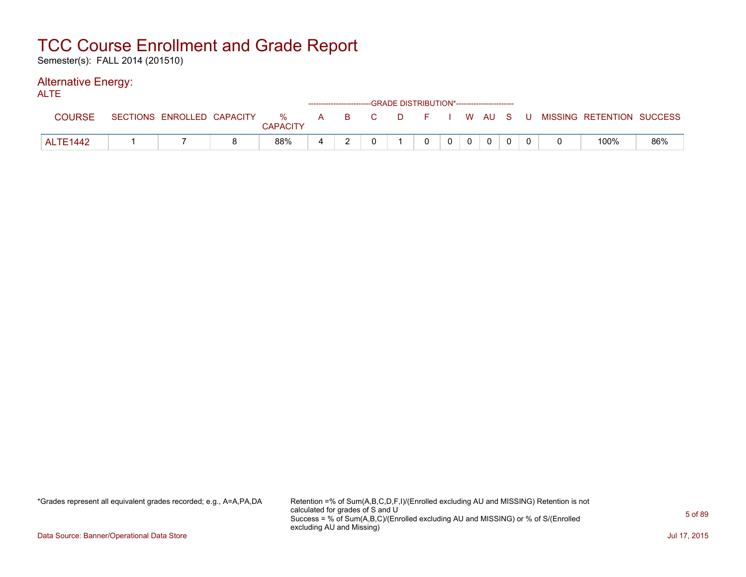Semester(s): FALL 2014 (201510)

#### Alternative Energy: ALTE

| 82 I C   |                            |                 |  |  | ------------------------GRADE DISTRIBUTION*----------------------- |                |                |          |  |                                                  |     |
|----------|----------------------------|-----------------|--|--|--------------------------------------------------------------------|----------------|----------------|----------|--|--------------------------------------------------|-----|
| COURSE   | SECTIONS ENROLLED CAPACITY | <b>CAPACITY</b> |  |  |                                                                    |                |                |          |  | % A B C D F I W AU S U MISSING—RETENTION SUCCESS |     |
| ALTE1442 |                            | 88%             |  |  | $\Omega$                                                           | 0 <sup>1</sup> | $\overline{0}$ | $\Omega$ |  | 100%                                             | 86% |

\*Grades represent all equivalent grades recorded; e.g., A=A,PA,DA Retention =% of Sum(A,B,C,D,F,I)/(Enrolled excluding AU and MISSING) Retention is not calculated for grades of S and U Success = % of Sum(A,B,C)/(Enrolled excluding AU and MISSING) or % of S/(Enrolled excluding AU and Missing)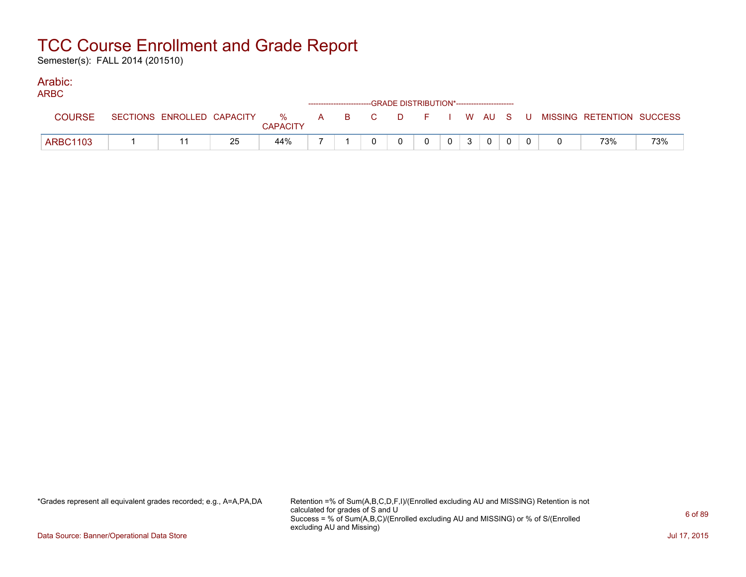Semester(s): FALL 2014 (201510)

### Arabic:

| <b>ARBC</b>     |                              |    |                 |  | ------------------------GRADE DISTRIBUTION*----------------------- |  |              |          |  |                                                |     |
|-----------------|------------------------------|----|-----------------|--|--------------------------------------------------------------------|--|--------------|----------|--|------------------------------------------------|-----|
| <b>COURSE</b>   | SECTIONS ENROLLED CAPACITY % |    | <b>CAPACITY</b> |  |                                                                    |  |              |          |  | A B C D F I W AU S U MISSING—RETENTION SUCCESS |     |
| <b>ARBC1103</b> |                              | 25 | 44%             |  |                                                                    |  | $\mathbf{3}$ | $\Omega$ |  | 73%                                            | 73% |

\*Grades represent all equivalent grades recorded; e.g., A=A,PA,DA Retention =% of Sum(A,B,C,D,F,I)/(Enrolled excluding AU and MISSING) Retention is not calculated for grades of S and U Success = % of Sum(A,B,C)/(Enrolled excluding AU and MISSING) or % of S/(Enrolled excluding AU and Missing)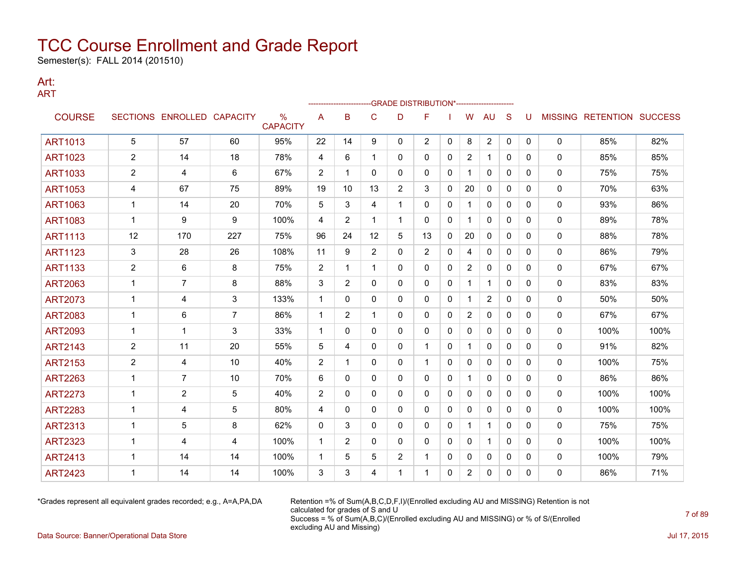Semester(s): FALL 2014 (201510)

#### Art: ART

|                |                |                            |     |                                  |                |                |                | -GRADE DISTRIBUTION*---------------------- |                |              |                |                |              |          |              |                           |      |
|----------------|----------------|----------------------------|-----|----------------------------------|----------------|----------------|----------------|--------------------------------------------|----------------|--------------|----------------|----------------|--------------|----------|--------------|---------------------------|------|
| <b>COURSE</b>  |                | SECTIONS ENROLLED CAPACITY |     | $\frac{0}{0}$<br><b>CAPACITY</b> | Α              | B              | $\mathsf{C}$   | D                                          | F              |              | W              | AU             | S            | U        |              | MISSING RETENTION SUCCESS |      |
| <b>ART1013</b> | 5              | 57                         | 60  | 95%                              | 22             | 14             | 9              | 0                                          | $\overline{2}$ | 0            | 8              | $\overline{2}$ | 0            | 0        | 0            | 85%                       | 82%  |
| <b>ART1023</b> | $\overline{2}$ | 14                         | 18  | 78%                              | 4              | 6              | 1              | 0                                          | $\mathbf{0}$   | $\mathbf{0}$ | $\overline{2}$ | $\mathbf 1$    | $\mathbf{0}$ | 0        | 0            | 85%                       | 85%  |
| <b>ART1033</b> | 2              | 4                          | 6   | 67%                              | $\overline{2}$ | 1              | 0              | 0                                          | 0              | $\mathbf{0}$ |                | $\mathbf{0}$   | $\mathbf{0}$ | 0        | 0            | 75%                       | 75%  |
| <b>ART1053</b> | 4              | 67                         | 75  | 89%                              | 19             | 10             | 13             | 2                                          | 3              | 0            | 20             | 0              | $\mathbf{0}$ | 0        | 0            | 70%                       | 63%  |
| <b>ART1063</b> | 1              | 14                         | 20  | 70%                              | 5              | 3              | 4              | 1                                          | 0              | 0            | 1              | 0              | 0            | 0        | 0            | 93%                       | 86%  |
| <b>ART1083</b> | 1              | 9                          | 9   | 100%                             | 4              | 2              | 1              | $\mathbf{1}$                               | $\mathbf{0}$   | $\mathbf{0}$ | 1              | $\mathbf{0}$   | $\mathbf{0}$ | 0        | $\mathbf{0}$ | 89%                       | 78%  |
| <b>ART1113</b> | 12             | 170                        | 227 | 75%                              | 96             | 24             | 12             | 5                                          | 13             | $\mathbf{0}$ | 20             | $\mathbf{0}$   | $\mathbf{0}$ | 0        | 0            | 88%                       | 78%  |
| <b>ART1123</b> | 3              | 28                         | 26  | 108%                             | 11             | 9              | $\overline{2}$ | 0                                          | $\overline{2}$ | $\mathbf{0}$ | 4              | $\mathbf{0}$   | $\Omega$     | 0        | 0            | 86%                       | 79%  |
| <b>ART1133</b> | $\overline{2}$ | 6                          | 8   | 75%                              | $\overline{2}$ | -1             | 1              | 0                                          | 0              | 0            | $\overline{2}$ | 0              | $\mathbf{0}$ | 0        | 0            | 67%                       | 67%  |
| <b>ART2063</b> | 1              | 7                          | 8   | 88%                              | 3              | 2              | 0              | 0                                          | 0              | $\mathbf{0}$ |                | $\mathbf 1$    | $\mathbf{0}$ | $\Omega$ | 0            | 83%                       | 83%  |
| <b>ART2073</b> | -1             | 4                          | 3   | 133%                             | 1              | $\Omega$       | $\Omega$       | 0                                          | $\mathbf{0}$   | $\mathbf{0}$ |                | $\overline{2}$ | $\mathbf{0}$ | $\Omega$ | 0            | 50%                       | 50%  |
| <b>ART2083</b> | -1             | 6                          | 7   | 86%                              | 1              | 2              | 1              | 0                                          | 0              | $\mathbf{0}$ | $\overline{2}$ | $\mathbf{0}$   | $\mathbf{0}$ | 0        | 0            | 67%                       | 67%  |
| <b>ART2093</b> | 1              | 1                          | 3   | 33%                              | 1              | $\mathbf{0}$   | $\mathbf{0}$   | 0                                          | 0              | 0            | 0              | 0              | $\mathbf{0}$ | 0        | 0            | 100%                      | 100% |
| <b>ART2143</b> | $\overline{2}$ | 11                         | 20  | 55%                              | 5              | 4              | 0              | 0                                          | $\mathbf 1$    | 0            | $\mathbf{1}$   | 0              | 0            | 0        | 0            | 91%                       | 82%  |
| <b>ART2153</b> | 2              | 4                          | 10  | 40%                              | $\overline{2}$ | $\overline{1}$ | $\Omega$       | $\Omega$                                   | $\mathbf 1$    | $\Omega$     | $\Omega$       | $\mathbf{0}$   | $\Omega$     | $\Omega$ | 0            | 100%                      | 75%  |
| <b>ART2263</b> | -1             | 7                          | 10  | 70%                              | 6              | $\mathbf{0}$   | 0              | 0                                          | 0              | 0            | 1              | $\mathbf{0}$   | $\mathbf{0}$ | 0        | 0            | 86%                       | 86%  |
| <b>ART2273</b> | $\mathbf 1$    | $\overline{2}$             | 5   | 40%                              | $\overline{2}$ | $\Omega$       | $\Omega$       | 0                                          | $\Omega$       | $\mathbf{0}$ | $\mathbf{0}$   | $\mathbf{0}$   | $\mathbf{0}$ | $\Omega$ | 0            | 100%                      | 100% |
| <b>ART2283</b> | 1              | 4                          | 5   | 80%                              | 4              | 0              | 0              | 0                                          | 0              | 0            | 0              | 0              | $\mathbf{0}$ | 0        | 0            | 100%                      | 100% |
| <b>ART2313</b> | 1              | 5                          | 8   | 62%                              | $\mathbf{0}$   | 3              | 0              | 0                                          | 0              | $\mathbf{0}$ |                | $\mathbf 1$    | $\mathbf{0}$ | $\Omega$ | 0            | 75%                       | 75%  |
| <b>ART2323</b> | 1              | 4                          | 4   | 100%                             | 1              | $\overline{2}$ | 0              | 0                                          | $\mathbf{0}$   | $\mathbf{0}$ | 0              | 1              | $\mathbf{0}$ | 0        | 0            | 100%                      | 100% |
| ART2413        | -1             | 14                         | 14  | 100%                             | 1              | 5              | 5              | 2                                          | 1              | 0            | 0              | 0              | $\mathbf{0}$ | 0        | 0            | 100%                      | 79%  |
| <b>ART2423</b> | 1              | 14                         | 14  | 100%                             | 3              | 3              | 4              | 1                                          | 1              | 0            | $\overline{2}$ | 0              | $\mathbf{0}$ | 0        | $\mathbf{0}$ | 86%                       | 71%  |

\*Grades represent all equivalent grades recorded; e.g., A=A,PA,DA Retention =% of Sum(A,B,C,D,F,I)/(Enrolled excluding AU and MISSING) Retention is not calculated for grades of S and U Success = % of Sum(A,B,C)/(Enrolled excluding AU and MISSING) or % of S/(Enrolled excluding AU and Missing)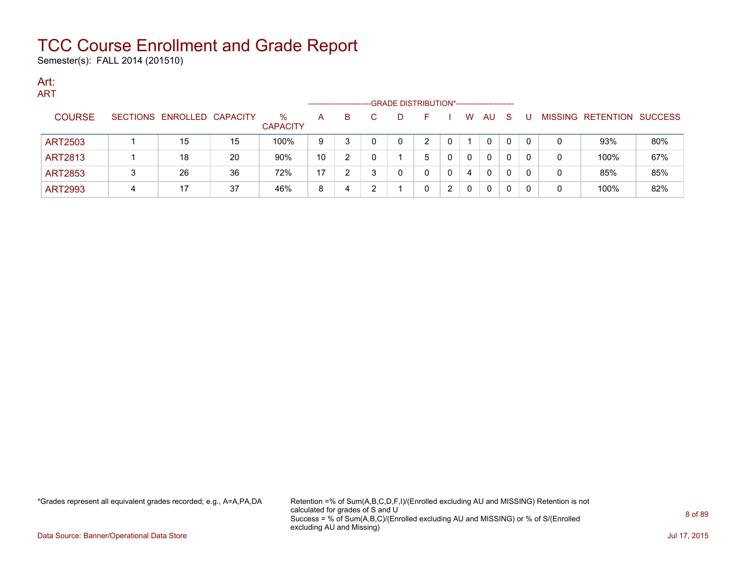Semester(s): FALL 2014 (201510)

#### Art: ART

| . |                |                            |    |                      | ------------------- |    | -GRADE DISTRIBUTION*----------------------- |   |   |   |     |              |  |                           |     |
|---|----------------|----------------------------|----|----------------------|---------------------|----|---------------------------------------------|---|---|---|-----|--------------|--|---------------------------|-----|
|   | <b>COURSE</b>  | SECTIONS ENROLLED CAPACITY |    | %<br><b>CAPACITY</b> | A                   | B. | D                                           |   |   | W | AU. | <sub>S</sub> |  | MISSING RETENTION SUCCESS |     |
|   | <b>ART2503</b> | 15                         | 15 | 100%                 | 9                   |    |                                             | ⌒ |   |   | 0   | 0            |  | 93%                       | 80% |
|   | <b>ART2813</b> | 18                         | 20 | 90%                  | 10                  |    |                                             | 5 |   | 0 | 0   | 0            |  | 100%                      | 67% |
|   | <b>ART2853</b> | 26                         | 36 | 72%                  | 17                  |    |                                             |   |   | 4 | 0   | 0            |  | 85%                       | 85% |
|   | <b>ART2993</b> | 17                         | 37 | 46%                  | 8                   | 4  |                                             |   | າ | 0 | 0   | 0            |  | 100%                      | 82% |

\*Grades represent all equivalent grades recorded; e.g., A=A,PA,DA Retention =% of Sum(A,B,C,D,F,I)/(Enrolled excluding AU and MISSING) Retention is not calculated for grades of S and U Success = % of Sum(A,B,C)/(Enrolled excluding AU and MISSING) or % of S/(Enrolled excluding AU and Missing)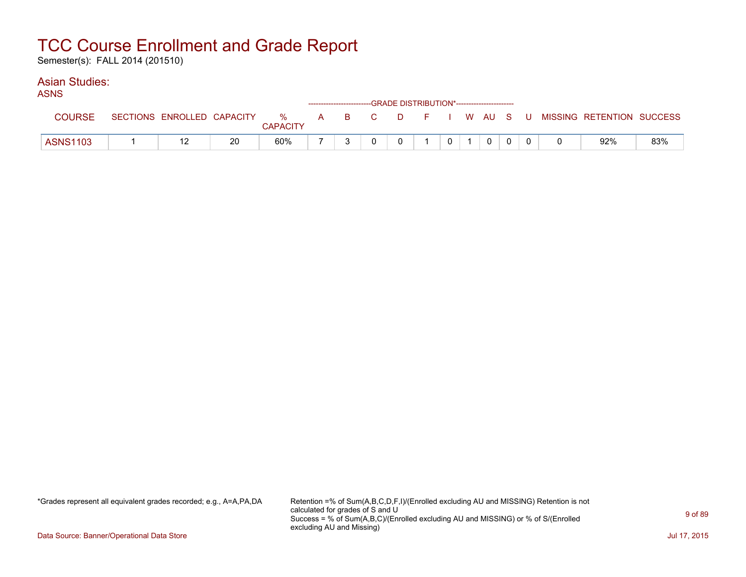Semester(s): FALL 2014 (201510)

#### Asian Studies: ASNS

| AƏNƏ            |                            |    |                      |  |  | ------------------------GRADE DISTRIBUTION*----------------------- |                |             |  |                                                |     |
|-----------------|----------------------------|----|----------------------|--|--|--------------------------------------------------------------------|----------------|-------------|--|------------------------------------------------|-----|
| <b>COURSE</b>   | SECTIONS ENROLLED CAPACITY |    | %<br><b>CAPACITY</b> |  |  |                                                                    |                |             |  | A B C D F I W AU S U MISSING RETENTION SUCCESS |     |
| <b>ASNS1103</b> |                            | 20 | 60%                  |  |  |                                                                    | $\overline{0}$ | $\mathbf 0$ |  | 92%                                            | 83% |

\*Grades represent all equivalent grades recorded; e.g., A=A,PA,DA Retention =% of Sum(A,B,C,D,F,I)/(Enrolled excluding AU and MISSING) Retention is not calculated for grades of S and U Success = % of Sum(A,B,C)/(Enrolled excluding AU and MISSING) or % of S/(Enrolled excluding AU and Missing)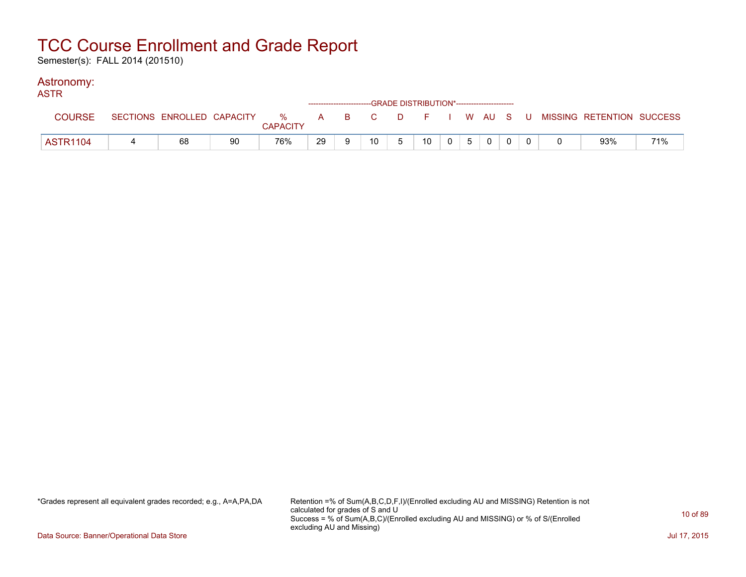Semester(s): FALL 2014 (201510)

### Astronomy:

| <b>ASTR</b>     |    |    |                 |    | ------------------------GRADE DISTRIBUTION*----------------------- |   |                 |                                                             |             |  |                                                                             |     |
|-----------------|----|----|-----------------|----|--------------------------------------------------------------------|---|-----------------|-------------------------------------------------------------|-------------|--|-----------------------------------------------------------------------------|-----|
| <b>COURSE</b>   |    |    | <b>CAPACITY</b> |    |                                                                    |   |                 |                                                             |             |  | SECTIONS ENROLLED CAPACITY % A B C D F I W AU S U MISSING RETENTION SUCCESS |     |
| <b>ASTR1104</b> | 68 | 90 | 76%             | 29 | 10 <sup>1</sup>                                                    | 5 | 10 <sub>1</sub> | $\begin{array}{ c c c } \hline 0 & 5 \\ \hline \end{array}$ | $\mathbf 0$ |  | 93%                                                                         | 71% |

\*Grades represent all equivalent grades recorded; e.g., A=A,PA,DA Retention =% of Sum(A,B,C,D,F,I)/(Enrolled excluding AU and MISSING) Retention is not calculated for grades of S and U Success = % of Sum(A,B,C)/(Enrolled excluding AU and MISSING) or % of S/(Enrolled excluding AU and Missing)

Data Source: Banner/Operational Data Store Jul 17, 2015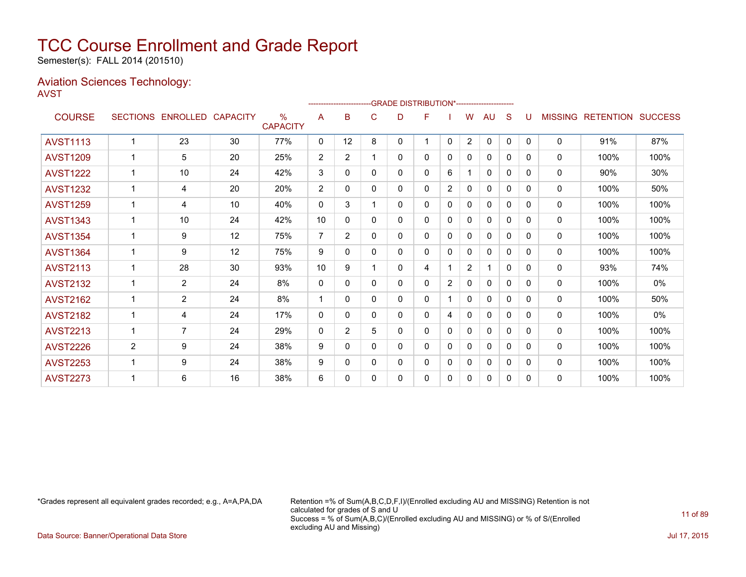Semester(s): FALL 2014 (201510)

### Aviation Sciences Technology: AVST

|                 |   |                            |    |                                  |              |                |              |   | ------------------------GRADE                DISTRIBUTION*---------------------- |                |                |              |          |              |                |                          |      |
|-----------------|---|----------------------------|----|----------------------------------|--------------|----------------|--------------|---|----------------------------------------------------------------------------------|----------------|----------------|--------------|----------|--------------|----------------|--------------------------|------|
| <b>COURSE</b>   |   | SECTIONS ENROLLED CAPACITY |    | $\frac{0}{0}$<br><b>CAPACITY</b> | A            | в              | C            | D | F                                                                                |                | W              | AU           | S        | U            | <b>MISSING</b> | <b>RETENTION SUCCESS</b> |      |
| <b>AVST1113</b> | 1 | 23                         | 30 | 77%                              | 0            | 12             | 8            | 0 | 1                                                                                | 0              | $\overline{2}$ | 0            | 0        | $\Omega$     | 0              | 91%                      | 87%  |
| <b>AVST1209</b> |   | 5                          | 20 | 25%                              | 2            | $\overline{2}$ |              | 0 | 0                                                                                | 0              | 0              | 0            | 0        | 0            | 0              | 100%                     | 100% |
| <b>AVST1222</b> | 1 | 10                         | 24 | 42%                              | 3            | 0              | $\mathbf{0}$ | 0 | 0                                                                                | 6              |                | $\mathbf{0}$ | 0        | 0            | 0              | 90%                      | 30%  |
| <b>AVST1232</b> |   | 4                          | 20 | 20%                              | 2            | 0              | $\Omega$     | 0 | 0                                                                                | $\overline{2}$ | 0              | $\Omega$     | 0        | 0            | $\Omega$       | 100%                     | 50%  |
| <b>AVST1259</b> |   | 4                          | 10 | 40%                              | $\Omega$     | 3              |              | 0 | 0                                                                                | 0              | $\Omega$       | $\mathbf{0}$ | 0        | 0            | $\Omega$       | 100%                     | 100% |
| <b>AVST1343</b> |   | 10                         | 24 | 42%                              | 10           | $\Omega$       | $\mathbf{0}$ | 0 | 0                                                                                | $\mathbf 0$    | 0              | $\mathbf{0}$ | $\Omega$ | 0            | $\mathbf{0}$   | 100%                     | 100% |
| <b>AVST1354</b> |   | 9                          | 12 | 75%                              | 7            | $\overline{2}$ | $\Omega$     | 0 | 0                                                                                | $\mathbf 0$    | $\mathbf{0}$   | $\mathbf{0}$ | 0        | $\Omega$     | 0              | 100%                     | 100% |
| <b>AVST1364</b> |   | 9                          | 12 | 75%                              | 9            | $\Omega$       | $\Omega$     | 0 | 0                                                                                | $\mathbf{0}$   | $\mathbf{0}$   | $\mathbf{0}$ | $\Omega$ | $\Omega$     | 0              | 100%                     | 100% |
| <b>AVST2113</b> |   | 28                         | 30 | 93%                              | 10           | 9              |              | 0 | 4                                                                                |                | $\overline{2}$ |              | 0        | 0            | 0              | 93%                      | 74%  |
| <b>AVST2132</b> |   | $\overline{2}$             | 24 | 8%                               | 0            | 0              | $\mathbf{0}$ | 0 | 0                                                                                | 2              | 0              | $\mathbf{0}$ | 0        | $\mathbf{0}$ | 0              | 100%                     | 0%   |
| <b>AVST2162</b> |   | $\overline{2}$             | 24 | 8%                               |              | 0              | $\mathbf{0}$ | 0 | 0                                                                                |                | $\mathbf{0}$   | $\mathbf{0}$ | 0        | 0            | 0              | 100%                     | 50%  |
| <b>AVST2182</b> |   | 4                          | 24 | 17%                              | $\Omega$     | 0              | $\Omega$     | 0 | 0                                                                                | 4              | 0              | $\mathbf{0}$ | $\Omega$ | 0            | $\Omega$       | 100%                     | 0%   |
| <b>AVST2213</b> | 1 | $\overline{7}$             | 24 | 29%                              | $\mathbf{0}$ | $\overline{2}$ | 5            | 0 | 0                                                                                | $\mathbf 0$    | 0              | $\mathbf{0}$ | $\Omega$ | 0            | $\mathbf{0}$   | 100%                     | 100% |
| <b>AVST2226</b> | 2 | 9                          | 24 | 38%                              | 9            | 0              | $\Omega$     | 0 | 0                                                                                | 0              | 0              | $\mathbf{0}$ | $\Omega$ | 0            | $\Omega$       | 100%                     | 100% |
| <b>AVST2253</b> |   | 9                          | 24 | 38%                              | 9            | 0              | 0            | 0 | 0                                                                                | 0              | 0              | $\mathbf{0}$ | 0        | 0            | 0              | 100%                     | 100% |
| <b>AVST2273</b> |   | 6                          | 16 | 38%                              | 6            | 0              | 0            | 0 | 0                                                                                | 0              | 0              | 0            | 0        | 0            | 0              | 100%                     | 100% |

\*Grades represent all equivalent grades recorded; e.g., A=A,PA,DA Retention =% of Sum(A,B,C,D,F,I)/(Enrolled excluding AU and MISSING) Retention is not calculated for grades of S and U Success = % of Sum(A,B,C)/(Enrolled excluding AU and MISSING) or % of S/(Enrolled excluding AU and Missing)

Data Source: Banner/Operational Data Store Jul 17, 2015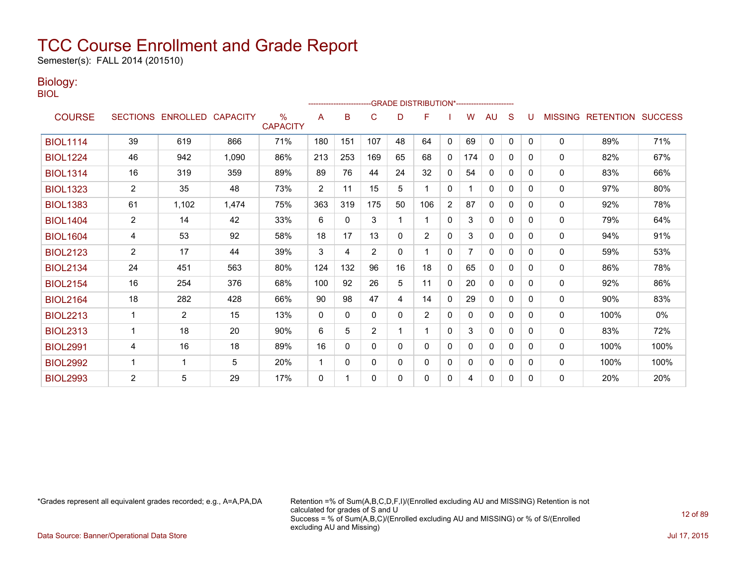Semester(s): FALL 2014 (201510)

### Biology:

BIOL

|                 |                |                            |       |                         |                | ------------------------GRADE                DISTRIBUTION*---------------------- |                |              |                |              |     |              |          |   |                |                          |      |
|-----------------|----------------|----------------------------|-------|-------------------------|----------------|----------------------------------------------------------------------------------|----------------|--------------|----------------|--------------|-----|--------------|----------|---|----------------|--------------------------|------|
| <b>COURSE</b>   |                | SECTIONS ENROLLED CAPACITY |       | $\%$<br><b>CAPACITY</b> | A              | B                                                                                | C              | D            | F              |              | W   | AU.          | S        | U | <b>MISSING</b> | <b>RETENTION SUCCESS</b> |      |
| <b>BIOL1114</b> | 39             | 619                        | 866   | 71%                     | 180            | 151                                                                              | 107            | 48           | 64             | 0            | 69  | 0            | 0        | 0 | 0              | 89%                      | 71%  |
| <b>BIOL1224</b> | 46             | 942                        | 1,090 | 86%                     | 213            | 253                                                                              | 169            | 65           | 68             | $\mathbf{0}$ | 174 | 0            | 0        | 0 | 0              | 82%                      | 67%  |
| <b>BIOL1314</b> | 16             | 319                        | 359   | 89%                     | 89             | 76                                                                               | 44             | 24           | 32             | $\mathbf{0}$ | 54  | 0            | 0        | 0 | $\mathbf{0}$   | 83%                      | 66%  |
| <b>BIOL1323</b> | $\overline{2}$ | 35                         | 48    | 73%                     | $\overline{2}$ | 11                                                                               | 15             | 5            |                | $\Omega$     |     | 0            | 0        | 0 | 0              | 97%                      | 80%  |
| <b>BIOL1383</b> | 61             | 1,102                      | 1,474 | 75%                     | 363            | 319                                                                              | 175            | 50           | 106            | 2            | 87  | 0            | $\Omega$ | 0 | 0              | 92%                      | 78%  |
| <b>BIOL1404</b> | $\overline{2}$ | 14                         | 42    | 33%                     | 6              | $\mathbf{0}$                                                                     | 3              |              |                | 0            | 3   | $\mathbf{0}$ | 0        | 0 | 0              | 79%                      | 64%  |
| <b>BIOL1604</b> | 4              | 53                         | 92    | 58%                     | 18             | 17                                                                               | 13             | $\mathbf{0}$ | $\overline{2}$ | $\mathbf{0}$ | 3   | 0            | 0        | 0 | 0              | 94%                      | 91%  |
| <b>BIOL2123</b> | 2              | 17                         | 44    | 39%                     | 3              | 4                                                                                | $\overline{2}$ | $\mathbf{0}$ |                | 0            |     | 0            | $\Omega$ | 0 | 0              | 59%                      | 53%  |
| <b>BIOL2134</b> | 24             | 451                        | 563   | 80%                     | 124            | 132                                                                              | 96             | 16           | 18             | $\Omega$     | 65  | $\mathbf{0}$ | $\Omega$ | 0 | $\Omega$       | 86%                      | 78%  |
| <b>BIOL2154</b> | 16             | 254                        | 376   | 68%                     | 100            | 92                                                                               | 26             | 5            | 11             | $\Omega$     | 20  | 0            | $\Omega$ | 0 | $\mathbf{0}$   | 92%                      | 86%  |
| <b>BIOL2164</b> | 18             | 282                        | 428   | 66%                     | 90             | 98                                                                               | 47             | 4            | 14             | $\mathbf{0}$ | 29  | $\mathbf{0}$ | $\Omega$ | 0 | 0              | 90%                      | 83%  |
| <b>BIOL2213</b> |                | 2                          | 15    | 13%                     | $\mathbf{0}$   | $\Omega$                                                                         | $\mathbf{0}$   | $\mathbf{0}$ | $\overline{2}$ | $\mathbf{0}$ | 0   | $\mathbf{0}$ | 0        | 0 | 0              | 100%                     | 0%   |
| <b>BIOL2313</b> | 1              | 18                         | 20    | 90%                     | 6              | 5                                                                                | $\overline{2}$ |              | 1              | $\mathbf{0}$ | 3   | 0            | 0        | 0 | 0              | 83%                      | 72%  |
| <b>BIOL2991</b> | 4              | 16                         | 18    | 89%                     | 16             | 0                                                                                | $\Omega$       | $\mathbf{0}$ | 0              | 0            | 0   | $\mathbf{0}$ | 0        | 0 | 0              | 100%                     | 100% |
| <b>BIOL2992</b> |                | 1                          | 5     | 20%                     | 1              | $\Omega$                                                                         | $\Omega$       | $\Omega$     | $\Omega$       | $\mathbf{0}$ | 0   | 0            | $\Omega$ | 0 | $\mathbf{0}$   | 100%                     | 100% |
| <b>BIOL2993</b> | $\overline{2}$ | 5                          | 29    | 17%                     | 0              | 1                                                                                | $\Omega$       | $\Omega$     | 0              | $\mathbf{0}$ | 4   | 0            | 0        | 0 | 0              | 20%                      | 20%  |

\*Grades represent all equivalent grades recorded; e.g., A=A,PA,DA Retention =% of Sum(A,B,C,D,F,I)/(Enrolled excluding AU and MISSING) Retention is not calculated for grades of S and U Success = % of Sum(A,B,C)/(Enrolled excluding AU and MISSING) or % of S/(Enrolled excluding AU and Missing)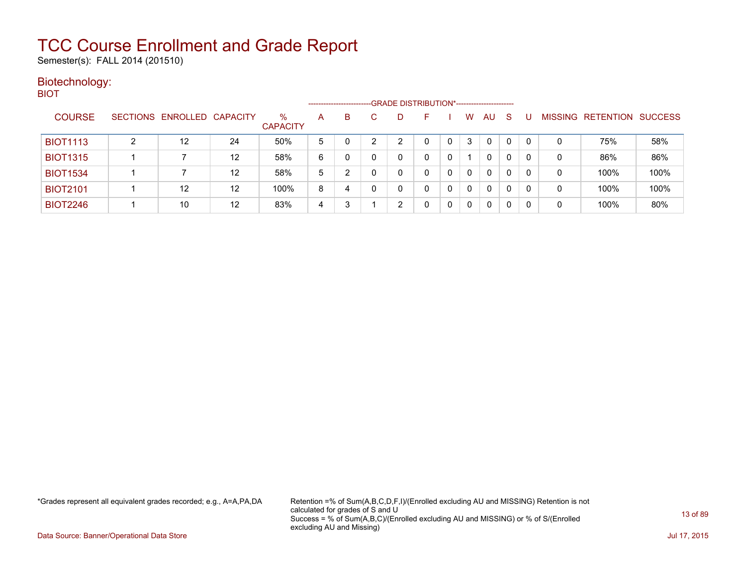Semester(s): FALL 2014 (201510)

### Biotechnology: BIOT

|                 |   |                            |    |                         |   | ------------------------- |   |    | -GRADE DISTRIBUTION*------------------------ |   |   |              |          |   |                |           |                |
|-----------------|---|----------------------------|----|-------------------------|---|---------------------------|---|----|----------------------------------------------|---|---|--------------|----------|---|----------------|-----------|----------------|
| <b>COURSE</b>   |   | SECTIONS ENROLLED CAPACITY |    | $\%$<br><b>CAPACITY</b> | A | B                         |   | D  |                                              |   | W | AU.          | S        | U | <b>MISSING</b> | RETENTION | <b>SUCCESS</b> |
| <b>BIOT1113</b> | າ | $12 \overline{ }$          | 24 | 50%                     | 5 |                           | ⌒ | ົ  |                                              | 0 | 3 | $\Omega$     | $\Omega$ |   | 0              | 75%       | 58%            |
| <b>BIOT1315</b> |   |                            | 12 | 58%                     | 6 |                           |   | 0  |                                              | 0 |   | $\Omega$     | $\Omega$ | 0 | 0              | 86%       | 86%            |
| <b>BIOT1534</b> |   |                            | 12 | 58%                     | 5 |                           |   | 0  | <sup>n</sup>                                 | 0 | 0 | $\mathbf{0}$ | $\Omega$ |   | 0              | 100%      | 100%           |
| <b>BIOT2101</b> |   | 12                         | 12 | 100%                    | 8 | 4                         |   | 0  | $\Omega$                                     | 0 | 0 | $\Omega$     | 0        | 0 | 0              | 100%      | 100%           |
| <b>BIOT2246</b> |   | 10                         | 12 | 83%                     | 4 |                           |   | C. |                                              |   | 0 | $\Omega$     | 0        |   | 0              | 100%      | 80%            |

\*Grades represent all equivalent grades recorded; e.g., A=A,PA,DA Retention =% of Sum(A,B,C,D,F,I)/(Enrolled excluding AU and MISSING) Retention is not calculated for grades of S and U Success = % of Sum(A,B,C)/(Enrolled excluding AU and MISSING) or % of S/(Enrolled excluding AU and Missing)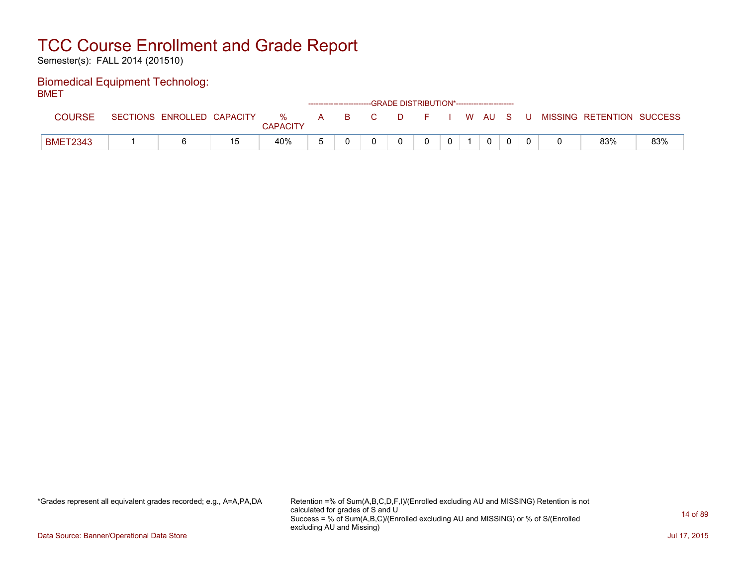Semester(s): FALL 2014 (201510)

#### Biomedical Equipment Technolog: **BMFT**

| –…              |                            |    |                      |  | ------------------------GRADE DISTRIBUTION*----------------------- |          |              |              |  |                                          |     |
|-----------------|----------------------------|----|----------------------|--|--------------------------------------------------------------------|----------|--------------|--------------|--|------------------------------------------|-----|
| COURSE          | SECTIONS ENROLLED CAPACITY |    | %<br><b>CAPACITY</b> |  | A B C                                                              |          |              |              |  | D F I W AU S U MISSING RETENTION SUCCESS |     |
| <b>BMET2343</b> |                            | 15 | 40%                  |  |                                                                    | $\Omega$ | $\mathbf{0}$ | $\mathbf{0}$ |  | 83%                                      | 83% |

\*Grades represent all equivalent grades recorded; e.g., A=A,PA,DA Retention =% of Sum(A,B,C,D,F,I)/(Enrolled excluding AU and MISSING) Retention is not calculated for grades of S and U Success = % of Sum(A,B,C)/(Enrolled excluding AU and MISSING) or % of S/(Enrolled excluding AU and Missing)

Data Source: Banner/Operational Data Store Jul 17, 2015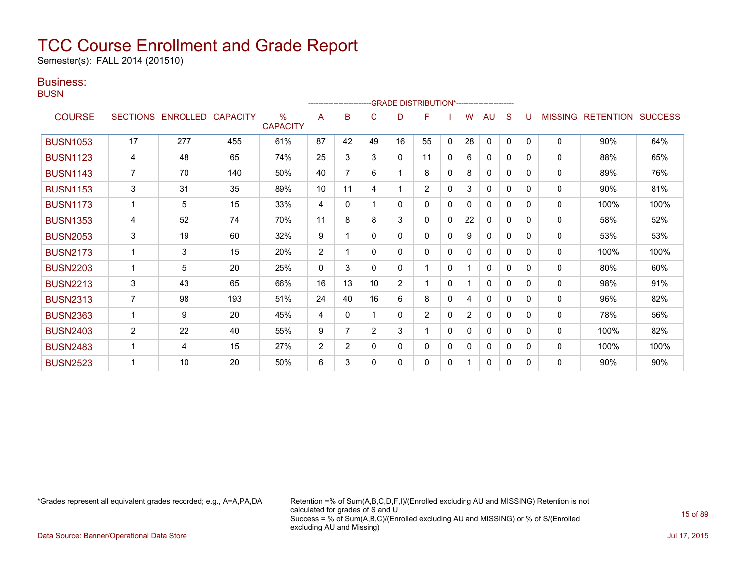Semester(s): FALL 2014 (201510)

### Business:

**BUSN** 

|                 |                |                   |                 |                         |                |                | ------------------------GRADE                DISTRIBUTION*---------------------- |                |                |              |                |              |              |          |                |                  |                |
|-----------------|----------------|-------------------|-----------------|-------------------------|----------------|----------------|----------------------------------------------------------------------------------|----------------|----------------|--------------|----------------|--------------|--------------|----------|----------------|------------------|----------------|
| <b>COURSE</b>   |                | SECTIONS ENROLLED | <b>CAPACITY</b> | $\%$<br><b>CAPACITY</b> | A              | B              | C                                                                                | D              | F              |              | W              | AU           | S            |          | <b>MISSING</b> | <b>RETENTION</b> | <b>SUCCESS</b> |
| <b>BUSN1053</b> | 17             | 277               | 455             | 61%                     | 87             | 42             | 49                                                                               | 16             | 55             | $\mathbf{0}$ | 28             | $\mathbf{0}$ | $\mathbf{0}$ | $\Omega$ | $\mathbf 0$    | 90%              | 64%            |
| <b>BUSN1123</b> | 4              | 48                | 65              | 74%                     | 25             | 3              | 3                                                                                | 0              | 11             | $\mathbf{0}$ | 6              | $\mathbf{0}$ | $\mathbf{0}$ | $\Omega$ | 0              | 88%              | 65%            |
| <b>BUSN1143</b> | $\overline{7}$ | 70                | 140             | 50%                     | 40             | 7              | 6                                                                                |                | 8              | $\Omega$     | 8              | $\Omega$     | $\Omega$     | $\Omega$ | 0              | 89%              | 76%            |
| <b>BUSN1153</b> | 3              | 31                | 35              | 89%                     | 10             | 11             | 4                                                                                |                | $\overline{2}$ | 0            | 3              | $\mathbf{0}$ | 0            | 0        | $\mathbf 0$    | 90%              | 81%            |
| <b>BUSN1173</b> |                | 5                 | 15              | 33%                     | 4              | 0              |                                                                                  | 0              | 0              | 0            | 0              | 0            | 0            | 0        | $\mathbf{0}$   | 100%             | 100%           |
| <b>BUSN1353</b> | 4              | 52                | 74              | 70%                     | 11             | 8              | 8                                                                                | 3              | 0              | $\mathbf{0}$ | 22             | $\mathbf{0}$ | $\Omega$     | $\Omega$ | $\Omega$       | 58%              | 52%            |
| <b>BUSN2053</b> | 3              | 19                | 60              | 32%                     | 9              |                | 0                                                                                | 0              | 0              | 0            | 9              | 0            | $\mathbf{0}$ | $\Omega$ | 0              | 53%              | 53%            |
| <b>BUSN2173</b> |                | 3                 | 15              | 20%                     | $\overline{2}$ |                | $\Omega$                                                                         | 0              | 0              | $\mathbf{0}$ | $\mathbf{0}$   | $\mathbf{0}$ | $\Omega$     | $\Omega$ | 0              | 100%             | 100%           |
| <b>BUSN2203</b> |                | 5                 | 20              | 25%                     | $\mathbf{0}$   | 3              | 0                                                                                | 0              |                | 0            |                | $\mathbf{0}$ | $\Omega$     | $\Omega$ | 0              | 80%              | 60%            |
| <b>BUSN2213</b> | 3              | 43                | 65              | 66%                     | 16             | 13             | 10                                                                               | $\overline{2}$ | 1              | 0            |                | $\mathbf{0}$ | 0            | $\Omega$ | $\Omega$       | 98%              | 91%            |
| <b>BUSN2313</b> | $\overline{7}$ | 98                | 193             | 51%                     | 24             | 40             | 16                                                                               | 6              | 8              | 0            | 4              | $\mathbf{0}$ | $\Omega$     | $\Omega$ | $\Omega$       | 96%              | 82%            |
| <b>BUSN2363</b> |                | 9                 | 20              | 45%                     | 4              | 0              |                                                                                  | 0              | $\overline{2}$ | 0            | $\overline{2}$ | $\mathbf{0}$ | 0            | $\Omega$ | 0              | 78%              | 56%            |
| <b>BUSN2403</b> | $\overline{2}$ | 22                | 40              | 55%                     | 9              | 7              | $\overline{2}$                                                                   | 3              |                | $\Omega$     | 0              | $\mathbf{0}$ | $\Omega$     | $\Omega$ | $\mathbf{0}$   | 100%             | 82%            |
| <b>BUSN2483</b> |                | 4                 | 15              | 27%                     | $\overline{2}$ | $\overline{2}$ | $\Omega$                                                                         | 0              | 0              | $\Omega$     | 0              | $\mathbf{0}$ | $\Omega$     | $\Omega$ | 0              | 100%             | 100%           |
| <b>BUSN2523</b> |                | 10                | 20              | 50%                     | 6              | 3              | 0                                                                                | 0              | 0              | 0            |                | $\mathbf{0}$ | 0            | $\Omega$ | 0              | 90%              | 90%            |

\*Grades represent all equivalent grades recorded; e.g., A=A,PA,DA Retention =% of Sum(A,B,C,D,F,I)/(Enrolled excluding AU and MISSING) Retention is not calculated for grades of S and U Success = % of Sum(A,B,C)/(Enrolled excluding AU and MISSING) or % of S/(Enrolled excluding AU and Missing)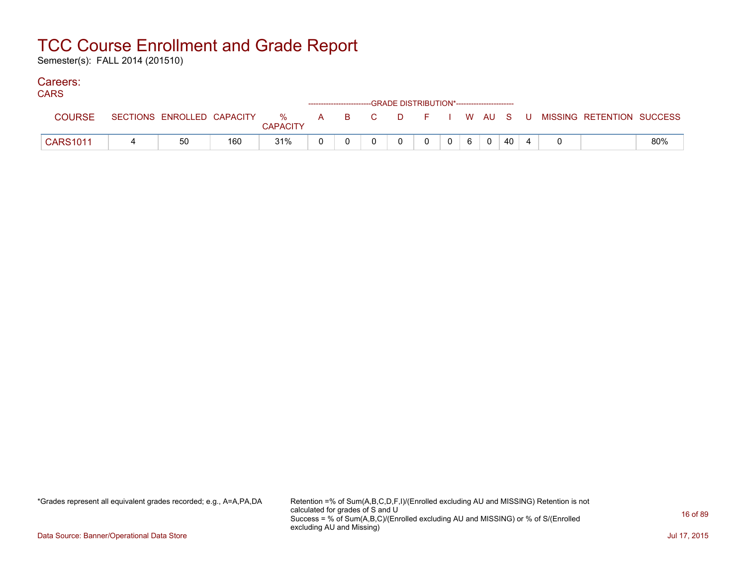Semester(s): FALL 2014 (201510)

### Careers:

| <b>CARS</b>     |    |     |                 |  | ------------------------GRADE DISTRIBUTION*----------------------- |          |              |                |                |                         |    |  |                                                                               |     |
|-----------------|----|-----|-----------------|--|--------------------------------------------------------------------|----------|--------------|----------------|----------------|-------------------------|----|--|-------------------------------------------------------------------------------|-----|
| <b>COURSE</b>   |    |     | <b>CAPACITY</b> |  |                                                                    |          |              |                |                |                         |    |  | SECTIONS ENROLLED CAPACITY 6 % A B C D F I W AU S U MISSING RETENTION SUCCESS |     |
| <b>CARS1011</b> | 50 | 160 | 31%             |  |                                                                    | $\Omega$ | $\mathbf{0}$ | 0 <sup>1</sup> | 6 <sup>1</sup> | $\overline{\mathbf{0}}$ | 40 |  |                                                                               | 80% |

\*Grades represent all equivalent grades recorded; e.g., A=A,PA,DA Retention =% of Sum(A,B,C,D,F,I)/(Enrolled excluding AU and MISSING) Retention is not calculated for grades of S and U Success = % of Sum(A,B,C)/(Enrolled excluding AU and MISSING) or % of S/(Enrolled excluding AU and Missing)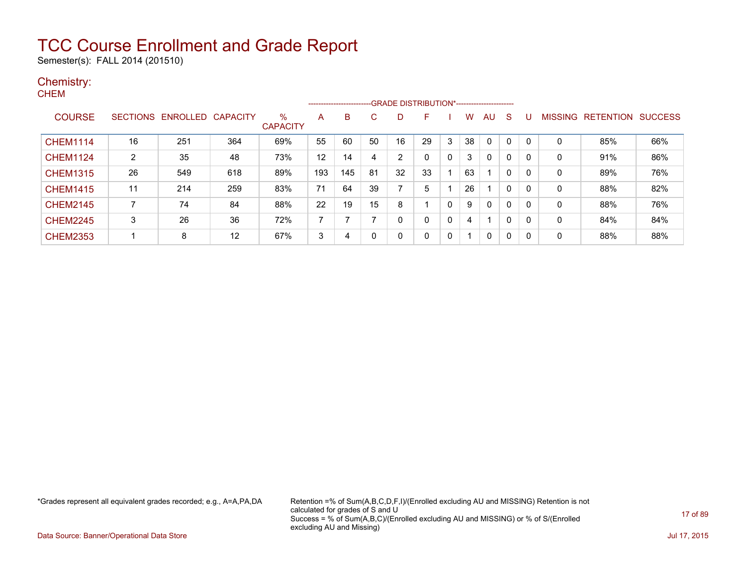Semester(s): FALL 2014 (201510)

#### Chemistry: **CHEM**

|                 |                 |          |          |                      |     | --------------------- |    |    | -- GRADE DISTRIBUTION*------------------------ |             |    |              |             |   |         |                  |                |
|-----------------|-----------------|----------|----------|----------------------|-----|-----------------------|----|----|------------------------------------------------|-------------|----|--------------|-------------|---|---------|------------------|----------------|
| <b>COURSE</b>   | <b>SECTIONS</b> | ENROLLED | CAPACITY | %<br><b>CAPACITY</b> | A   | B                     | C. | D  | F                                              |             | w  | AU           | S           |   | MISSING | <b>RETENTION</b> | <b>SUCCESS</b> |
| <b>CHEM1114</b> | 16              | 251      | 364      | 69%                  | 55  | 60                    | 50 | 16 | 29                                             | 3           | 38 | 0            |             |   | 0       | 85%              | 66%            |
| <b>CHEM1124</b> | 2               | 35       | 48       | 73%                  | 12  | 14                    | 4  | 2  |                                                | 0           | 3  | $\mathbf{0}$ | 0           | 0 | 0       | 91%              | 86%            |
| <b>CHEM1315</b> | 26              | 549      | 618      | 89%                  | 193 | 145                   | 81 | 32 | 33                                             |             | 63 |              | 0           | 0 | 0       | 89%              | 76%            |
| <b>CHEM1415</b> | 11              | 214      | 259      | 83%                  | 71  | 64                    | 39 |    | 5                                              |             | 26 |              | 0           | 0 | 0       | 88%              | 82%            |
| <b>CHEM2145</b> |                 | 74       | 84       | 88%                  | 22  | 19                    | 15 | 8  |                                                | 0           | 9  | $\mathbf{0}$ | $\Omega$    | 0 | 0       | 88%              | 76%            |
| <b>CHEM2245</b> | 3               | 26       | 36       | 72%                  | 7   |                       |    | 0  |                                                | $\mathbf 0$ | 4  | и            | $\mathbf 0$ | 0 | 0       | 84%              | 84%            |
| <b>CHEM2353</b> |                 | 8        | 12       | 67%                  | 3   | 4                     | 0  | 0  |                                                | 0           |    | 0            | 0           | 0 | 0       | 88%              | 88%            |

\*Grades represent all equivalent grades recorded; e.g., A=A,PA,DA Retention =% of Sum(A,B,C,D,F,I)/(Enrolled excluding AU and MISSING) Retention is not calculated for grades of S and U Success = % of Sum(A,B,C)/(Enrolled excluding AU and MISSING) or % of S/(Enrolled excluding AU and Missing)

Data Source: Banner/Operational Data Store Jul 17, 2015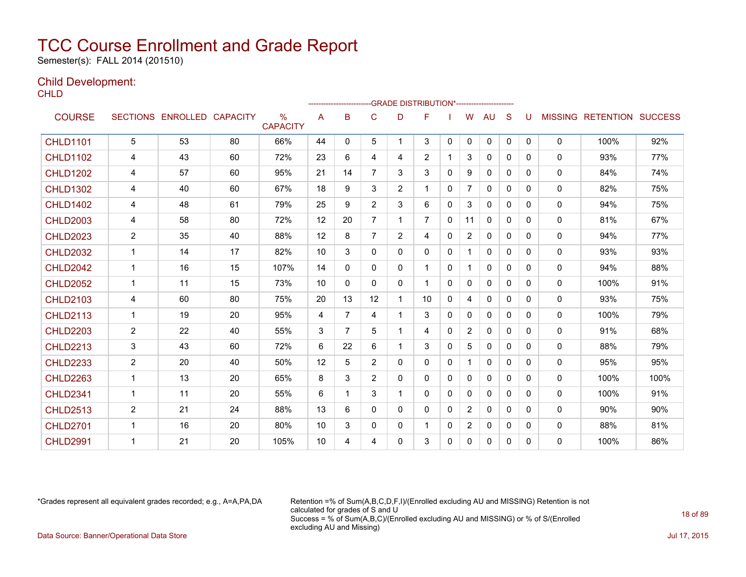Semester(s): FALL 2014 (201510)

### Child Development:

**CHLD** 

|                 |                |                            |    |                         |    | -------------------- |                |                | --GRADE DISTRIBUTION*---------------------- |              |                |              |              |              |              |                           |      |
|-----------------|----------------|----------------------------|----|-------------------------|----|----------------------|----------------|----------------|---------------------------------------------|--------------|----------------|--------------|--------------|--------------|--------------|---------------------------|------|
| <b>COURSE</b>   |                | SECTIONS ENROLLED CAPACITY |    | $\%$<br><b>CAPACITY</b> | A  | B                    | C              | D              | F                                           |              | W              | AU           | <sub>S</sub> |              |              | MISSING RETENTION SUCCESS |      |
| <b>CHLD1101</b> | 5              | 53                         | 80 | 66%                     | 44 | $\Omega$             | 5              | $\mathbf{1}$   | 3                                           | $\mathbf{0}$ | $\mathbf{0}$   | $\mathbf{0}$ | $\mathbf{0}$ | $\mathbf{0}$ | $\mathbf{0}$ | 100%                      | 92%  |
| <b>CHLD1102</b> | 4              | 43                         | 60 | 72%                     | 23 | 6                    | 4              | 4              | $\overline{2}$                              |              | 3              | $\mathbf{0}$ | $\Omega$     | 0            | $\mathbf{0}$ | 93%                       | 77%  |
| <b>CHLD1202</b> | 4              | 57                         | 60 | 95%                     | 21 | 14                   | $\overline{7}$ | 3              | 3                                           | 0            | 9              | $\Omega$     | 0            | 0            | $\mathbf{0}$ | 84%                       | 74%  |
| <b>CHLD1302</b> | 4              | 40                         | 60 | 67%                     | 18 | 9                    | 3              | $\overline{2}$ | $\mathbf{1}$                                | 0            | $\overline{7}$ | $\mathbf{0}$ | 0            | 0            | $\mathbf{0}$ | 82%                       | 75%  |
| <b>CHLD1402</b> | 4              | 48                         | 61 | 79%                     | 25 | 9                    | $\overline{2}$ | 3              | 6                                           | $\Omega$     | 3              | $\mathbf{0}$ | 0            | $\Omega$     | $\mathbf{0}$ | 94%                       | 75%  |
| <b>CHLD2003</b> | 4              | 58                         | 80 | 72%                     | 12 | 20                   | $\overline{7}$ | $\mathbf 1$    | $\overline{7}$                              | $\Omega$     | 11             | $\mathbf{0}$ | 0            | 0            | 0            | 81%                       | 67%  |
| <b>CHLD2023</b> | $\overline{c}$ | 35                         | 40 | 88%                     | 12 | 8                    | $\overline{7}$ | $\overline{2}$ | 4                                           | 0            | 2              | $\mathbf{0}$ | 0            | 0            | $\mathbf{0}$ | 94%                       | 77%  |
| <b>CHLD2032</b> | 1              | 14                         | 17 | 82%                     | 10 | 3                    | 0              | 0              | 0                                           | 0            | $\mathbf 1$    | 0            | 0            | 0            | 0            | 93%                       | 93%  |
| <b>CHLD2042</b> | $\mathbf{1}$   | 16                         | 15 | 107%                    | 14 | $\Omega$             | $\Omega$       | 0              | $\mathbf{1}$                                | 0            | $\mathbf 1$    | $\mathbf{0}$ | $\Omega$     | 0            | $\mathbf{0}$ | 94%                       | 88%  |
| <b>CHLD2052</b> | 1              | 11                         | 15 | 73%                     | 10 | $\mathbf{0}$         | $\Omega$       | 0              | $\mathbf{1}$                                | $\Omega$     | $\Omega$       | $\mathbf{0}$ | $\Omega$     | $\Omega$     | $\mathbf{0}$ | 100%                      | 91%  |
| <b>CHLD2103</b> | 4              | 60                         | 80 | 75%                     | 20 | 13                   | 12             | $\mathbf 1$    | 10                                          | 0            | 4              | $\mathbf{0}$ | 0            | 0            | 0            | 93%                       | 75%  |
| <b>CHLD2113</b> | $\mathbf 1$    | 19                         | 20 | 95%                     | 4  | $\overline{7}$       | 4              | 1.             | 3                                           | $\mathbf{0}$ | $\mathbf{0}$   | $\mathbf{0}$ | 0            | 0            | $\mathbf{0}$ | 100%                      | 79%  |
| <b>CHLD2203</b> | $\overline{2}$ | 22                         | 40 | 55%                     | 3  | 7                    | 5              | $\mathbf 1$    | 4                                           | 0            | $\overline{2}$ | 0            | 0            | 0            | 0            | 91%                       | 68%  |
| <b>CHLD2213</b> | 3              | 43                         | 60 | 72%                     | 6  | 22                   | 6              | $\mathbf 1$    | 3                                           | 0            | 5              | $\mathbf{0}$ | 0            | 0            | $\mathbf{0}$ | 88%                       | 79%  |
| <b>CHLD2233</b> | $\overline{2}$ | 20                         | 40 | 50%                     | 12 | 5                    | $\overline{2}$ | 0              | 0                                           | $\mathbf{0}$ | 1              | $\mathbf{0}$ | 0            | 0            | $\mathbf{0}$ | 95%                       | 95%  |
| <b>CHLD2263</b> | $\mathbf{1}$   | 13                         | 20 | 65%                     | 8  | 3                    | $\overline{2}$ | 0              | 0                                           | $\Omega$     | 0              | $\mathbf{0}$ | $\Omega$     | 0            | 0            | 100%                      | 100% |
| <b>CHLD2341</b> | 1              | 11                         | 20 | 55%                     | 6  | 1                    | 3              | 1              | 0                                           | 0            | $\Omega$       | $\mathbf{0}$ | 0            | 0            | $\mathbf{0}$ | 100%                      | 91%  |
| <b>CHLD2513</b> | $\overline{2}$ | 21                         | 24 | 88%                     | 13 | 6                    | 0              | 0              | 0                                           | 0            | $\overline{2}$ | 0            | 0            | 0            | 0            | 90%                       | 90%  |
| <b>CHLD2701</b> | $\mathbf{1}$   | 16                         | 20 | 80%                     | 10 | 3                    | 0              | 0              | $\mathbf 1$                                 | 0            | 2              | 0            | $\Omega$     | 0            | 0            | 88%                       | 81%  |
| <b>CHLD2991</b> | 1              | 21                         | 20 | 105%                    | 10 | 4                    | 4              | 0              | 3                                           | 0            | 0              | $\mathbf{0}$ | 0            | $\Omega$     | $\mathbf{0}$ | 100%                      | 86%  |

\*Grades represent all equivalent grades recorded; e.g., A=A,PA,DA Retention =% of Sum(A,B,C,D,F,I)/(Enrolled excluding AU and MISSING) Retention is not calculated for grades of S and U Success = % of Sum(A,B,C)/(Enrolled excluding AU and MISSING) or % of S/(Enrolled excluding AU and Missing) Data Source: Banner/Operational Data Store Jul 17, 2015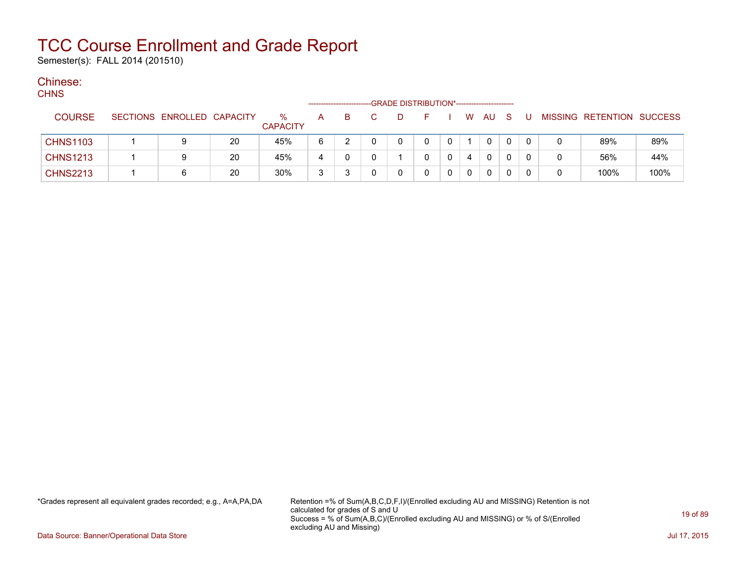Semester(s): FALL 2014 (201510)

#### Chinese:  $C$

| CHNS. |                 |                            |    |                         |   |    | -GRADE DISTRIBUTION*---------------------- |   |    |    |     |   |   |                           |      |
|-------|-----------------|----------------------------|----|-------------------------|---|----|--------------------------------------------|---|----|----|-----|---|---|---------------------------|------|
|       | <b>COURSE</b>   | SECTIONS ENROLLED CAPACITY |    | $\%$<br><b>CAPACITY</b> | A | B. | $\Box$                                     |   | W. | AU | - S | U |   | MISSING RETENTION SUCCESS |      |
|       | <b>CHNS1103</b> |                            | 20 | 45%                     | 6 |    |                                            | 0 |    | 0  | 0   | 0 |   | 89%                       | 89%  |
|       | <b>CHNS1213</b> |                            | 20 | 45%                     |   | 0  |                                            |   | 4  | 0  |     |   |   | 56%                       | 44%  |
|       | <b>CHNS2213</b> |                            | 20 | 30%                     | 3 |    |                                            |   |    | 0  |     |   | 0 | 100%                      | 100% |

\*Grades represent all equivalent grades recorded; e.g., A=A,PA,DA Retention =% of Sum(A,B,C,D,F,I)/(Enrolled excluding AU and MISSING) Retention is not calculated for grades of S and U Success = % of Sum(A,B,C)/(Enrolled excluding AU and MISSING) or % of S/(Enrolled excluding AU and Missing)

Data Source: Banner/Operational Data Store Jul 17, 2015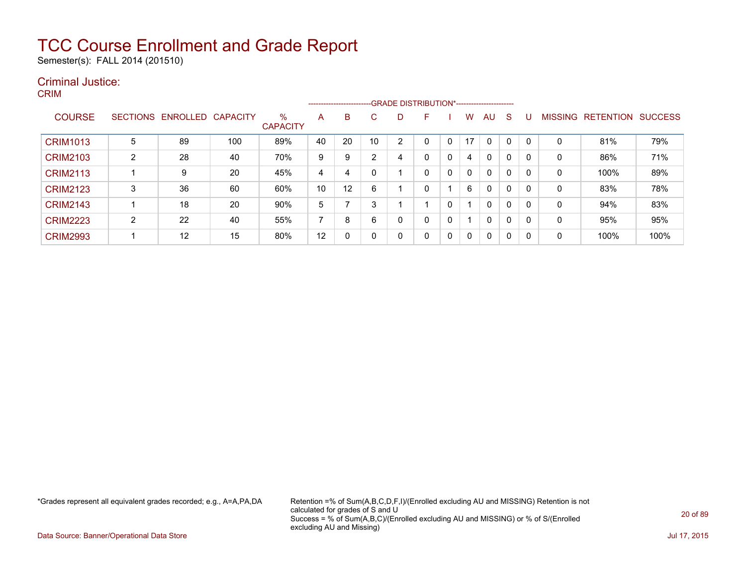Semester(s): FALL 2014 (201510)

### Criminal Justice:

CRIM

|                 |                |                            |     |                         |    |    |        |    | --------------------------GRADE DISTRIBUTION*----------------------- |   |              |              |              |          |                |                  |                |
|-----------------|----------------|----------------------------|-----|-------------------------|----|----|--------|----|----------------------------------------------------------------------|---|--------------|--------------|--------------|----------|----------------|------------------|----------------|
| <b>COURSE</b>   |                | SECTIONS ENROLLED CAPACITY |     | $\%$<br><b>CAPACITY</b> | A  | B  | C.     | D. | F                                                                    |   | w            | AU           | <sub>S</sub> |          | <b>MISSING</b> | <b>RETENTION</b> | <b>SUCCESS</b> |
| <b>CRIM1013</b> | 5              | 89                         | 100 | 89%                     | 40 | 20 | 10     | 2  |                                                                      |   | 17           | $\Omega$     | 0            |          | 0              | 81%              | 79%            |
| <b>CRIM2103</b> | $\overline{2}$ | 28                         | 40  | 70%                     | 9  | 9  | $\sim$ | 4  | 0                                                                    | 0 | 4            | $\mathbf{0}$ | 0            |          | 0              | 86%              | 71%            |
| <b>CRIM2113</b> |                | 9                          | 20  | 45%                     | 4  | 4  |        |    | 0                                                                    | 0 | $\mathbf{0}$ | $\mathbf{0}$ | $\mathbf{0}$ |          | 0              | 100%             | 89%            |
| <b>CRIM2123</b> | 3              | 36                         | 60  | 60%                     | 10 | 12 | 6      |    | 0                                                                    |   | 6            | $\mathbf{0}$ | 0            |          | 0              | 83%              | 78%            |
| <b>CRIM2143</b> |                | 18                         | 20  | 90%                     | 5  |    |        |    |                                                                      |   |              | $\mathbf{0}$ | 0            |          | 0              | 94%              | 83%            |
| <b>CRIM2223</b> | ົ              | 22                         | 40  | 55%                     | ⇁  | 8  | 6      |    | 0                                                                    | 0 |              | $\mathbf{0}$ | 0            | $\Omega$ | 0              | 95%              | 95%            |
| <b>CRIM2993</b> |                | 12                         | 15  | 80%                     | 12 | 0  |        | 0  | 0                                                                    | 0 | $\mathbf 0$  | 0            | 0            | 0        | 0              | 100%             | 100%           |

\*Grades represent all equivalent grades recorded; e.g., A=A,PA,DA Retention =% of Sum(A,B,C,D,F,I)/(Enrolled excluding AU and MISSING) Retention is not calculated for grades of S and U Success = % of Sum(A,B,C)/(Enrolled excluding AU and MISSING) or % of S/(Enrolled excluding AU and Missing)

Data Source: Banner/Operational Data Store Jul 17, 2015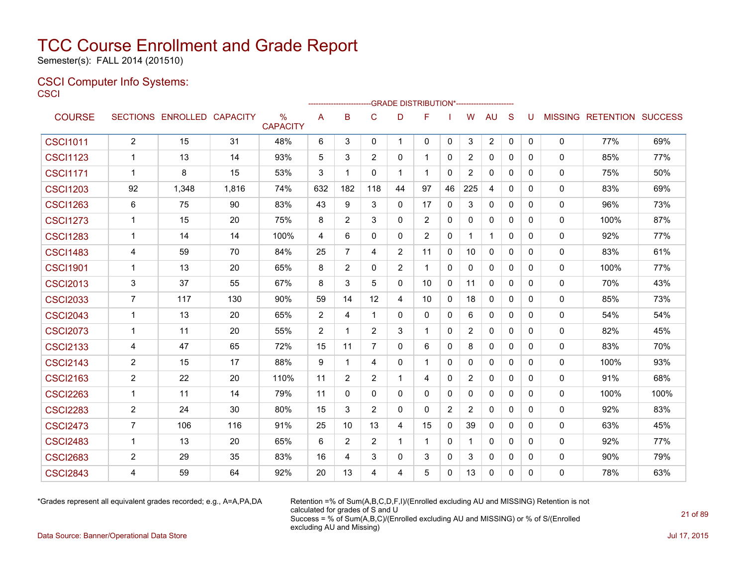Semester(s): FALL 2014 (201510)

### CSCI Computer Info Systems: **CSCI**

|                 |                |                            |       |                         |     |                |                |                | ---GRADE                                   DISTRIBUTION*------------------------ |                |                |                |              |              |             |                           |      |
|-----------------|----------------|----------------------------|-------|-------------------------|-----|----------------|----------------|----------------|----------------------------------------------------------------------------------|----------------|----------------|----------------|--------------|--------------|-------------|---------------------------|------|
| <b>COURSE</b>   |                | SECTIONS ENROLLED CAPACITY |       | $\%$<br><b>CAPACITY</b> | A   | B              | $\mathbf C$    | D              | F                                                                                |                | W              | <b>AU</b>      | S            | U            |             | MISSING RETENTION SUCCESS |      |
| <b>CSCI1011</b> | 2              | 15                         | 31    | 48%                     | 6   | 3              | 0              | 1              | $\mathbf{0}$                                                                     | $\mathbf 0$    | 3              | $\overline{2}$ | $\mathbf{0}$ | $\Omega$     | $\mathbf 0$ | 77%                       | 69%  |
| <b>CSCI1123</b> | $\mathbf 1$    | 13                         | 14    | 93%                     | 5   | 3              | 2              | $\mathbf{0}$   | $\mathbf 1$                                                                      | 0              | 2              | $\mathbf{0}$   | $\Omega$     | $\Omega$     | 0           | 85%                       | 77%  |
| <b>CSCI1171</b> | $\mathbf 1$    | 8                          | 15    | 53%                     | 3   | 1              | $\mathbf{0}$   | $\mathbf 1$    | 1                                                                                | $\mathbf{0}$   | $\overline{2}$ | $\mathbf{0}$   | $\Omega$     | 0            | $\mathbf 0$ | 75%                       | 50%  |
| <b>CSCI1203</b> | 92             | 1,348                      | 1,816 | 74%                     | 632 | 182            | 118            | 44             | 97                                                                               | 46             | 225            | 4              | $\mathbf{0}$ | 0            | 0           | 83%                       | 69%  |
| <b>CSCI1263</b> | 6              | 75                         | 90    | 83%                     | 43  | 9              | 3              | $\mathbf{0}$   | 17                                                                               | $\mathbf 0$    | 3              | $\mathbf{0}$   | $\mathbf{0}$ | 0            | 0           | 96%                       | 73%  |
| <b>CSCI1273</b> | 1              | 15                         | 20    | 75%                     | 8   | 2              | 3              | 0              | 2                                                                                | 0              | 0              | 0              | $\mathbf{0}$ | 0            | 0           | 100%                      | 87%  |
| <b>CSCI1283</b> | $\mathbf{1}$   | 14                         | 14    | 100%                    | 4   | 6              | 0              | 0              | 2                                                                                | 0              | 1              | $\mathbf{1}$   | $\mathbf{0}$ | $\mathbf{0}$ | 0           | 92%                       | 77%  |
| <b>CSCI1483</b> | 4              | 59                         | 70    | 84%                     | 25  | $\overline{7}$ | 4              | 2              | 11                                                                               | $\mathbf{0}$   | 10             | $\mathbf{0}$   | $\mathbf{0}$ | $\Omega$     | $\mathbf 0$ | 83%                       | 61%  |
| <b>CSCI1901</b> | $\mathbf{1}$   | 13                         | 20    | 65%                     | 8   | $\overline{2}$ | $\mathbf{0}$   | $\overline{2}$ | $\overline{1}$                                                                   | $\mathbf{0}$   | 0              | $\mathbf{0}$   | $\Omega$     | $\Omega$     | $\mathbf 0$ | 100%                      | 77%  |
| <b>CSCI2013</b> | 3              | 37                         | 55    | 67%                     | 8   | 3              | 5              | $\mathbf{0}$   | 10                                                                               | $\mathbf{0}$   | 11             | $\mathbf{0}$   | $\Omega$     | $\Omega$     | $\mathbf 0$ | 70%                       | 43%  |
| <b>CSCI2033</b> | $\overline{7}$ | 117                        | 130   | 90%                     | 59  | 14             | 12             | 4              | 10                                                                               | $\mathbf 0$    | 18             | $\mathbf{0}$   | $\Omega$     | $\Omega$     | 0           | 85%                       | 73%  |
| <b>CSCI2043</b> | $\mathbf{1}$   | 13                         | 20    | 65%                     | 2   | 4              | $\mathbf{1}$   | $\Omega$       | $\mathbf{0}$                                                                     | $\mathbf 0$    | 6              | $\mathbf{0}$   | $\Omega$     | $\Omega$     | 0           | 54%                       | 54%  |
| <b>CSCI2073</b> | $\mathbf 1$    | 11                         | 20    | 55%                     | 2   | 1              | $\overline{2}$ | 3              | -1                                                                               | 0              | 2              | $\mathbf{0}$   | $\mathbf{0}$ | 0            | 0           | 82%                       | 45%  |
| <b>CSCI2133</b> | 4              | 47                         | 65    | 72%                     | 15  | 11             | 7              | $\Omega$       | 6                                                                                | 0              | 8              | 0              | $\mathbf{0}$ | 0            | 0           | 83%                       | 70%  |
| <b>CSCI2143</b> | $\overline{2}$ | 15                         | 17    | 88%                     | 9   | $\mathbf 1$    | 4              | 0              | 1                                                                                | 0              | 0              | 0              | $\mathbf{0}$ | 0            | 0           | 100%                      | 93%  |
| <b>CSCI2163</b> | $\overline{2}$ | 22                         | 20    | 110%                    | 11  | 2              | 2              | $\mathbf 1$    | 4                                                                                | 0              | $\overline{2}$ | 0              | $\mathbf{0}$ | 0            | 0           | 91%                       | 68%  |
| <b>CSCI2263</b> | $\mathbf{1}$   | 11                         | 14    | 79%                     | 11  | $\Omega$       | 0              | $\mathbf{0}$   | $\mathbf{0}$                                                                     | $\mathbf{0}$   | 0              | $\mathbf 0$    | $\Omega$     | $\Omega$     | $\mathbf 0$ | 100%                      | 100% |
| <b>CSCI2283</b> | $\overline{2}$ | 24                         | 30    | 80%                     | 15  | 3              | 2              | $\Omega$       | $\mathbf{0}$                                                                     | $\overline{2}$ | $\overline{2}$ | $\mathbf{0}$   | $\mathbf{0}$ | $\mathbf{0}$ | $\mathbf 0$ | 92%                       | 83%  |
| <b>CSCI2473</b> | $\overline{7}$ | 106                        | 116   | 91%                     | 25  | 10             | 13             | 4              | 15                                                                               | $\mathbf{0}$   | 39             | $\mathbf{0}$   | $\Omega$     | $\Omega$     | $\mathbf 0$ | 63%                       | 45%  |
| <b>CSCI2483</b> | $\mathbf 1$    | 13                         | 20    | 65%                     | 6   | $\overline{2}$ | 2              | -1             | -1                                                                               | $\mathbf 0$    |                | $\mathbf{0}$   | $\Omega$     | $\Omega$     | $\mathbf 0$ | 92%                       | 77%  |
| <b>CSCI2683</b> | $\overline{2}$ | 29                         | 35    | 83%                     | 16  | 4              | 3              | $\mathbf{0}$   | 3                                                                                | 0              | 3              | $\mathbf{0}$   | $\mathbf{0}$ | $\Omega$     | 0           | 90%                       | 79%  |
| <b>CSCI2843</b> | 4              | 59                         | 64    | 92%                     | 20  | 13             | 4              | 4              | 5                                                                                | $\Omega$       | 13             | $\mathbf{0}$   | $\mathbf{0}$ | 0            | 0           | 78%                       | 63%  |

\*Grades represent all equivalent grades recorded; e.g., A=A,PA,DA Retention =% of Sum(A,B,C,D,F,I)/(Enrolled excluding AU and MISSING) Retention is not calculated for grades of S and U Success = % of Sum(A,B,C)/(Enrolled excluding AU and MISSING) or % of S/(Enrolled excluding AU and Missing)

Data Source: Banner/Operational Data Store Jul 17, 2015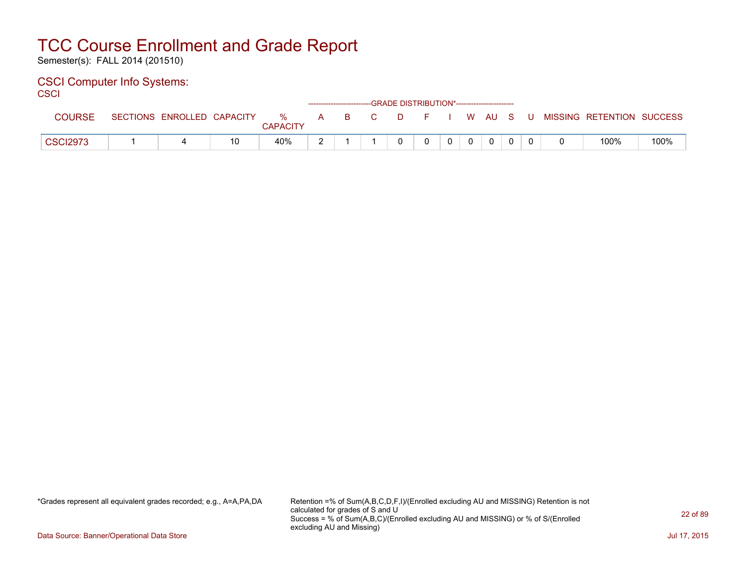Semester(s): FALL 2014 (201510)

#### CSCI Computer Info Systems: **CSCI**

| וטטכ            |                            |    |                      | ------------------------GRADE DISTRIBUTION*----------------------- |  |          |  |  |  |                           |      |
|-----------------|----------------------------|----|----------------------|--------------------------------------------------------------------|--|----------|--|--|--|---------------------------|------|
| <b>COURSE</b>   | SECTIONS ENROLLED CAPACITY |    | %<br><b>CAPACITY</b> | A B C                                                              |  | DFIWAUSU |  |  |  | MISSING RETENTION SUCCESS |      |
| <b>CSCI2973</b> |                            | 10 | 40%                  |                                                                    |  |          |  |  |  | 100%                      | 100% |

\*Grades represent all equivalent grades recorded; e.g., A=A,PA,DA Retention =% of Sum(A,B,C,D,F,I)/(Enrolled excluding AU and MISSING) Retention is not calculated for grades of S and U Success = % of Sum(A,B,C)/(Enrolled excluding AU and MISSING) or % of S/(Enrolled excluding AU and Missing)

Data Source: Banner/Operational Data Store Jul 17, 2015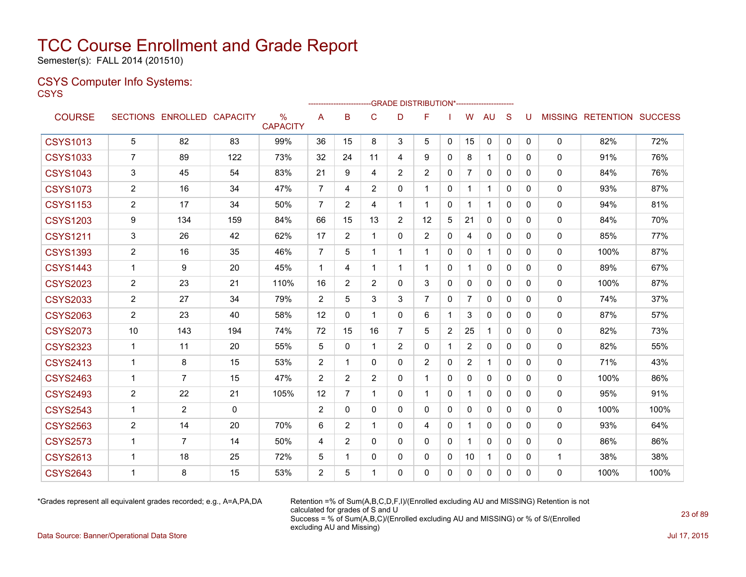Semester(s): FALL 2014 (201510)

### CSYS Computer Info Systems:

**CSYS** 

|                 |                         |                   |                 |                      |                | -------------------- |                |                | --GRADE DISTRIBUTION*---------------------- |                |                |              |              |          |              |                                  |      |
|-----------------|-------------------------|-------------------|-----------------|----------------------|----------------|----------------------|----------------|----------------|---------------------------------------------|----------------|----------------|--------------|--------------|----------|--------------|----------------------------------|------|
| <b>COURSE</b>   |                         | SECTIONS ENROLLED | <b>CAPACITY</b> | %<br><b>CAPACITY</b> | A              | B                    | C              | D              | F                                           |                | W              | <b>AU</b>    | <sub>S</sub> | U        |              | <b>MISSING RETENTION SUCCESS</b> |      |
| <b>CSYS1013</b> | 5                       | 82                | 83              | 99%                  | 36             | 15                   | 8              | 3              | 5                                           | $\mathbf{0}$   | 15             | $\mathbf 0$  | $\mathbf{0}$ | 0        | 0            | 82%                              | 72%  |
| <b>CSYS1033</b> | $\overline{7}$          | 89                | 122             | 73%                  | 32             | 24                   | 11             | 4              | 9                                           | $\Omega$       | 8              | $\mathbf 1$  | $\Omega$     | 0        | $\mathbf{0}$ | 91%                              | 76%  |
| <b>CSYS1043</b> | 3                       | 45                | 54              | 83%                  | 21             | 9                    | 4              | $\overline{2}$ | $\overline{2}$                              | $\mathbf{0}$   | $\overline{7}$ | $\mathbf{0}$ | $\Omega$     | 0        | 0            | 84%                              | 76%  |
| <b>CSYS1073</b> | $\overline{c}$          | 16                | 34              | 47%                  | $\overline{7}$ | 4                    | $\overline{2}$ | 0              | 1.                                          | 0              | 1              | 1            | $\mathbf{0}$ | 0        | 0            | 93%                              | 87%  |
| <b>CSYS1153</b> | $\overline{2}$          | 17                | 34              | 50%                  | $\overline{7}$ | $\overline{2}$       | 4              | 1              | 1                                           | 0              | $\mathbf{1}$   | 1            | $\mathbf{0}$ | 0        | 0            | 94%                              | 81%  |
| <b>CSYS1203</b> | 9                       | 134               | 159             | 84%                  | 66             | 15                   | 13             | 2              | 12                                          | 5              | 21             | $\Omega$     | $\Omega$     | $\Omega$ | $\mathbf{0}$ | 84%                              | 70%  |
| <b>CSYS1211</b> | 3                       | 26                | 42              | 62%                  | 17             | $\overline{2}$       | $\mathbf{1}$   | 0              | $\overline{2}$                              | $\Omega$       | 4              | 0            | $\mathbf{0}$ | 0        | 0            | 85%                              | 77%  |
| <b>CSYS1393</b> | $\overline{2}$          | 16                | 35              | 46%                  | $\overline{7}$ | 5                    | 1              | 1              | 1                                           | 0              | $\Omega$       | $\mathbf{1}$ | $\mathbf{0}$ | $\Omega$ | 0            | 100%                             | 87%  |
| <b>CSYS1443</b> | $\mathbf{1}$            | 9                 | 20              | 45%                  | $\mathbf{1}$   | 4                    | $\mathbf{1}$   | $\mathbf{1}$   | 1                                           | $\Omega$       | $\mathbf{1}$   | $\mathbf{0}$ | $\Omega$     | $\Omega$ | 0            | 89%                              | 67%  |
| <b>CSYS2023</b> | $\overline{\mathbf{c}}$ | 23                | 21              | 110%                 | 16             | $\overline{2}$       | $\overline{2}$ | $\mathbf{0}$   | 3                                           | $\Omega$       | 0              | $\mathbf{0}$ | $\Omega$     | 0        | 0            | 100%                             | 87%  |
| <b>CSYS2033</b> | $\overline{2}$          | 27                | 34              | 79%                  | $\overline{2}$ | 5                    | 3              | 3              | $\overline{7}$                              | $\mathbf{0}$   | $\overline{7}$ | $\mathbf{0}$ | $\Omega$     | 0        | 0            | 74%                              | 37%  |
| <b>CSYS2063</b> | $\overline{2}$          | 23                | 40              | 58%                  | 12             | 0                    |                | $\mathbf{0}$   | 6                                           |                | 3              | $\mathbf{0}$ | $\mathbf{0}$ | 0        | $\mathbf{0}$ | 87%                              | 57%  |
| <b>CSYS2073</b> | 10                      | 143               | 194             | 74%                  | 72             | 15                   | 16             | $\overline{7}$ | 5                                           | $\overline{2}$ | 25             | 1            | $\Omega$     | $\Omega$ | 0            | 82%                              | 73%  |
| <b>CSYS2323</b> | $\mathbf{1}$            | 11                | 20              | 55%                  | 5              | 0                    | 1              | $\overline{2}$ | 0                                           | 1              | $\overline{2}$ | 0            | $\mathbf{0}$ | 0        | 0            | 82%                              | 55%  |
| <b>CSYS2413</b> | $\mathbf{1}$            | 8                 | 15              | 53%                  | $\overline{2}$ | 1                    | $\Omega$       | $\mathbf{0}$   | $\overline{2}$                              | $\Omega$       | $\overline{2}$ | 1            | $\Omega$     | $\Omega$ | 0            | 71%                              | 43%  |
| <b>CSYS2463</b> | $\mathbf{1}$            | $\overline{7}$    | 15              | 47%                  | 2              | $\overline{2}$       | 2              | $\mathbf{0}$   | $\mathbf 1$                                 | 0              | $\mathbf{0}$   | $\mathbf{0}$ | $\Omega$     | $\Omega$ | 0            | 100%                             | 86%  |
| <b>CSYS2493</b> | $\overline{2}$          | 22                | 21              | 105%                 | 12             | $\overline{7}$       | $\mathbf{1}$   | $\mathbf{0}$   | 1                                           | $\mathbf{0}$   | $\mathbf{1}$   | $\Omega$     | $\Omega$     | $\Omega$ | 0            | 95%                              | 91%  |
| <b>CSYS2543</b> | $\mathbf 1$             | 2                 | 0               |                      | 2              | $\mathbf{0}$         | $\mathbf{0}$   | $\mathbf{0}$   | 0                                           | $\Omega$       | $\mathbf{0}$   | $\mathbf 0$  | $\Omega$     | 0        | 0            | 100%                             | 100% |
| <b>CSYS2563</b> | 2                       | 14                | 20              | 70%                  | 6              | $\overline{2}$       | $\mathbf{1}$   | $\mathbf{0}$   | 4                                           | $\mathbf{0}$   | 1              | $\mathbf{0}$ | $\mathbf{0}$ | 0        | 0            | 93%                              | 64%  |
| <b>CSYS2573</b> | $\mathbf 1$             | 7                 | 14              | 50%                  | 4              | $\overline{2}$       | $\Omega$       | $\mathbf{0}$   | 0                                           | $\Omega$       | 1              | $\mathbf{0}$ | $\Omega$     | 0        | 0            | 86%                              | 86%  |
| <b>CSYS2613</b> | 1                       | 18                | 25              | 72%                  | 5              | 1                    | 0              | 0              | 0                                           | 0              | 10             | 1            | $\mathbf{0}$ | 0        | $\mathbf{1}$ | 38%                              | 38%  |
| <b>CSYS2643</b> | 1                       | 8                 | 15              | 53%                  | $\overline{2}$ | 5                    |                | 0              | 0                                           | 0              | 0              | 0            | 0            | $\Omega$ | $\mathbf{0}$ | 100%                             | 100% |

\*Grades represent all equivalent grades recorded; e.g., A=A,PA,DA Retention =% of Sum(A,B,C,D,F,I)/(Enrolled excluding AU and MISSING) Retention is not calculated for grades of S and U Success = % of Sum(A,B,C)/(Enrolled excluding AU and MISSING) or % of S/(Enrolled excluding AU and Missing)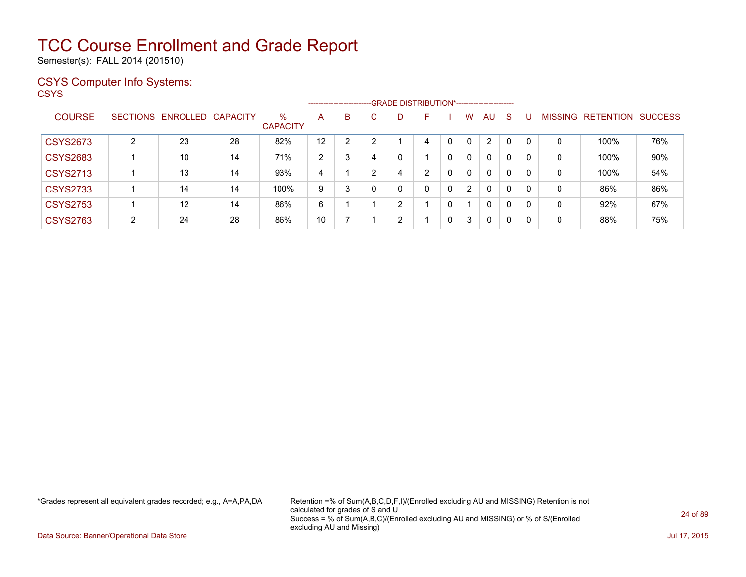Semester(s): FALL 2014 (201510)

### CSYS Computer Info Systems:

**CSYS** 

|                 |                 |                   |    |                         | ------------------------- |   |   | -GRADE DISTRIBUTION*----------------------- |   |              |                |                |    |    |                |                  |                |
|-----------------|-----------------|-------------------|----|-------------------------|---------------------------|---|---|---------------------------------------------|---|--------------|----------------|----------------|----|----|----------------|------------------|----------------|
| <b>COURSE</b>   | <b>SECTIONS</b> | ENROLLED CAPACITY |    | $\%$<br><b>CAPACITY</b> | A                         | B | С | D                                           | F |              | W              | AU             | -S |    | <b>MISSING</b> | <b>RETENTION</b> | <b>SUCCESS</b> |
| <b>CSYS2673</b> | C               | 23                | 28 | 82%                     | 12                        | 2 | C |                                             | 4 | 0            | $\mathbf{0}$   | $\overline{2}$ | 0  |    | 0              | 100%             | 76%            |
| <b>CSYS2683</b> |                 | 10                | 14 | 71%                     | 2                         | 3 |   | 0                                           |   | 0            | $\Omega$       | $\mathbf{0}$   | 0  | 0  | 0              | 100%             | 90%            |
| <b>CSYS2713</b> |                 | 13                | 14 | 93%                     | 4                         |   | ົ | 4                                           | ົ | 0            | $\Omega$       | $\mathbf{0}$   | 0  | -0 | 0              | 100%             | 54%            |
| <b>CSYS2733</b> |                 | 14                | 14 | 100%                    | 9                         | 3 | 0 | 0                                           | 0 | $\mathbf{0}$ | $\overline{2}$ | $\mathbf{0}$   | 0  | -0 | 0              | 86%              | 86%            |
| <b>CSYS2753</b> |                 | $12 \overline{ }$ | 14 | 86%                     | 6                         |   |   | $\overline{2}$                              |   | $\mathbf{0}$ |                | 0              | 0  | 0  | 0              | 92%              | 67%            |
| <b>CSYS2763</b> | 2               | 24                | 28 | 86%                     | 10                        |   |   | ົ                                           |   | 0            | 3              | 0              | 0  | -0 | 0              | 88%              | 75%            |

\*Grades represent all equivalent grades recorded; e.g., A=A,PA,DA Retention =% of Sum(A,B,C,D,F,I)/(Enrolled excluding AU and MISSING) Retention is not calculated for grades of S and U Success = % of Sum(A,B,C)/(Enrolled excluding AU and MISSING) or % of S/(Enrolled excluding AU and Missing)

Data Source: Banner/Operational Data Store Jul 17, 2015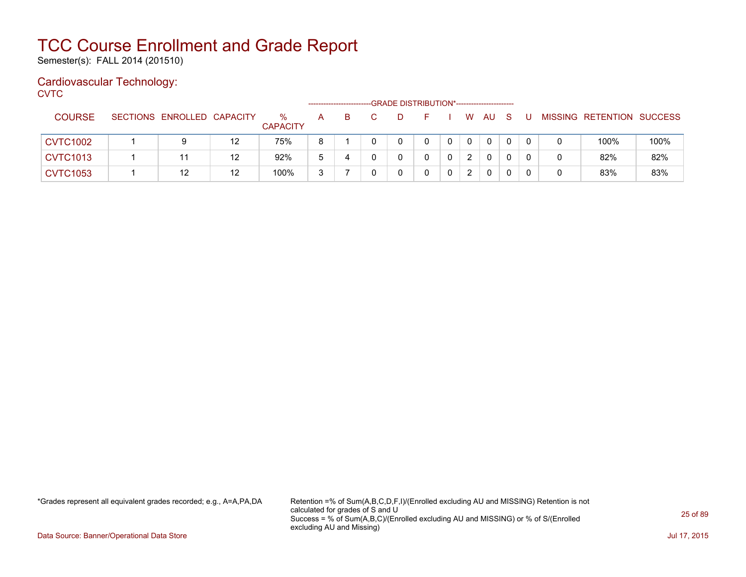Semester(s): FALL 2014 (201510)

### Cardiovascular Technology:

**CVTC** 

|                 |                            |    |                         |   |    | -GRADE DISTRIBUTION*----------------------- |   |   |               |              |  |                           |      |
|-----------------|----------------------------|----|-------------------------|---|----|---------------------------------------------|---|---|---------------|--------------|--|---------------------------|------|
| <b>COURSE</b>   | SECTIONS ENROLLED CAPACITY |    | $\%$<br><b>CAPACITY</b> | A | B. |                                             |   |   | W             | AU           |  | MISSING RETENTION SUCCESS |      |
| <b>CVTC1002</b> |                            | 12 | 75%                     | 8 |    |                                             | 0 | 0 | $\mathbf{0}$  | $\mathbf 0$  |  | 100%                      | 100% |
| <b>CVTC1013</b> |                            | 12 | 92%                     | 5 |    |                                             |   |   | ົ             | $\mathbf{0}$ |  | 82%                       | 82%  |
| <b>CVTC1053</b> | 12                         | 12 | 100%                    | 3 |    |                                             |   |   | $\mathcal{P}$ | 0            |  | 83%                       | 83%  |

\*Grades represent all equivalent grades recorded; e.g., A=A,PA,DA Retention =% of Sum(A,B,C,D,F,I)/(Enrolled excluding AU and MISSING) Retention is not calculated for grades of S and U Success = % of Sum(A,B,C)/(Enrolled excluding AU and MISSING) or % of S/(Enrolled excluding AU and Missing)

Data Source: Banner/Operational Data Store Jul 17, 2015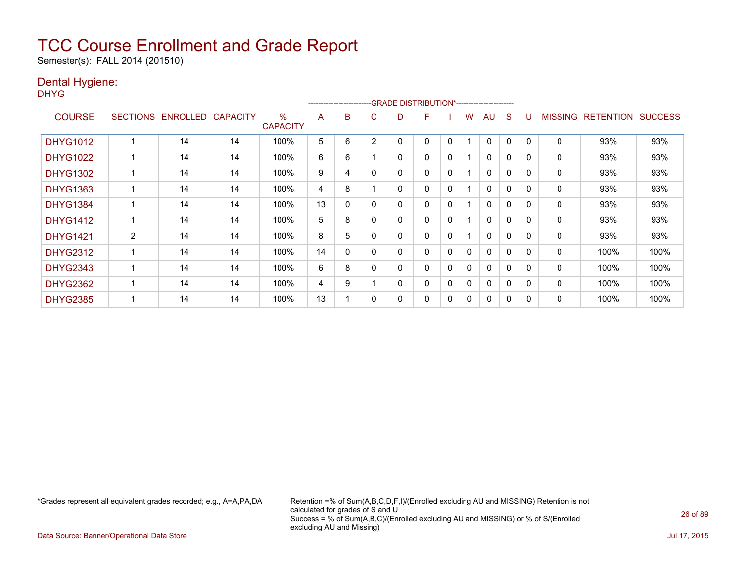Semester(s): FALL 2014 (201510)

### Dental Hygiene:

DHYG

|                 |                 |                 |                 |                         |    | ------------------------ |   | -GRADE DISTRIBUTION*---------------------- |   |   |   |              |              |          |                |                  |                |
|-----------------|-----------------|-----------------|-----------------|-------------------------|----|--------------------------|---|--------------------------------------------|---|---|---|--------------|--------------|----------|----------------|------------------|----------------|
| <b>COURSE</b>   | <b>SECTIONS</b> | <b>ENROLLED</b> | <b>CAPACITY</b> | $\%$<br><b>CAPACITY</b> | A  | B                        | C | D                                          | F |   | w | AU           | S            |          | <b>MISSING</b> | <b>RETENTION</b> | <b>SUCCESS</b> |
| <b>DHYG1012</b> |                 | 14              | 14              | 100%                    | 5  | 6                        | 2 | 0                                          | 0 | 0 |   | 0            | $\Omega$     | 0        | 0              | 93%              | 93%            |
| <b>DHYG1022</b> |                 | 14              | 14              | 100%                    | 6  | 6                        |   | 0                                          | 0 | 0 |   | 0            | 0            | 0        | 0              | 93%              | 93%            |
| <b>DHYG1302</b> |                 | 14              | 14              | 100%                    | 9  | 4                        |   | 0                                          | 0 | 0 |   | $\Omega$     | $\Omega$     | $\Omega$ | 0              | 93%              | 93%            |
| <b>DHYG1363</b> |                 | 14              | 14              | 100%                    | 4  | 8                        |   | 0                                          | 0 | 0 |   | $\mathbf{0}$ | 0            | $\Omega$ | 0              | 93%              | 93%            |
| <b>DHYG1384</b> |                 | 14              | 14              | 100%                    | 13 | 0                        | 0 | 0                                          | 0 | 0 |   | 0            | 0            | 0        | 0              | 93%              | 93%            |
| <b>DHYG1412</b> |                 | 14              | 14              | 100%                    | 5  | 8                        |   | 0                                          | 0 | 0 |   | $\Omega$     | 0            | 0        | 0              | 93%              | 93%            |
| <b>DHYG1421</b> | $\overline{2}$  | 14              | 14              | 100%                    | 8  | 5                        |   | 0                                          | 0 | 0 |   | $\mathbf{0}$ | $\Omega$     | $\Omega$ | 0              | 93%              | 93%            |
| <b>DHYG2312</b> |                 | 14              | 14              | 100%                    | 14 | 0                        |   | 0                                          | 0 | 0 | 0 | $\Omega$     | $\Omega$     | $\Omega$ | 0              | 100%             | 100%           |
| <b>DHYG2343</b> |                 | 14              | 14              | 100%                    | 6  | 8                        |   | 0                                          | 0 | 0 | 0 | $\mathbf{0}$ | 0            | $\Omega$ | 0              | 100%             | 100%           |
| <b>DHYG2362</b> |                 | 14              | 14              | 100%                    | 4  | 9                        |   | 0                                          | 0 | 0 | 0 | $\Omega$     | $\Omega$     | $\Omega$ | 0              | 100%             | 100%           |
| <b>DHYG2385</b> |                 | 14              | 14              | 100%                    | 13 |                          |   | 0                                          | 0 | 0 | 0 | $\Omega$     | $\mathbf{0}$ | $\Omega$ | 0              | 100%             | 100%           |

\*Grades represent all equivalent grades recorded; e.g., A=A,PA,DA Retention =% of Sum(A,B,C,D,F,I)/(Enrolled excluding AU and MISSING) Retention is not calculated for grades of S and U Success = % of Sum(A,B,C)/(Enrolled excluding AU and MISSING) or % of S/(Enrolled excluding AU and Missing)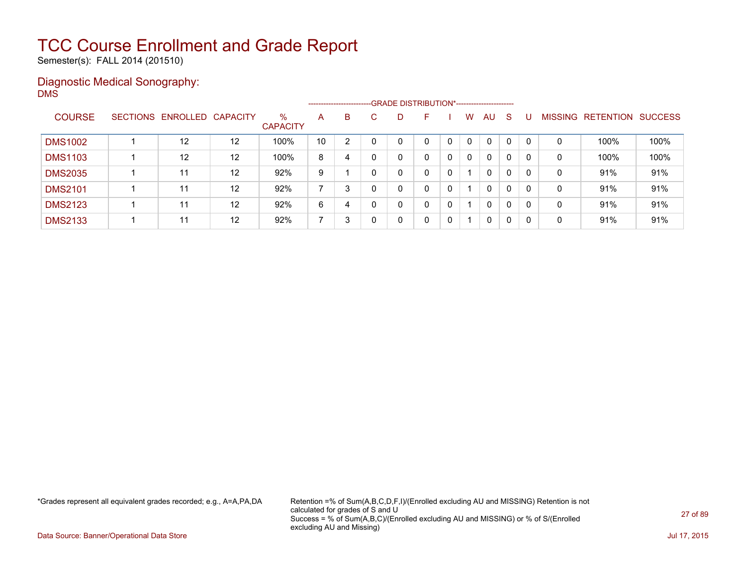Semester(s): FALL 2014 (201510)

#### Diagnostic Medical Sonography: DMS

|                |                            |                   |                         |    | ------------------------ | -GRADE DISTRIBUTION*----------------------- |   |              |              |              |              |          |                |           |                |
|----------------|----------------------------|-------------------|-------------------------|----|--------------------------|---------------------------------------------|---|--------------|--------------|--------------|--------------|----------|----------------|-----------|----------------|
| <b>COURSE</b>  | SECTIONS ENROLLED CAPACITY |                   | $\%$<br><b>CAPACITY</b> | A  | B                        | D                                           | F |              | W            | <b>AU</b>    | <sub>S</sub> |          | <b>MISSING</b> | RETENTION | <b>SUCCESS</b> |
| <b>DMS1002</b> | 12                         | 12                | 100%                    | 10 | 2                        |                                             | 0 |              | $\mathbf{0}$ | $\mathbf{0}$ | 0            | -0       | 0              | 100%      | 100%           |
| <b>DMS1103</b> | $12 \overline{ }$          | $12 \overline{ }$ | 100%                    | 8  | 4                        | 0                                           | 0 | $\mathbf{0}$ | $\Omega$     | $\mathbf{0}$ | 0            | $\Omega$ | 0              | 100%      | 100%           |
| <b>DMS2035</b> | 11                         | 12                | 92%                     | 9  |                          | 0                                           | 0 | 0            |              | $\mathbf{0}$ | 0            | 0        | 0              | 91%       | 91%            |
| <b>DMS2101</b> | 11                         | 12                | 92%                     | ⇁  | 3                        | 0                                           | 0 | 0            |              | $\mathbf{0}$ | $\mathbf 0$  | $\Omega$ | 0              | 91%       | 91%            |
| <b>DMS2123</b> | 11                         | 12                | 92%                     | 6  | 4                        | 0                                           | 0 | 0            |              | $\mathbf{0}$ | 0            | 0        | 0              | 91%       | 91%            |
| <b>DMS2133</b> | 11                         | 12                | 92%                     | ⇁  | 3                        | 0                                           | 0 | 0            |              | 0            | 0            | 0        | 0              | 91%       | 91%            |

\*Grades represent all equivalent grades recorded; e.g., A=A,PA,DA Retention =% of Sum(A,B,C,D,F,I)/(Enrolled excluding AU and MISSING) Retention is not calculated for grades of S and U Success = % of Sum(A,B,C)/(Enrolled excluding AU and MISSING) or % of S/(Enrolled excluding AU and Missing)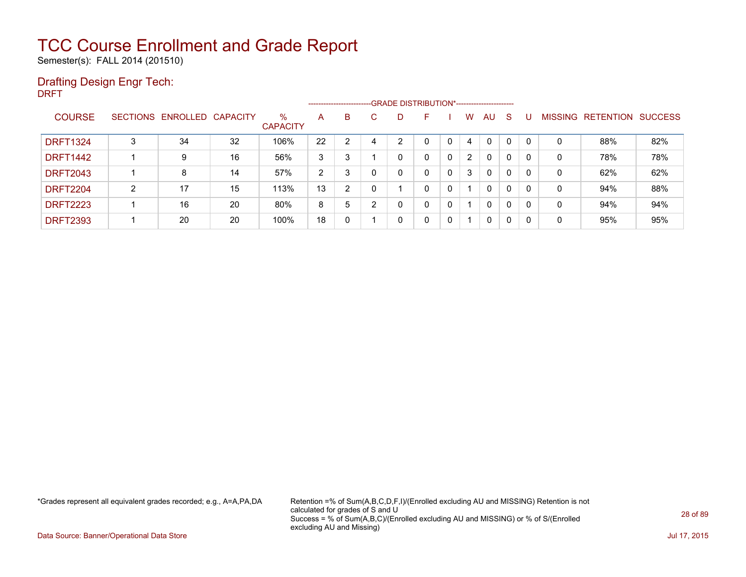Semester(s): FALL 2014 (201510)

### Drafting Design Engr Tech:

DRFT

|                 |                 |          |                 |                         | ------------------------ |                |   | --GRADE DISTRIBUTION*----------------------- |   |   |                |              |              |          |                |                  |                |
|-----------------|-----------------|----------|-----------------|-------------------------|--------------------------|----------------|---|----------------------------------------------|---|---|----------------|--------------|--------------|----------|----------------|------------------|----------------|
| <b>COURSE</b>   | <b>SECTIONS</b> | ENROLLED | <b>CAPACITY</b> | $\%$<br><b>CAPACITY</b> | A                        | B              | C | D                                            | F |   | w              | AU           | <sub>S</sub> |          | <b>MISSING</b> | <b>RETENTION</b> | <b>SUCCESS</b> |
| <b>DRFT1324</b> | 3               | 34       | 32              | 106%                    | 22                       | 2              |   | 2                                            | 0 | 0 | 4              | $\Omega$     |              | $\Omega$ | 0              | 88%              | 82%            |
| <b>DRFT1442</b> |                 | 9        | 16              | 56%                     | 3                        | 3              |   | 0                                            | 0 | 0 | $\overline{2}$ | $\Omega$     | 0            | $\Omega$ | 0              | 78%              | 78%            |
| <b>DRFT2043</b> |                 | 8        | 14              | 57%                     | 2                        | 3              |   | 0                                            | 0 | 0 | 3              | $\Omega$     | $\Omega$     | 0        | 0              | 62%              | 62%            |
| <b>DRFT2204</b> | $\overline{2}$  | 17       | 15              | 113%                    | 13                       | $\overline{2}$ | ∩ |                                              | 0 | 0 |                | $\Omega$     | $\mathbf{0}$ | $\Omega$ | 0              | 94%              | 88%            |
| <b>DRFT2223</b> |                 | 16       | 20              | 80%                     | 8                        | 5              | ົ | 0                                            | 0 | 0 |                | $\mathbf{0}$ | $\mathbf{0}$ | 0        | 0              | 94%              | 94%            |
| <b>DRFT2393</b> |                 | 20       | 20              | 100%                    | 18                       | $\mathbf{0}$   |   | 0                                            | 0 | 0 |                | 0            | 0            | 0        | 0              | 95%              | 95%            |

\*Grades represent all equivalent grades recorded; e.g., A=A,PA,DA Retention =% of Sum(A,B,C,D,F,I)/(Enrolled excluding AU and MISSING) Retention is not calculated for grades of S and U Success = % of Sum(A,B,C)/(Enrolled excluding AU and MISSING) or % of S/(Enrolled excluding AU and Missing)

Data Source: Banner/Operational Data Store Jul 17, 2015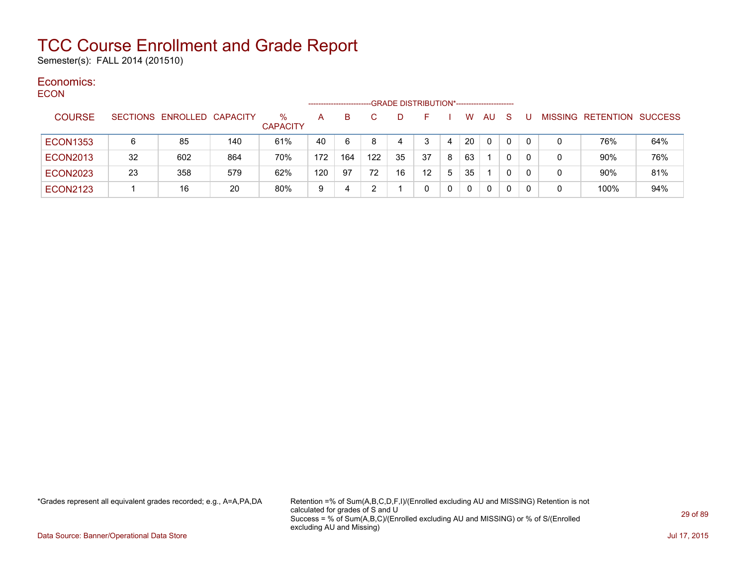Semester(s): FALL 2014 (201510)

#### Economics: ECON

| ᆫᇰᇰᇅ            |    |                            |     |                         | ----------------- |     |     |    | -GRADE DISTRIBUTION*----------------------- |    |    |              |              |    |   |                                  |     |
|-----------------|----|----------------------------|-----|-------------------------|-------------------|-----|-----|----|---------------------------------------------|----|----|--------------|--------------|----|---|----------------------------------|-----|
| <b>COURSE</b>   |    | SECTIONS ENROLLED CAPACITY |     | $\%$<br><b>CAPACITY</b> | A                 | B.  |     | D  |                                             |    | w  | AU           | <sub>S</sub> |    |   | <b>MISSING RETENTION SUCCESS</b> |     |
| <b>ECON1353</b> | 6  | 85                         | 140 | 61%                     | 40                | 6   | 8   | 4  | 2                                           | 4  | 20 | $\mathbf{0}$ | 0            | -0 | 0 | 76%                              | 64% |
| <b>ECON2013</b> | 32 | 602                        | 864 | 70%                     | 172               | 164 | 122 | 35 | 37                                          | 8  | 63 |              | 0            |    | 0 | 90%                              | 76% |
| <b>ECON2023</b> | 23 | 358                        | 579 | 62%                     | 120               | 97  | 72  | 16 | $12 \overline{ }$                           | -5 | 35 |              | 0            |    | 0 | 90%                              | 81% |
| <b>ECON2123</b> |    | 16                         | 20  | 80%                     | 9                 | 4   |     |    |                                             | 0  | 0  | 0            | 0            | -0 | 0 | 100%                             | 94% |

\*Grades represent all equivalent grades recorded; e.g., A=A,PA,DA Retention =% of Sum(A,B,C,D,F,I)/(Enrolled excluding AU and MISSING) Retention is not calculated for grades of S and U Success = % of Sum(A,B,C)/(Enrolled excluding AU and MISSING) or % of S/(Enrolled excluding AU and Missing)

Data Source: Banner/Operational Data Store Jul 17, 2015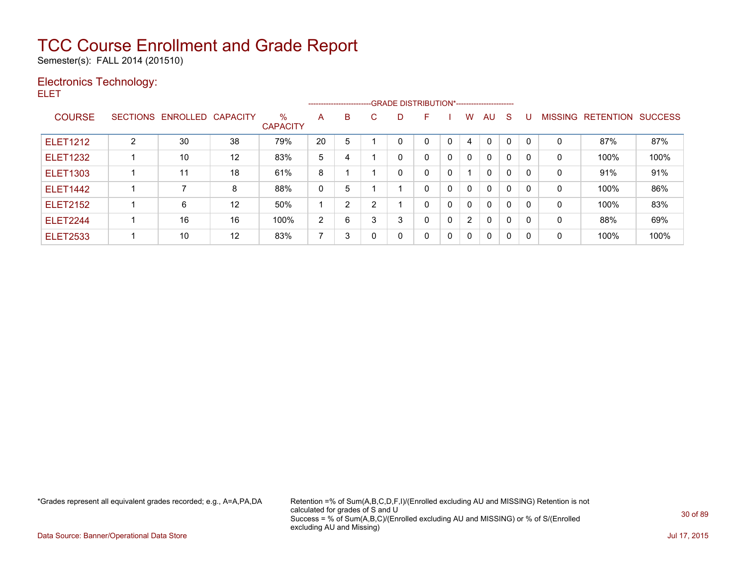Semester(s): FALL 2014 (201510)

### Electronics Technology:

ELET

|                 |   |                            |                   |                         |    | ------------------------- |   |   | --GRADE DISTRIBUTION*----------------------- |              |                |              |              |          |   |                   |                |
|-----------------|---|----------------------------|-------------------|-------------------------|----|---------------------------|---|---|----------------------------------------------|--------------|----------------|--------------|--------------|----------|---|-------------------|----------------|
| <b>COURSE</b>   |   | SECTIONS ENROLLED CAPACITY |                   | $\%$<br><b>CAPACITY</b> | A  | B                         | С | D | н                                            |              | W              | AU.          | -S           | U        |   | MISSING RETENTION | <b>SUCCESS</b> |
| <b>ELET1212</b> | 2 | 30                         | 38                | 79%                     | 20 | 5                         |   | 0 |                                              | $\Omega$     | 4              | $\Omega$     | $\Omega$     | $\Omega$ | 0 | 87%               | 87%            |
| <b>ELET1232</b> |   | 10                         | $12 \overline{ }$ | 83%                     | 5  | 4                         |   | 0 | 0                                            | 0            | $\mathbf{0}$   | $\mathbf{0}$ | $\Omega$     | 0        | 0 | 100%              | 100%           |
| <b>ELET1303</b> |   | 11                         | 18                | 61%                     | 8  |                           |   | 0 | $\Omega$                                     | 0            |                | $\mathbf{0}$ | $\Omega$     |          | 0 | 91%               | 91%            |
| <b>ELET1442</b> |   |                            | 8                 | 88%                     | 0  | 5                         |   |   | $\Omega$                                     | 0            | $\mathbf{0}$   | $\mathbf{0}$ | $\Omega$     | 0        | 0 | 100%              | 86%            |
| <b>ELET2152</b> |   | 6                          | 12                | 50%                     |    | 2                         | ົ |   | 0                                            | $\mathbf{0}$ | 0              | $\mathbf{0}$ | $\Omega$     |          | 0 | 100%              | 83%            |
| <b>ELET2244</b> |   | 16                         | 16                | 100%                    | 2  | 6                         | 3 | 3 | 0                                            | 0            | $\overline{2}$ | $\Omega$     | $\Omega$     |          | 0 | 88%               | 69%            |
| <b>ELET2533</b> |   | 10                         | 12                | 83%                     | 7  | 3                         |   | 0 | 0                                            | 0            | 0              | $\Omega$     | $\mathbf{0}$ | 0        | 0 | 100%              | 100%           |

\*Grades represent all equivalent grades recorded; e.g., A=A,PA,DA Retention =% of Sum(A,B,C,D,F,I)/(Enrolled excluding AU and MISSING) Retention is not calculated for grades of S and U Success = % of Sum(A,B,C)/(Enrolled excluding AU and MISSING) or % of S/(Enrolled excluding AU and Missing)

Data Source: Banner/Operational Data Store Jul 17, 2015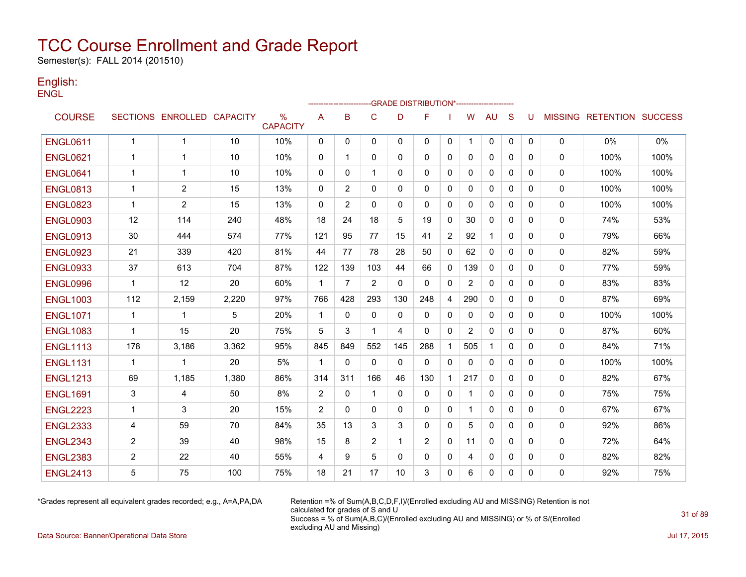Semester(s): FALL 2014 (201510)

### English: **ENGL**

|                 |                |                            |       |                         |              |                |              |              | ---GRADE                                   DISTRIBUTION*------------------------ |                |                |              |              |              |              |                                  |       |
|-----------------|----------------|----------------------------|-------|-------------------------|--------------|----------------|--------------|--------------|----------------------------------------------------------------------------------|----------------|----------------|--------------|--------------|--------------|--------------|----------------------------------|-------|
| <b>COURSE</b>   |                | SECTIONS ENROLLED CAPACITY |       | $\%$<br><b>CAPACITY</b> | A            | B              | $\mathbf C$  | D            | F                                                                                |                | W              | <b>AU</b>    | S            | U            |              | <b>MISSING RETENTION SUCCESS</b> |       |
| <b>ENGL0611</b> | $\mathbf{1}$   | $\mathbf{1}$               | 10    | 10%                     | 0            | 0              | 0            | $\mathbf{0}$ | $\mathbf{0}$                                                                     | 0              | 1.             | 0            | 0            | $\mathbf{0}$ | $\mathbf 0$  | 0%                               | $0\%$ |
| <b>ENGL0621</b> | -1             | 1                          | 10    | 10%                     | 0            | $\mathbf 1$    | $\mathbf{0}$ | 0            | 0                                                                                | 0              | 0              | $\mathbf{0}$ | $\mathbf{0}$ | 0            | 0            | 100%                             | 100%  |
| <b>ENGL0641</b> | $\mathbf 1$    | 1                          | 10    | 10%                     | 0            | $\mathbf{0}$   | $\mathbf{1}$ | $\mathbf{0}$ | $\mathbf{0}$                                                                     | 0              | 0              | 0            | $\mathbf{0}$ | 0            | 0            | 100%                             | 100%  |
| <b>ENGL0813</b> | $\mathbf 1$    | 2                          | 15    | 13%                     | $\mathbf{0}$ | 2              | $\mathbf{0}$ | $\Omega$     | 0                                                                                | $\mathbf{0}$   | 0              | $\mathbf{0}$ | $\Omega$     | 0            | 0            | 100%                             | 100%  |
| <b>ENGL0823</b> | $\mathbf 1$    | 2                          | 15    | 13%                     | $\mathbf{0}$ | 2              | $\Omega$     | $\mathbf{0}$ | 0                                                                                | $\mathbf{0}$   | 0              | $\mathbf{0}$ | $\mathbf{0}$ | $\Omega$     | $\mathbf{0}$ | 100%                             | 100%  |
| <b>ENGL0903</b> | 12             | 114                        | 240   | 48%                     | 18           | 24             | 18           | 5            | 19                                                                               | 0              | 30             | $\mathbf{0}$ | $\mathbf{0}$ | $\mathbf{0}$ | 0            | 74%                              | 53%   |
| <b>ENGL0913</b> | 30             | 444                        | 574   | 77%                     | 121          | 95             | 77           | 15           | 41                                                                               | $\overline{c}$ | 92             | $\mathbf{1}$ | $\mathbf{0}$ | $\mathbf{0}$ | $\mathbf 0$  | 79%                              | 66%   |
| <b>ENGL0923</b> | 21             | 339                        | 420   | 81%                     | 44           | 77             | 78           | 28           | 50                                                                               | $\mathbf 0$    | 62             | $\mathbf{0}$ | $\Omega$     | $\Omega$     | 0            | 82%                              | 59%   |
| <b>ENGL0933</b> | 37             | 613                        | 704   | 87%                     | 122          | 139            | 103          | 44           | 66                                                                               | $\mathbf{0}$   | 139            | $\mathbf{0}$ | $\Omega$     | $\Omega$     | $\mathbf{0}$ | 77%                              | 59%   |
| <b>ENGL0996</b> | $\mathbf 1$    | 12                         | 20    | 60%                     | $\mathbf{1}$ | $\overline{7}$ | 2            | $\mathbf{0}$ | $\Omega$                                                                         | $\mathbf{0}$   | $\overline{2}$ | $\mathbf{0}$ | $\Omega$     | $\Omega$     | 0            | 83%                              | 83%   |
| <b>ENGL1003</b> | 112            | 2,159                      | 2,220 | 97%                     | 766          | 428            | 293          | 130          | 248                                                                              | 4              | 290            | $\mathbf{0}$ | $\Omega$     | $\Omega$     | 0            | 87%                              | 69%   |
| <b>ENGL1071</b> | $\mathbf 1$    | 1                          | 5     | 20%                     | $\mathbf 1$  | 0              | 0            | 0            | $\mathbf{0}$                                                                     | 0              | 0              | 0            | $\mathbf{0}$ | 0            | 0            | 100%                             | 100%  |
| <b>ENGL1083</b> | $\mathbf{1}$   | 15                         | 20    | 75%                     | 5            | 3              | 1            | 4            | 0                                                                                | $\mathbf{0}$   | $\overline{2}$ | 0            | $\mathbf{0}$ | 0            | 0            | 87%                              | 60%   |
| <b>ENGL1113</b> | 178            | 3,186                      | 3,362 | 95%                     | 845          | 849            | 552          | 145          | 288                                                                              | 1              | 505            | $\mathbf{1}$ | $\mathbf{0}$ | $\mathbf{0}$ | 0            | 84%                              | 71%   |
| <b>ENGL1131</b> | $\mathbf{1}$   | 1                          | 20    | 5%                      | $\mathbf{1}$ | $\Omega$       | $\Omega$     | $\Omega$     | $\Omega$                                                                         | $\mathbf{0}$   | 0              | $\mathbf{0}$ | $\Omega$     | $\mathbf{0}$ | 0            | 100%                             | 100%  |
| <b>ENGL1213</b> | 69             | 1,185                      | 1,380 | 86%                     | 314          | 311            | 166          | 46           | 130                                                                              | 1              | 217            | $\mathbf{0}$ | $\mathbf{0}$ | $\mathbf{0}$ | $\mathbf 0$  | 82%                              | 67%   |
| <b>ENGL1691</b> | 3              | 4                          | 50    | 8%                      | 2            | $\mathbf{0}$   | $\mathbf{1}$ | $\mathbf{0}$ | $\mathbf{0}$                                                                     | $\mathbf{0}$   |                | $\mathbf{0}$ | $\Omega$     | $\mathbf{0}$ | 0            | 75%                              | 75%   |
| <b>ENGL2223</b> | -1             | 3                          | 20    | 15%                     | 2            | $\Omega$       | 0            | 0            | 0                                                                                | 0              |                | 0            | $\mathbf{0}$ | 0            | 0            | 67%                              | 67%   |
| <b>ENGL2333</b> | 4              | 59                         | 70    | 84%                     | 35           | 13             | 3            | 3            | $\Omega$                                                                         | $\mathbf{0}$   | 5              | $\mathbf{0}$ | $\Omega$     | $\Omega$     | $\mathbf{0}$ | 92%                              | 86%   |
| <b>ENGL2343</b> | $\overline{2}$ | 39                         | 40    | 98%                     | 15           | 8              | 2            | $\mathbf 1$  | 2                                                                                | $\mathbf{0}$   | 11             | $\mathbf{0}$ | $\Omega$     | $\Omega$     | 0            | 72%                              | 64%   |
| <b>ENGL2383</b> | $\overline{2}$ | 22                         | 40    | 55%                     | 4            | 9              | 5            | 0            | 0                                                                                | 0              | 4              | 0            | $\mathbf{0}$ | 0            | 0            | 82%                              | 82%   |
| <b>ENGL2413</b> | 5              | 75                         | 100   | 75%                     | 18           | 21             | 17           | 10           | 3                                                                                | 0              | 6              | $\mathbf{0}$ | 0            | 0            | 0            | 92%                              | 75%   |

\*Grades represent all equivalent grades recorded; e.g., A=A,PA,DA Retention =% of Sum(A,B,C,D,F,I)/(Enrolled excluding AU and MISSING) Retention is not calculated for grades of S and U Success = % of Sum(A,B,C)/(Enrolled excluding AU and MISSING) or % of S/(Enrolled excluding AU and Missing)

Data Source: Banner/Operational Data Store Jul 17, 2015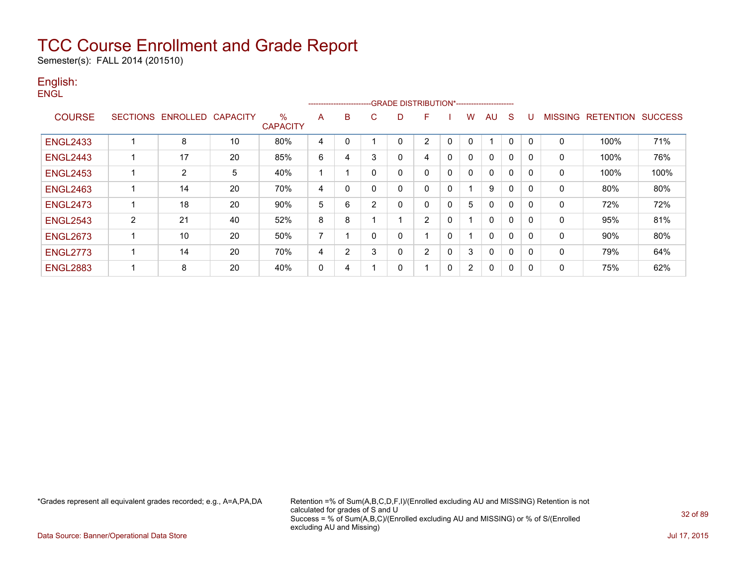Semester(s): FALL 2014 (201510)

### English: **ENGL**

|                 |   |                            |    |                      |                | ---------------------- |                |          | -GRADE DISTRIBUTION*----------------------- |             |          |              |              |             |              |                                  |      |
|-----------------|---|----------------------------|----|----------------------|----------------|------------------------|----------------|----------|---------------------------------------------|-------------|----------|--------------|--------------|-------------|--------------|----------------------------------|------|
| <b>COURSE</b>   |   | SECTIONS ENROLLED CAPACITY |    | %<br><b>CAPACITY</b> | A              | в                      | C              | D        | F                                           |             | W        | AU           | S            |             |              | <b>MISSING RETENTION SUCCESS</b> |      |
| <b>ENGL2433</b> |   | 8                          | 10 | 80%                  | $\overline{4}$ | 0                      |                | $\Omega$ | $\overline{2}$                              | $\mathbf 0$ |          |              | $\mathbf{0}$ | $\mathbf 0$ | $\mathbf 0$  | 100%                             | 71%  |
| <b>ENGL2443</b> |   | 17                         | 20 | 85%                  | 6              | 4                      | 3              | 0        | 4                                           | 0           | $\Omega$ | 0            | $\mathbf{0}$ | 0           | 0            | 100%                             | 76%  |
| <b>ENGL2453</b> |   | 2                          | 5  | 40%                  | 1              |                        | 0              | 0        | 0                                           | 0           | 0        | 0            | 0            |             | 0            | 100%                             | 100% |
| <b>ENGL2463</b> |   | 14                         | 20 | 70%                  | $\overline{4}$ | 0                      | $\Omega$       | 0        | $\Omega$                                    | $\Omega$    |          | 9            | $\mathbf{0}$ | 0           | $\mathbf{0}$ | 80%                              | 80%  |
| <b>ENGL2473</b> |   | 18                         | 20 | 90%                  | 5              | 6                      | $\overline{2}$ | 0        | $\Omega$                                    | $\Omega$    | 5        | $\mathbf{0}$ | $\mathbf{0}$ | $\Omega$    | $\Omega$     | 72%                              | 72%  |
| <b>ENGL2543</b> | 2 | 21                         | 40 | 52%                  | 8              | 8                      |                |          | $\overline{2}$                              | 0           |          | 0            | 0            |             | 0            | 95%                              | 81%  |
| <b>ENGL2673</b> |   | 10                         | 20 | 50%                  | 7              |                        | $\Omega$       | 0        |                                             | $\Omega$    |          | $\mathbf{0}$ | 0            | $\Omega$    | $\mathbf{0}$ | 90%                              | 80%  |
| <b>ENGL2773</b> |   | 14                         | 20 | 70%                  | 4              | 2                      | 3              | 0        | 2                                           | $\Omega$    | 3        | $\Omega$     | $\mathbf{0}$ | 0           | 0            | 79%                              | 64%  |
| <b>ENGL2883</b> |   | 8                          | 20 | 40%                  | 0              | 4                      |                | 0        |                                             | 0           | 2        | 0            | 0            |             | 0            | 75%                              | 62%  |

\*Grades represent all equivalent grades recorded; e.g., A=A,PA,DA Retention =% of Sum(A,B,C,D,F,I)/(Enrolled excluding AU and MISSING) Retention is not calculated for grades of S and U Success = % of Sum(A,B,C)/(Enrolled excluding AU and MISSING) or % of S/(Enrolled excluding AU and Missing)

Data Source: Banner/Operational Data Store Jul 17, 2015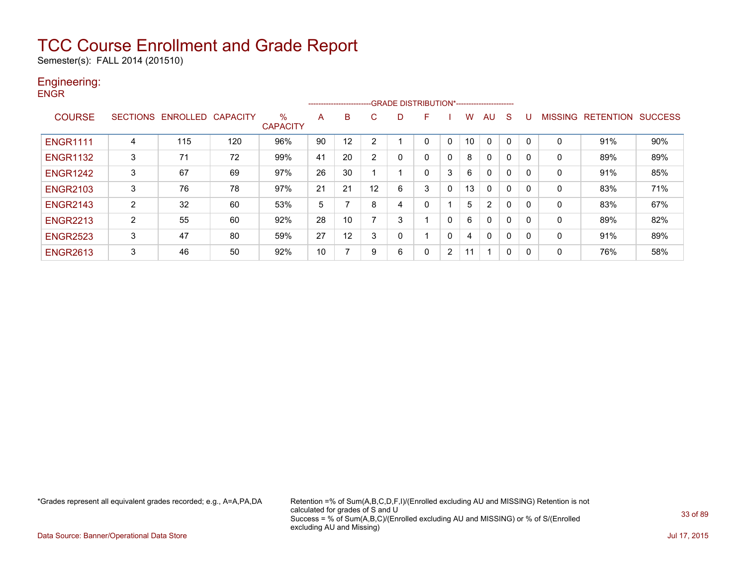Semester(s): FALL 2014 (201510)

### Engineering:

**ENGR** 

|                 |   |                   |                 |                         |    | ------------------------- |    |   | -GRADE DISTRIBUTION*----------------------- |                |    |                |              |   |          |                   |                |
|-----------------|---|-------------------|-----------------|-------------------------|----|---------------------------|----|---|---------------------------------------------|----------------|----|----------------|--------------|---|----------|-------------------|----------------|
| <b>COURSE</b>   |   | SECTIONS ENROLLED | <b>CAPACITY</b> | $\%$<br><b>CAPACITY</b> | A  | B                         | C. | D | F                                           |                | w  | AU             | S            | U |          | MISSING RETENTION | <b>SUCCESS</b> |
| <b>ENGR1111</b> | 4 | 115               | 120             | 96%                     | 90 | 12                        | c  |   | 0                                           | 0              | 10 | $\Omega$       | 0            |   | 0        | 91%               | 90%            |
| <b>ENGR1132</b> | 3 | 71                | 72              | 99%                     | 41 | 20                        | 2  |   | 0                                           | 0              | 8  | $\Omega$       | 0            |   | $\Omega$ | 89%               | 89%            |
| <b>ENGR1242</b> | 3 | 67                | 69              | 97%                     | 26 | 30                        |    |   | 0                                           | 3              | 6  | 0              | 0            |   | 0        | 91%               | 85%            |
| <b>ENGR2103</b> | 3 | 76                | 78              | 97%                     | 21 | 21                        | 12 | 6 | 3                                           | 0              | 13 | $\Omega$       | 0            |   | 0        | 83%               | 71%            |
| <b>ENGR2143</b> | 2 | 32                | 60              | 53%                     | 5  |                           | 8  | 4 | 0                                           |                | 5  | $\overline{2}$ | $\mathbf{0}$ |   | $\Omega$ | 83%               | 67%            |
| <b>ENGR2213</b> | 2 | 55                | 60              | 92%                     | 28 | 10                        |    | 3 |                                             | 0              | 6  | $\Omega$       | $\mathbf{0}$ |   | $\Omega$ | 89%               | 82%            |
| <b>ENGR2523</b> | 3 | 47                | 80              | 59%                     | 27 | 12                        | 3  | 0 |                                             | 0              | 4  | 0              | 0            |   | 0        | 91%               | 89%            |
| <b>ENGR2613</b> | 3 | 46                | 50              | 92%                     | 10 | 7                         | 9  | 6 | 0                                           | $\overline{2}$ | 11 |                | $\mathbf{0}$ |   | $\Omega$ | 76%               | 58%            |

\*Grades represent all equivalent grades recorded; e.g., A=A,PA,DA Retention =% of Sum(A,B,C,D,F,I)/(Enrolled excluding AU and MISSING) Retention is not calculated for grades of S and U Success = % of Sum(A,B,C)/(Enrolled excluding AU and MISSING) or % of S/(Enrolled excluding AU and Missing)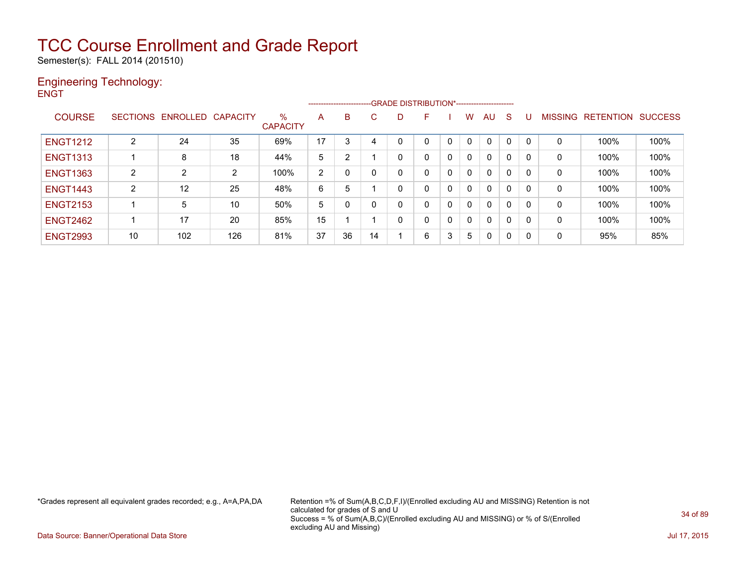Semester(s): FALL 2014 (201510)

#### Engineering Technology: **ENGT**

|                 |                 |                   |     |                      |    | ---------------------- |              |   | -GRADE DISTRIBUTION*----------------------- |              |              |          |          |   |                |                  |                |
|-----------------|-----------------|-------------------|-----|----------------------|----|------------------------|--------------|---|---------------------------------------------|--------------|--------------|----------|----------|---|----------------|------------------|----------------|
| <b>COURSE</b>   | <b>SECTIONS</b> | ENROLLED CAPACITY |     | %<br><b>CAPACITY</b> | A  | B                      | C            | D | F                                           |              | w            | AU       | S        |   | <b>MISSING</b> | <b>RETENTION</b> | <b>SUCCESS</b> |
| <b>ENGT1212</b> | 2               | 24                | 35  | 69%                  | 17 | 3                      | 4            |   |                                             |              |              | $\Omega$ | $\Omega$ |   | 0              | 100%             | 100%           |
| <b>ENGT1313</b> |                 | 8                 | 18  | 44%                  | 5  | 2                      |              | 0 | 0                                           | $\mathbf{0}$ | $\Omega$     | 0        | 0        | 0 | 0              | 100%             | 100%           |
| <b>ENGT1363</b> | 2               | $\overline{2}$    | 2   | 100%                 | 2  |                        | 0            | 0 | 0                                           | $\Omega$     | $\Omega$     | 0        | 0        | 0 | 0              | 100%             | 100%           |
| <b>ENGT1443</b> | 2               | 12                | 25  | 48%                  | 6  | 5                      |              | 0 | 0                                           | $\Omega$     | $\mathbf{0}$ | 0        | 0        | 0 | 0              | 100%             | 100%           |
| <b>ENGT2153</b> |                 | 5                 | 10  | 50%                  | 5  |                        | $\mathbf{0}$ | 0 | 0                                           | $\Omega$     | $\mathbf{0}$ | 0        | 0        | 0 | 0              | 100%             | 100%           |
| <b>ENGT2462</b> |                 | 17                | 20  | 85%                  | 15 |                        |              | 0 | 0                                           | $\Omega$     | $\mathbf{0}$ | 0        | 0        | 0 | 0              | 100%             | 100%           |
| <b>ENGT2993</b> | 10              | 102               | 126 | 81%                  | 37 | 36                     | 14           |   | 6                                           | 3            | 5            | 0        | 0        | 0 | $\mathbf{0}$   | 95%              | 85%            |

\*Grades represent all equivalent grades recorded; e.g., A=A,PA,DA Retention =% of Sum(A,B,C,D,F,I)/(Enrolled excluding AU and MISSING) Retention is not calculated for grades of S and U Success = % of Sum(A,B,C)/(Enrolled excluding AU and MISSING) or % of S/(Enrolled excluding AU and Missing)

Data Source: Banner/Operational Data Store Jul 17, 2015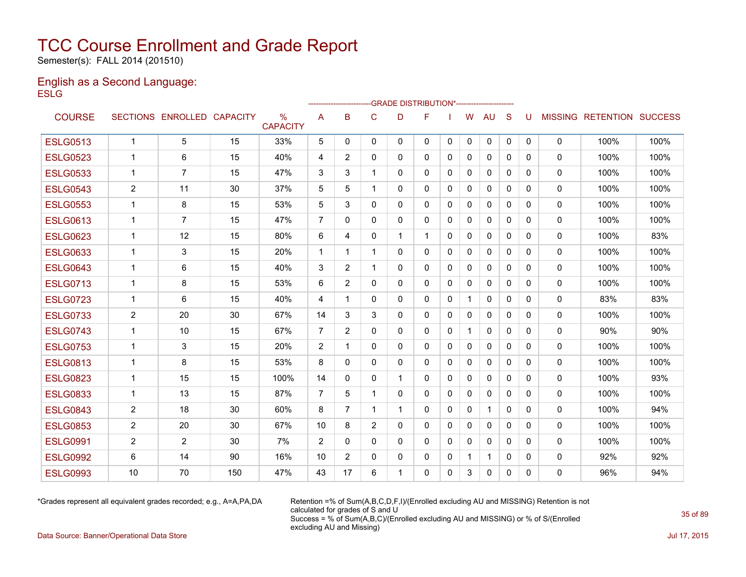Semester(s): FALL 2014 (201510)

#### English as a Second Language: **ESLG**

|                 |                |                            |     |                                  |                | -------------------- |                |              | -GRADE DISTRIBUTION*---------------------- |              |              |              |              |          |              |                           |      |
|-----------------|----------------|----------------------------|-----|----------------------------------|----------------|----------------------|----------------|--------------|--------------------------------------------|--------------|--------------|--------------|--------------|----------|--------------|---------------------------|------|
| <b>COURSE</b>   |                | SECTIONS ENROLLED CAPACITY |     | $\frac{0}{0}$<br><b>CAPACITY</b> | A              | B                    | C              | D            | F                                          |              | W            | AU           | S            | U        |              | MISSING RETENTION SUCCESS |      |
| <b>ESLG0513</b> | $\mathbf{1}$   | 5                          | 15  | 33%                              | 5              | $\mathbf{0}$         | $\mathbf{0}$   | $\mathbf{0}$ | 0                                          | 0            | $\mathbf 0$  | 0            | $\mathbf{0}$ | 0        | 0            | 100%                      | 100% |
| <b>ESLG0523</b> | $\mathbf 1$    | 6                          | 15  | 40%                              | 4              | 2                    | 0              | 0            | 0                                          | 0            | 0            | $\mathbf{0}$ | $\mathbf{0}$ | 0        | 0            | 100%                      | 100% |
| <b>ESLG0533</b> | 1              | 7                          | 15  | 47%                              | 3              | 3                    | 1              | $\mathbf{0}$ | 0                                          | $\Omega$     | 0            | $\mathbf{0}$ | $\Omega$     | 0        | 0            | 100%                      | 100% |
| <b>ESLG0543</b> | $\overline{2}$ | 11                         | 30  | 37%                              | 5              | 5                    | $\mathbf 1$    | 0            | 0                                          | 0            | $\mathbf{0}$ | $\mathbf{0}$ | $\mathbf{0}$ | 0        | 0            | 100%                      | 100% |
| <b>ESLG0553</b> | 1              | 8                          | 15  | 53%                              | 5              | 3                    | 0              | 0            | 0                                          | 0            | $\Omega$     | $\mathbf{0}$ | $\mathbf{0}$ | 0        | 0            | 100%                      | 100% |
| <b>ESLG0613</b> | 1              | 7                          | 15  | 47%                              | 7              | 0                    | $\mathbf{0}$   | 0            | $\mathbf{0}$                               | 0            | $\mathbf 0$  | $\Omega$     | $\Omega$     | 0        | 0            | 100%                      | 100% |
| <b>ESLG0623</b> | $\mathbf 1$    | 12                         | 15  | 80%                              | 6              | 4                    | 0              | $\mathbf 1$  | 1                                          | 0            | 0            | $\mathbf{0}$ | 0            | 0        | 0            | 100%                      | 83%  |
| <b>ESLG0633</b> | $\mathbf 1$    | 3                          | 15  | 20%                              | $\mathbf 1$    | -1                   | 1              | $\mathbf{0}$ | 0                                          | $\Omega$     | $\mathbf{0}$ | $\mathbf{0}$ | $\Omega$     | 0        | 0            | 100%                      | 100% |
| <b>ESLG0643</b> | $\mathbf 1$    | 6                          | 15  | 40%                              | 3              | $\overline{2}$       | 1              | 0            | 0                                          | 0            | 0            | $\mathbf{0}$ | $\mathbf{0}$ | 0        | 0            | 100%                      | 100% |
| <b>ESLG0713</b> | 1              | 8                          | 15  | 53%                              | 6              | 2                    | $\mathbf{0}$   | $\mathbf{0}$ | $\mathbf{0}$                               | $\mathbf{0}$ | $\mathbf{0}$ | $\mathbf{0}$ | $\Omega$     | 0        | 0            | 100%                      | 100% |
| <b>ESLG0723</b> | $\mathbf 1$    | 6                          | 15  | 40%                              | 4              | -1                   | $\mathbf{0}$   | $\mathbf{0}$ | $\mathbf{0}$                               | 0            | $\mathbf{1}$ | $\mathbf{0}$ | $\Omega$     | 0        | $\mathbf 0$  | 83%                       | 83%  |
| <b>ESLG0733</b> | $\overline{2}$ | 20                         | 30  | 67%                              | 14             | 3                    | 3              | $\mathbf{0}$ | 0                                          | $\Omega$     | $\mathbf{0}$ | $\mathbf{0}$ | $\Omega$     | 0        | 0            | 100%                      | 100% |
| <b>ESLG0743</b> | 1              | 10                         | 15  | 67%                              | $\overline{7}$ | $\overline{2}$       | $\mathbf{0}$   | $\Omega$     | 0                                          | $\mathbf{0}$ |              | $\mathbf{0}$ | $\Omega$     | $\Omega$ | 0            | 90%                       | 90%  |
| <b>ESLG0753</b> | 1              | 3                          | 15  | 20%                              | $\overline{2}$ | 1                    | 0              | $\mathbf{0}$ | 0                                          | $\Omega$     | 0            | $\mathbf{0}$ | 0            | 0        | 0            | 100%                      | 100% |
| <b>ESLG0813</b> | 1              | 8                          | 15  | 53%                              | 8              | $\Omega$             | $\Omega$       | $\mathbf{0}$ | $\mathbf{0}$                               | $\Omega$     | $\mathbf{0}$ | $\mathbf{0}$ | $\Omega$     | $\Omega$ | 0            | 100%                      | 100% |
| <b>ESLG0823</b> | $\mathbf 1$    | 15                         | 15  | 100%                             | 14             | 0                    | $\mathbf{0}$   | 1            | 0                                          | 0            | $\mathbf 0$  | $\Omega$     | $\mathbf{0}$ | 0        | 0            | 100%                      | 93%  |
| <b>ESLG0833</b> | $\mathbf{1}$   | 13                         | 15  | 87%                              | 7              | 5                    | 1              | $\mathbf{0}$ | 0                                          | $\mathbf{0}$ | $\mathbf{0}$ | $\mathbf{0}$ | $\Omega$     | $\Omega$ | 0            | 100%                      | 100% |
| <b>ESLG0843</b> | $\overline{2}$ | 18                         | 30  | 60%                              | 8              | $\overline{7}$       | 1              | 1            | 0                                          | $\Omega$     | $\mathbf{0}$ | $\mathbf{1}$ | $\Omega$     | $\Omega$ | $\mathbf{0}$ | 100%                      | 94%  |
| <b>ESLG0853</b> | $\overline{2}$ | 20                         | 30  | 67%                              | 10             | 8                    | $\overline{2}$ | $\Omega$     | $\Omega$                                   | $\Omega$     | $\mathbf{0}$ | $\mathbf{0}$ | $\Omega$     | $\Omega$ | 0            | 100%                      | 100% |
| <b>ESLG0991</b> | 2              | $\overline{2}$             | 30  | 7%                               | $\overline{2}$ | $\Omega$             | $\mathbf{0}$   | $\mathbf{0}$ | 0                                          | 0            | $\Omega$     | $\mathbf{0}$ | $\Omega$     | $\Omega$ | 0            | 100%                      | 100% |
| <b>ESLG0992</b> | 6              | 14                         | 90  | 16%                              | 10             | 2                    | $\mathbf{0}$   | $\Omega$     | 0                                          | $\mathbf{0}$ | $\mathbf{1}$ | $\mathbf 1$  | $\Omega$     | $\Omega$ | 0            | 92%                       | 92%  |
| <b>ESLG0993</b> | 10             | 70                         | 150 | 47%                              | 43             | 17                   | 6              | 1            | 0                                          | $\Omega$     | 3            | $\Omega$     | $\Omega$     | $\Omega$ | $\Omega$     | 96%                       | 94%  |

\*Grades represent all equivalent grades recorded; e.g., A=A,PA,DA Retention =% of Sum(A,B,C,D,F,I)/(Enrolled excluding AU and MISSING) Retention is not calculated for grades of S and U Success = % of Sum(A,B,C)/(Enrolled excluding AU and MISSING) or % of S/(Enrolled excluding AU and Missing)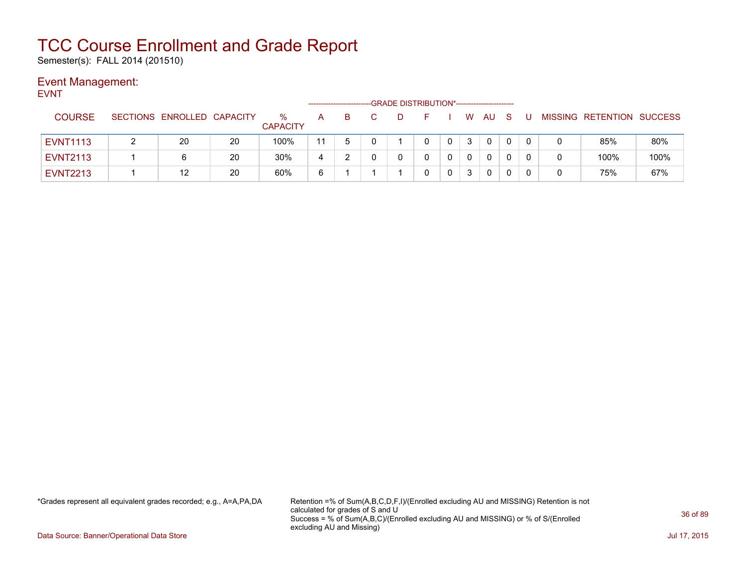Semester(s): FALL 2014 (201510)

### Event Management:

| <b>EVNT</b>     |    |    |                            |    |    |   |              |   |   |   |          |                                                    |      |                                  |
|-----------------|----|----|----------------------------|----|----|---|--------------|---|---|---|----------|----------------------------------------------------|------|----------------------------------|
|                 |    |    |                            |    |    |   |              |   |   |   |          |                                                    |      |                                  |
| <b>COURSE</b>   |    |    | $\%$<br><b>CAPACITY</b>    | A  | B. | D | <b>F</b>     |   | W |   |          | . U                                                |      |                                  |
| <b>EVNT1113</b> | 20 | 20 | 100%                       | 11 | 5  |   | $\mathbf{0}$ |   | 3 | 0 | $\Omega$ | $\Omega$                                           | 85%  | 80%                              |
| <b>EVNT2113</b> | 6  | 20 | 30%                        | 4  | າ  |   | $\Omega$     |   | 0 | 0 | 0        | $\mathbf{0}$                                       | 100% | 100%                             |
| <b>EVNT2213</b> | 12 | 20 | 60%                        | 6  |    |   | 0            | 0 | 3 | 0 | 0        | 0                                                  | 75%  | 67%                              |
|                 |    |    | SECTIONS ENROLLED CAPACITY |    |    |   |              |   |   |   |          | -GRADE DISTRIBUTION*----------------------<br>AU S |      | <b>MISSING RETENTION SUCCESS</b> |

\*Grades represent all equivalent grades recorded; e.g., A=A,PA,DA Retention =% of Sum(A,B,C,D,F,I)/(Enrolled excluding AU and MISSING) Retention is not calculated for grades of S and U Success = % of Sum(A,B,C)/(Enrolled excluding AU and MISSING) or % of S/(Enrolled excluding AU and Missing)

Data Source: Banner/Operational Data Store Jul 17, 2015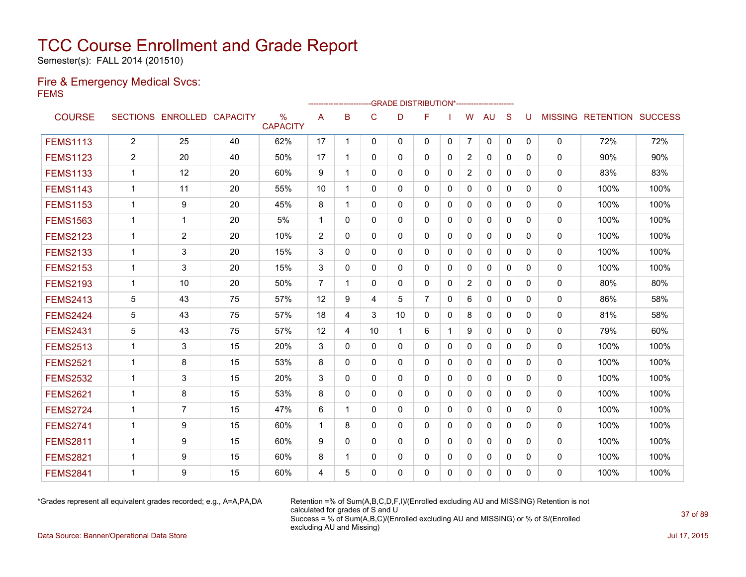Semester(s): FALL 2014 (201510)

#### Fire & Emergency Medical Svcs: FEMS

|                 |                |                            |    |                                  |                | ------------------------ |              |              | -GRADE DISTRIBUTION*---------------------- |              |                |              |              |          |              |                           |      |
|-----------------|----------------|----------------------------|----|----------------------------------|----------------|--------------------------|--------------|--------------|--------------------------------------------|--------------|----------------|--------------|--------------|----------|--------------|---------------------------|------|
| <b>COURSE</b>   |                | SECTIONS ENROLLED CAPACITY |    | $\frac{0}{0}$<br><b>CAPACITY</b> | A              | B                        | C            | D            | F                                          |              | W              | AU           | S            | U        |              | MISSING RETENTION SUCCESS |      |
| <b>FEMS1113</b> | $\overline{2}$ | 25                         | 40 | 62%                              | 17             | $\mathbf{1}$             | $\mathbf{0}$ | $\mathbf{0}$ | 0                                          | 0            | $\overline{7}$ | $\mathbf 0$  | $\mathbf{0}$ | 0        | 0            | 72%                       | 72%  |
| <b>FEMS1123</b> | 2              | 20                         | 40 | 50%                              | 17             | 1                        | $\mathbf{0}$ | 0            | 0                                          | 0            | $\overline{2}$ | 0            | $\Omega$     | 0        | 0            | 90%                       | 90%  |
| <b>FEMS1133</b> | $\mathbf{1}$   | 12                         | 20 | 60%                              | 9              | 1                        | $\mathbf{0}$ | $\Omega$     | 0                                          | $\mathbf{0}$ | $\overline{2}$ | $\mathbf{0}$ | $\Omega$     | 0        | $\mathbf{0}$ | 83%                       | 83%  |
| <b>FEMS1143</b> | $\mathbf 1$    | 11                         | 20 | 55%                              | 10             | 1                        | $\mathbf{0}$ | $\mathbf{0}$ | 0                                          | 0            | 0              | 0            | $\Omega$     | 0        | 0            | 100%                      | 100% |
| <b>FEMS1153</b> | $\mathbf 1$    | 9                          | 20 | 45%                              | 8              | 1                        | 0            | 0            | 0                                          | 0            | 0              | 0            | $\mathbf{0}$ | 0        | 0            | 100%                      | 100% |
| <b>FEMS1563</b> | $\mathbf 1$    | 1                          | 20 | 5%                               | 1              | $\Omega$                 | $\Omega$     | $\mathbf{0}$ | 0                                          | 0            | $\Omega$       | 0            | $\Omega$     | 0        | 0            | 100%                      | 100% |
| <b>FEMS2123</b> | $\mathbf{1}$   | $\overline{2}$             | 20 | 10%                              | 2              | 0                        | 0            | 0            | 0                                          | 0            | 0              | 0            | 0            | 0        | 0            | 100%                      | 100% |
| <b>FEMS2133</b> | $\mathbf{1}$   | 3                          | 20 | 15%                              | 3              | $\Omega$                 | $\mathbf{0}$ | $\mathbf{0}$ | 0                                          | $\mathbf{0}$ | $\mathbf{0}$   | $\mathbf{0}$ | $\Omega$     | $\Omega$ | 0            | 100%                      | 100% |
| <b>FEMS2153</b> | $\mathbf{1}$   | 3                          | 20 | 15%                              | 3              | $\mathbf{0}$             | 0            | $\mathbf{0}$ | 0                                          | $\mathbf 0$  | $\mathbf{0}$   | $\mathbf{0}$ | 0            | 0        | 0            | 100%                      | 100% |
| <b>FEMS2193</b> | $\mathbf{1}$   | 10                         | 20 | 50%                              | $\overline{7}$ | 1                        | $\mathbf{0}$ | 0            | 0                                          | $\Omega$     | 2              | $\mathbf{0}$ | $\Omega$     | $\Omega$ | 0            | 80%                       | 80%  |
| <b>FEMS2413</b> | 5              | 43                         | 75 | 57%                              | 12             | 9                        | 4            | 5            | $\overline{7}$                             | 0            | 6              | $\mathbf{0}$ | $\Omega$     | $\Omega$ | 0            | 86%                       | 58%  |
| <b>FEMS2424</b> | 5              | 43                         | 75 | 57%                              | 18             | 4                        | 3            | 10           | 0                                          | $\Omega$     | 8              | $\mathbf{0}$ | $\Omega$     | $\Omega$ | 0            | 81%                       | 58%  |
| <b>FEMS2431</b> | 5              | 43                         | 75 | 57%                              | 12             | 4                        | 10           |              | 6                                          |              | 9              | $\Omega$     | $\Omega$     | $\Omega$ | 0            | 79%                       | 60%  |
| <b>FEMS2513</b> | $\mathbf{1}$   | 3                          | 15 | 20%                              | 3              | $\Omega$                 | $\mathbf{0}$ | $\mathbf{0}$ | 0                                          | $\mathbf 0$  | 0              | $\mathbf{0}$ | $\Omega$     | $\Omega$ | 0            | 100%                      | 100% |
| <b>FEMS2521</b> | $\mathbf 1$    | 8                          | 15 | 53%                              | 8              | $\Omega$                 | $\Omega$     | $\mathbf{0}$ | 0                                          | 0            | $\mathbf{0}$   | 0            | $\Omega$     | $\Omega$ | $\mathbf{0}$ | 100%                      | 100% |
| <b>FEMS2532</b> | $\mathbf{1}$   | 3                          | 15 | 20%                              | 3              | $\Omega$                 | $\mathbf{0}$ | $\mathbf{0}$ | 0                                          | $\mathbf{0}$ | $\Omega$       | 0            | $\Omega$     | $\Omega$ | 0            | 100%                      | 100% |
| <b>FEMS2621</b> | $\mathbf{1}$   | 8                          | 15 | 53%                              | 8              | $\Omega$                 | $\Omega$     | 0            | $\Omega$                                   | $\mathbf{0}$ | $\Omega$       | $\mathbf{0}$ | $\Omega$     | $\Omega$ | 0            | 100%                      | 100% |
| <b>FEMS2724</b> | $\mathbf{1}$   | $\overline{7}$             | 15 | 47%                              | 6              | 1                        | $\mathbf{0}$ | $\Omega$     | 0                                          | $\mathbf{0}$ | $\mathbf{0}$   | $\Omega$     | $\Omega$     | $\Omega$ | $\Omega$     | 100%                      | 100% |
| <b>FEMS2741</b> | $\mathbf{1}$   | 9                          | 15 | 60%                              | $\mathbf{1}$   | 8                        | $\Omega$     | 0            | $\Omega$                                   | $\Omega$     | $\Omega$       | $\Omega$     | $\Omega$     | $\Omega$ | 0            | 100%                      | 100% |
| <b>FEMS2811</b> | 1              | 9                          | 15 | 60%                              | 9              | $\Omega$                 | $\mathbf{0}$ | 0            | 0                                          | $\Omega$     | $\Omega$       | $\Omega$     | $\Omega$     | $\Omega$ | 0            | 100%                      | 100% |
| <b>FEMS2821</b> | $\mathbf 1$    | 9                          | 15 | 60%                              | 8              | 1                        | $\mathbf{0}$ | $\Omega$     | 0                                          | $\Omega$     | $\Omega$       | $\mathbf{0}$ | $\Omega$     | $\Omega$ | 0            | 100%                      | 100% |
| <b>FEMS2841</b> | 1              | 9                          | 15 | 60%                              | 4              | 5                        | $\Omega$     | 0            | 0                                          | $\Omega$     | $\Omega$       | $\Omega$     | $\Omega$     | $\Omega$ | $\Omega$     | 100%                      | 100% |

\*Grades represent all equivalent grades recorded; e.g., A=A,PA,DA Retention =% of Sum(A,B,C,D,F,I)/(Enrolled excluding AU and MISSING) Retention is not calculated for grades of S and U Success = % of Sum(A,B,C)/(Enrolled excluding AU and MISSING) or % of S/(Enrolled excluding AU and Missing)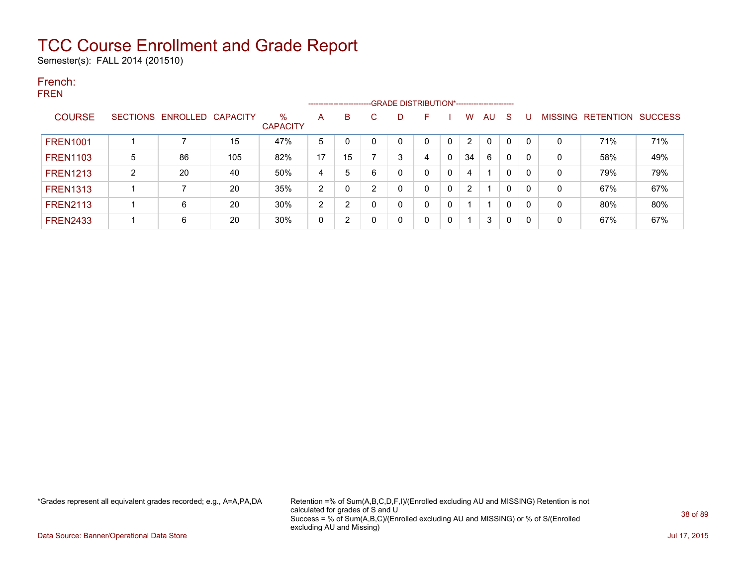Semester(s): FALL 2014 (201510)

#### French: FREN

|                 |   |                   |                 |                         |    | --------------------- |    | -GRADE DISTRIBUTION*----------------------- |   |   |                |                         |              |          |                |                  |                |
|-----------------|---|-------------------|-----------------|-------------------------|----|-----------------------|----|---------------------------------------------|---|---|----------------|-------------------------|--------------|----------|----------------|------------------|----------------|
| <b>COURSE</b>   |   | SECTIONS ENROLLED | <b>CAPACITY</b> | $\%$<br><b>CAPACITY</b> | A  | B                     | C. | D                                           | F |   | W              | AU                      | <sub>S</sub> |          | <b>MISSING</b> | <b>RETENTION</b> | <b>SUCCESS</b> |
| <b>FREN1001</b> |   |                   | 15              | 47%                     | 5  |                       |    |                                             | 0 | 0 | 2              | $\Omega$                | $\mathbf{0}$ | $\Omega$ | 0              | 71%              | 71%            |
| <b>FREN1103</b> | 5 | 86                | 105             | 82%                     | 17 | 15                    |    | 3                                           | 4 | 0 | 34             | 6                       | 0            | $\Omega$ | 0              | 58%              | 49%            |
| <b>FREN1213</b> | 2 | 20                | 40              | 50%                     | 4  | 5                     | ĥ  |                                             | 0 | 0 | 4              | $\overline{\mathbf{A}}$ | 0            | $\Omega$ | 0              | 79%              | 79%            |
| <b>FREN1313</b> |   |                   | 20              | 35%                     | 2  | 0                     |    |                                             | 0 |   | $\overline{2}$ |                         | 0            | $\Omega$ | 0              | 67%              | 67%            |
| <b>FREN2113</b> |   | 6                 | 20              | 30%                     | 2  | 2                     |    |                                             | 0 | 0 |                | 1                       | 0            | $\Omega$ | 0              | 80%              | 80%            |
| <b>FREN2433</b> |   | 6                 | 20              | 30%                     | 0  | 2                     |    |                                             | 0 | 0 |                | 3                       | 0            | 0        | 0              | 67%              | 67%            |

\*Grades represent all equivalent grades recorded; e.g., A=A,PA,DA Retention =% of Sum(A,B,C,D,F,I)/(Enrolled excluding AU and MISSING) Retention is not calculated for grades of S and U Success = % of Sum(A,B,C)/(Enrolled excluding AU and MISSING) or % of S/(Enrolled excluding AU and Missing)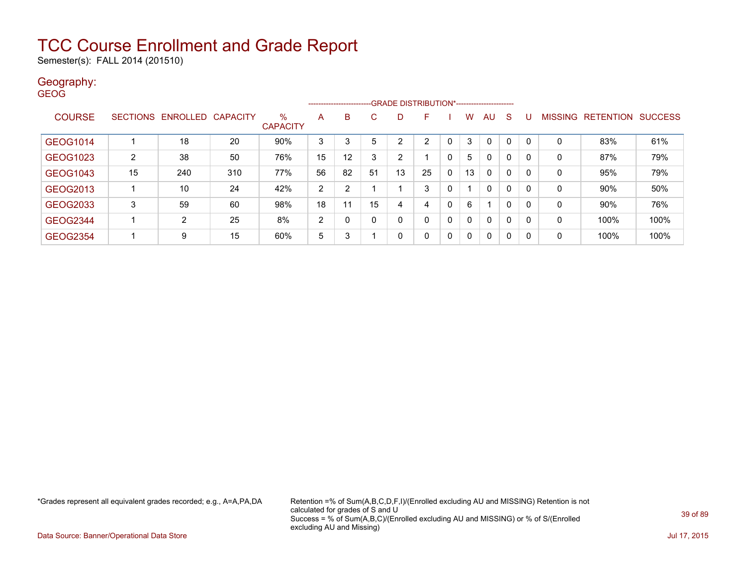Semester(s): FALL 2014 (201510)

### Geography:

GEOG

|                 |    |                   |                 |                      |                |                |              |          | --------------------------GRADE DISTRIBUTION*----------------------- |              |    |    |              |             |             |                  |                |
|-----------------|----|-------------------|-----------------|----------------------|----------------|----------------|--------------|----------|----------------------------------------------------------------------|--------------|----|----|--------------|-------------|-------------|------------------|----------------|
| <b>COURSE</b>   |    | SECTIONS ENROLLED | <b>CAPACITY</b> | %<br><b>CAPACITY</b> | A              | B              | $\mathbf{C}$ |          | F                                                                    |              | w  | AU | S            | U           | MISSING     | <b>RETENTION</b> | <b>SUCCESS</b> |
| GEOG1014        |    | 18                | 20              | 90%                  | 3              | 3              | 5            | 2        | ◠                                                                    |              | 3  | 0  |              | $\mathbf 0$ | $\mathbf 0$ | 83%              | 61%            |
| GEOG1023        | 2  | 38                | 50              | 76%                  | 15             | 12             | 3            | 2        |                                                                      | $\Omega$     | 5  | 0  | 0            | 0           | 0           | 87%              | 79%            |
| <b>GEOG1043</b> | 15 | 240               | 310             | 77%                  | 56             | 82             | 51           | 13       | 25                                                                   | $\mathbf{0}$ | 13 | 0  | 0            | 0           | 0           | 95%              | 79%            |
| GEOG2013        |    | 10                | 24              | 42%                  | $\overline{2}$ | $\overline{2}$ |              |          | 3                                                                    | $\mathbf{0}$ |    | 0  | 0            | 0           | 0           | 90%              | 50%            |
| GEOG2033        | 3  | 59                | 60              | 98%                  | 18             |                | 15           | 4        | 4                                                                    | $\mathbf{0}$ | 6  |    | $\mathbf{0}$ | 0           | 0           | 90%              | 76%            |
| <b>GEOG2344</b> |    | 2                 | 25              | 8%                   | 2              | 0              | 0            | $\Omega$ | n                                                                    | $\mathbf{0}$ | 0  | 0  | 0            | 0           | 0           | 100%             | 100%           |
| GEOG2354        |    | 9                 | 15              | 60%                  | 5              | 3              |              | 0        | 0                                                                    | $\mathbf{0}$ | 0  | 0  | 0            | 0           | 0           | 100%             | 100%           |

\*Grades represent all equivalent grades recorded; e.g., A=A,PA,DA Retention =% of Sum(A,B,C,D,F,I)/(Enrolled excluding AU and MISSING) Retention is not calculated for grades of S and U Success = % of Sum(A,B,C)/(Enrolled excluding AU and MISSING) or % of S/(Enrolled excluding AU and Missing)

Data Source: Banner/Operational Data Store Jul 17, 2015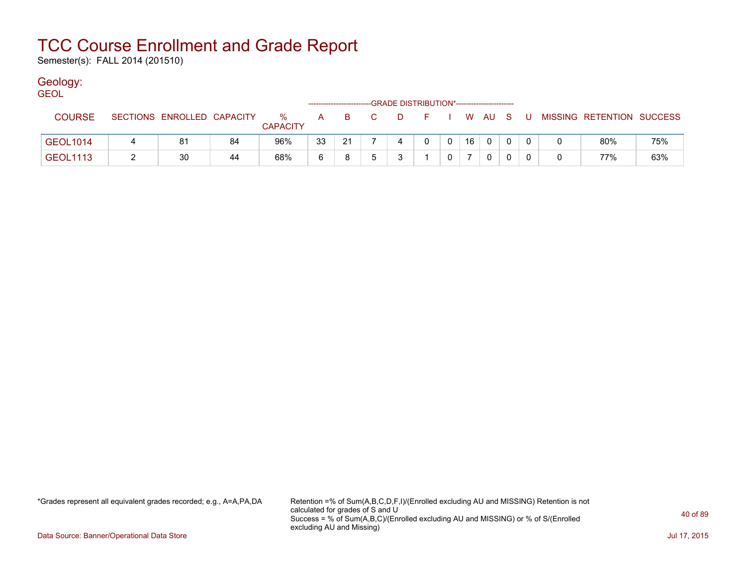Semester(s): FALL 2014 (201510)

### Geology:

| <b>GEOL</b>     |                            |    |                      |    |     |                                                                                                                                                                                                                                                                                                                                    | -GRADE DISTRIBUTION*----------------------- |             |    |          |          |     |                           |     |
|-----------------|----------------------------|----|----------------------|----|-----|------------------------------------------------------------------------------------------------------------------------------------------------------------------------------------------------------------------------------------------------------------------------------------------------------------------------------------|---------------------------------------------|-------------|----|----------|----------|-----|---------------------------|-----|
| <b>COURSE</b>   | SECTIONS ENROLLED CAPACITY |    | %<br><b>CAPACITY</b> |    | A B | $\overline{C}$ and $\overline{C}$ and $\overline{C}$ and $\overline{C}$ and $\overline{C}$ and $\overline{C}$ and $\overline{C}$ and $\overline{C}$ and $\overline{C}$ and $\overline{C}$ and $\overline{C}$ and $\overline{C}$ and $\overline{C}$ and $\overline{C}$ and $\overline{C}$ and $\overline{C}$ and $\overline{C}$ and | D F I WAUS                                  |             |    |          |          | - U | MISSING RETENTION SUCCESS |     |
| <b>GEOL1014</b> | 81                         | 84 | 96%                  | 33 | 21  |                                                                                                                                                                                                                                                                                                                                    | $\Omega$                                    | $\mathbf 0$ | 16 | $\Omega$ | $\Omega$ |     | 80%                       | 75% |
| <b>GEOL1113</b> | 30                         | 44 | 68%                  |    |     |                                                                                                                                                                                                                                                                                                                                    |                                             |             |    |          |          |     | 77%                       | 63% |

\*Grades represent all equivalent grades recorded; e.g., A=A,PA,DA Retention =% of Sum(A,B,C,D,F,I)/(Enrolled excluding AU and MISSING) Retention is not calculated for grades of S and U Success = % of Sum(A,B,C)/(Enrolled excluding AU and MISSING) or % of S/(Enrolled excluding AU and Missing)

Data Source: Banner/Operational Data Store Jul 17, 2015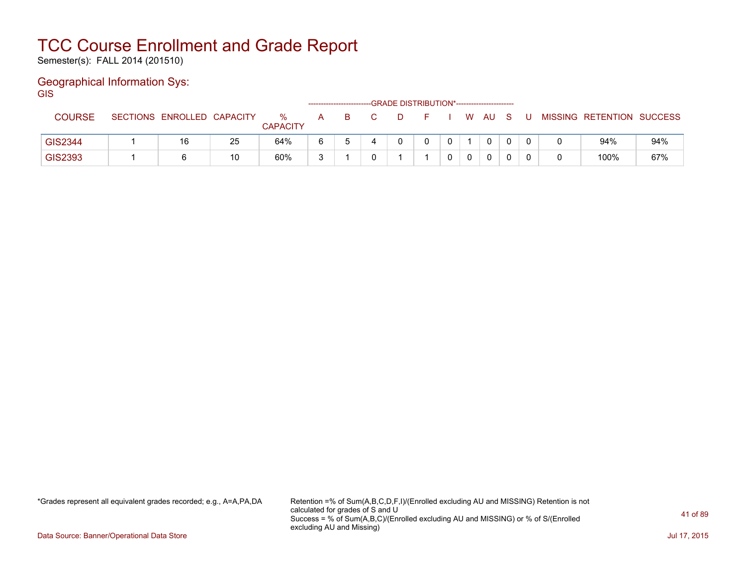Semester(s): FALL 2014 (201510)

### Geographical Information Sys:

**GIS** 

|               |                            |    |                      |   | ------------------------- |  | -GRADE DISTRIBUTION*----------------------- |    |              |     |   |                           |     |
|---------------|----------------------------|----|----------------------|---|---------------------------|--|---------------------------------------------|----|--------------|-----|---|---------------------------|-----|
| <b>COURSE</b> | SECTIONS ENROLLED CAPACITY |    | %<br><b>CAPACITY</b> | А |                           |  |                                             | W. | - AU         | - S | U | MISSING RETENTION SUCCESS |     |
| GIS2344       | 16                         | 25 | 64%                  |   |                           |  |                                             |    | $\mathbf{0}$ |     |   | 94%                       | 94% |
| GIS2393       |                            | 10 | 60%                  |   |                           |  |                                             |    | $\mathbf{0}$ |     |   | 100%                      | 67% |

\*Grades represent all equivalent grades recorded; e.g., A=A,PA,DA Retention =% of Sum(A,B,C,D,F,I)/(Enrolled excluding AU and MISSING) Retention is not calculated for grades of S and U Success = % of Sum(A,B,C)/(Enrolled excluding AU and MISSING) or % of S/(Enrolled excluding AU and Missing)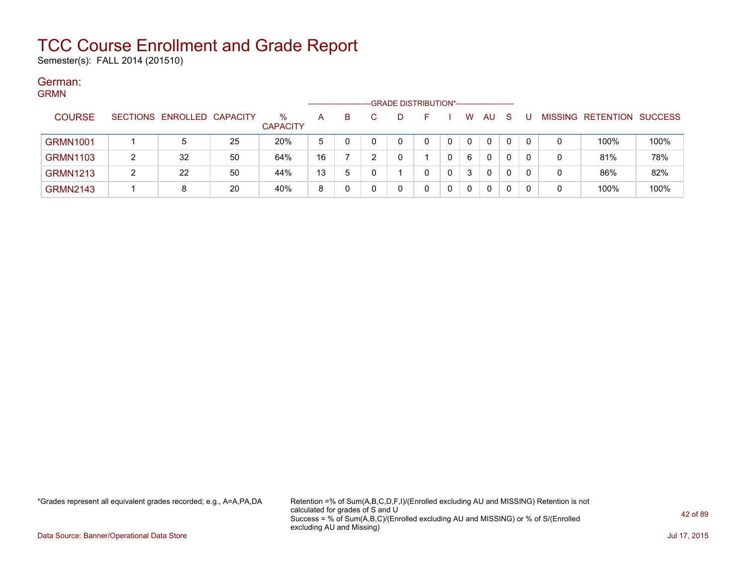Semester(s): FALL 2014 (201510)

#### German: **CDMM**

| UNIVIIV         |   |                            |    |                         | --------------------- |    | -GRADE DISTRIBUTION*----------------------- |   |          |              |    |   |                   |                |
|-----------------|---|----------------------------|----|-------------------------|-----------------------|----|---------------------------------------------|---|----------|--------------|----|---|-------------------|----------------|
| <b>COURSE</b>   |   | SECTIONS ENROLLED CAPACITY |    | $\%$<br><b>CAPACITY</b> | A                     | B. |                                             |   | W        | AU.          | -S |   | MISSING RETENTION | <b>SUCCESS</b> |
| <b>GRMN1001</b> |   | 5                          | 25 | 20%                     | 5                     |    |                                             | 0 | $\Omega$ | 0            | 0  |   | 100%              | 100%           |
| <b>GRMN1103</b> |   | 32                         | 50 | 64%                     | 16                    |    |                                             |   | 6        | $\mathbf{0}$ | 0  | 0 | 81%               | 78%            |
| <b>GRMN1213</b> | ົ | 22                         | 50 | 44%                     | 13                    | 5  |                                             | 0 | 3        | 0            | 0  |   | 86%               | 82%            |
| <b>GRMN2143</b> |   |                            | 20 | 40%                     | 8                     |    |                                             |   | 0        | 0            |    |   | 100%              | 100%           |

\*Grades represent all equivalent grades recorded; e.g., A=A,PA,DA Retention =% of Sum(A,B,C,D,F,I)/(Enrolled excluding AU and MISSING) Retention is not calculated for grades of S and U Success = % of Sum(A,B,C)/(Enrolled excluding AU and MISSING) or % of S/(Enrolled excluding AU and Missing)

Data Source: Banner/Operational Data Store Jul 17, 2015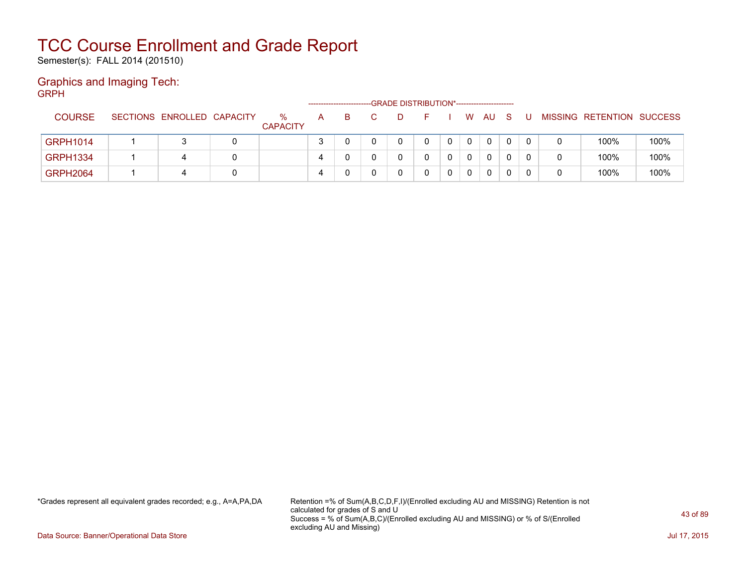Semester(s): FALL 2014 (201510)

#### Graphics and Imaging Tech: GRPH

| ----            |                            |   |                         | --------------------- |    | -GRADE DISTRIBUTION*----------------------- |    |              |             |              |    |   |                           |      |
|-----------------|----------------------------|---|-------------------------|-----------------------|----|---------------------------------------------|----|--------------|-------------|--------------|----|---|---------------------------|------|
| <b>COURSE</b>   | SECTIONS ENROLLED CAPACITY |   | $\%$<br><b>CAPACITY</b> | A                     | -B | D.                                          | F. |              | W AU        | - S          | -U |   | MISSING RETENTION SUCCESS |      |
| <b>GRPH1014</b> |                            |   |                         |                       |    |                                             |    | $\Omega$     | $\mathbf 0$ | $\mathbf{0}$ |    |   | 100%                      | 100% |
| <b>GRPH1334</b> | 4                          |   |                         | 4                     |    |                                             |    | $\mathbf{0}$ | 0           | 0            |    | 0 | 100%                      | 100% |
| <b>GRPH2064</b> |                            | 0 |                         | 4                     |    |                                             |    | $\mathbf{0}$ | 0           | 0            |    |   | 100%                      | 100% |

\*Grades represent all equivalent grades recorded; e.g., A=A,PA,DA Retention =% of Sum(A,B,C,D,F,I)/(Enrolled excluding AU and MISSING) Retention is not calculated for grades of S and U Success = % of Sum(A,B,C)/(Enrolled excluding AU and MISSING) or % of S/(Enrolled excluding AU and Missing)

Data Source: Banner/Operational Data Store Jul 17, 2015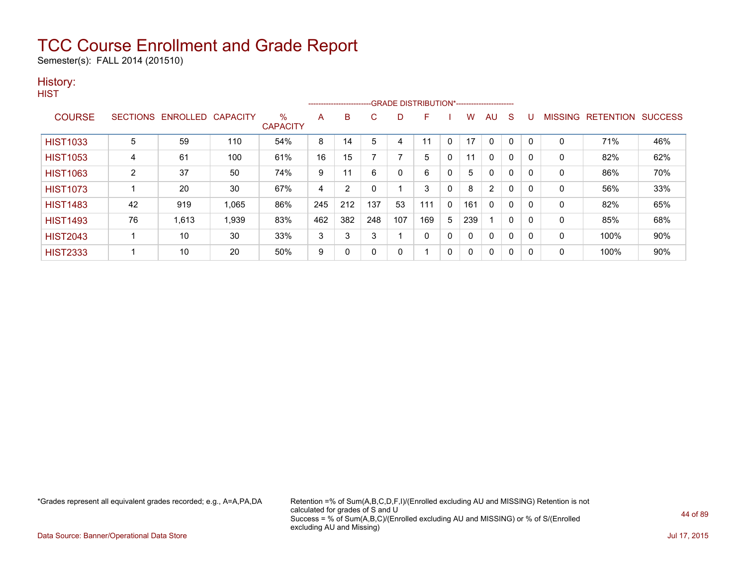Semester(s): FALL 2014 (201510)

### History:

**HIST** 

|                 |        |                   |                 |                      |     |                |     |     | -------------------------GRADE DISTRIBUTION*----------------------- |              |          |              |   |             |              |                                  |     |
|-----------------|--------|-------------------|-----------------|----------------------|-----|----------------|-----|-----|---------------------------------------------------------------------|--------------|----------|--------------|---|-------------|--------------|----------------------------------|-----|
| <b>COURSE</b>   |        | SECTIONS ENROLLED | <b>CAPACITY</b> | %<br><b>CAPACITY</b> | A   | B              | C   | D   | F                                                                   |              | w        | AU           | S |             |              | <b>MISSING RETENTION SUCCESS</b> |     |
| <b>HIST1033</b> | 5      | 59                | 110             | 54%                  | 8   | 14             | 5   | 4   | 11                                                                  | 0            | 17       | $\Omega$     | 0 | $\mathbf 0$ | $\mathbf 0$  | 71%                              | 46% |
| <b>HIST1053</b> | 4      | 61                | 100             | 61%                  | 16  | 15             |     |     | 5                                                                   | 0            | 11       | $\mathbf{0}$ | 0 |             | $\mathbf{0}$ | 82%                              | 62% |
| <b>HIST1063</b> | ົ<br>∠ | 37                | 50              | 74%                  | 9   | 11             | 6   | 0   | 6                                                                   | 0            | 5        | 0            | 0 | 0           | 0            | 86%                              | 70% |
| <b>HIST1073</b> |        | 20                | 30              | 67%                  | 4   | $\overline{2}$ | 0   |     | 3                                                                   | 0            | 8        | 2            | 0 |             | 0            | 56%                              | 33% |
| <b>HIST1483</b> | 42     | 919               | 1,065           | 86%                  | 245 | 212            | 137 | 53  | 111                                                                 | $\mathbf{0}$ | 161      | $\mathbf{0}$ | 0 |             | $\mathbf{0}$ | 82%                              | 65% |
| <b>HIST1493</b> | 76     | 1,613             | 1,939           | 83%                  | 462 | 382            | 248 | 107 | 169                                                                 | 5            | 239      |              | 0 | 0           | $\mathbf{0}$ | 85%                              | 68% |
| <b>HIST2043</b> |        | 10                | 30              | 33%                  | 3   | 3              | 3   |     | $\mathbf{0}$                                                        | 0            |          | 0            | 0 |             | 0            | 100%                             | 90% |
| <b>HIST2333</b> |        | 10                | 20              | 50%                  | 9   | $\Omega$       | 0   | 0   |                                                                     | $\mathbf{0}$ | $\Omega$ | 0            | 0 | 0           | 0            | 100%                             | 90% |

\*Grades represent all equivalent grades recorded; e.g., A=A,PA,DA Retention =% of Sum(A,B,C,D,F,I)/(Enrolled excluding AU and MISSING) Retention is not calculated for grades of S and U Success = % of Sum(A,B,C)/(Enrolled excluding AU and MISSING) or % of S/(Enrolled excluding AU and Missing)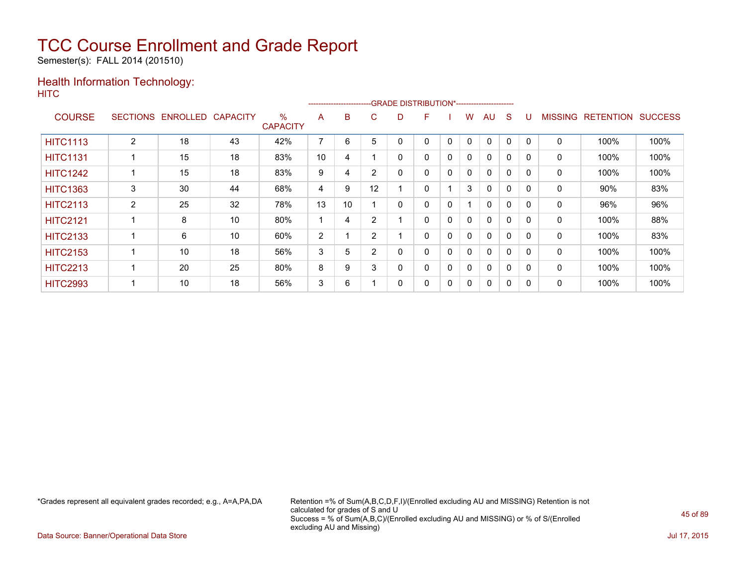Semester(s): FALL 2014 (201510)

#### Health Information Technology: **HITC**

|                 |                 |                   |    |                                  |    | ------------------------- |                | -GRADE DISTRIBUTION*---------------------- |   |              |              |              |          |          |                |                  |                |
|-----------------|-----------------|-------------------|----|----------------------------------|----|---------------------------|----------------|--------------------------------------------|---|--------------|--------------|--------------|----------|----------|----------------|------------------|----------------|
| <b>COURSE</b>   | <b>SECTIONS</b> | ENROLLED CAPACITY |    | $\frac{0}{0}$<br><b>CAPACITY</b> | A  | в                         | C.             | D                                          | F |              | W            | AU           | S        |          | <b>MISSING</b> | <b>RETENTION</b> | <b>SUCCESS</b> |
| <b>HITC1113</b> | $\overline{2}$  | 18                | 43 | 42%                              | 7  | 6                         | 5              |                                            | 0 | $\mathbf{0}$ | $\mathbf{0}$ | $\mathbf{0}$ | 0        | $\Omega$ | 0              | 100%             | 100%           |
| <b>HITC1131</b> |                 | 15                | 18 | 83%                              | 10 | 4                         |                | 0                                          | 0 | 0            | 0            | $\mathbf{0}$ | 0        | $\Omega$ | 0              | 100%             | 100%           |
| <b>HITC1242</b> |                 | 15                | 18 | 83%                              | 9  | 4                         | $\overline{2}$ |                                            | 0 | 0            | 0            | $\mathbf{0}$ | 0        | 0        | 0              | 100%             | 100%           |
| <b>HITC1363</b> | 3               | 30                | 44 | 68%                              | 4  | 9                         | 12             |                                            | 0 |              | 3            | $\Omega$     | 0        | $\Omega$ | 0              | 90%              | 83%            |
| <b>HITC2113</b> | $\overline{2}$  | 25                | 32 | 78%                              | 13 | 10                        |                | 0                                          | 0 | 0            |              | $\mathbf{0}$ | 0        | $\Omega$ | $\mathbf 0$    | 96%              | 96%            |
| <b>HITC2121</b> |                 | 8                 | 10 | 80%                              |    | 4                         | 2              |                                            | 0 | $\mathbf{0}$ | 0            | $\mathbf{0}$ | $\Omega$ | $\Omega$ | 0              | 100%             | 88%            |
| <b>HITC2133</b> |                 | 6                 | 10 | 60%                              | 2  |                           | 2              |                                            | 0 | 0            | $\mathbf{0}$ | $\mathbf{0}$ | 0        | $\Omega$ | 0              | 100%             | 83%            |
| <b>HITC2153</b> |                 | 10                | 18 | 56%                              | 3  | 5                         | $\overline{2}$ | 0                                          | 0 | 0            | $\mathbf{0}$ | $\mathbf{0}$ | 0        | $\Omega$ | 0              | 100%             | 100%           |
| <b>HITC2213</b> |                 | 20                | 25 | 80%                              | 8  | 9                         | 3              | 0                                          | 0 | 0            | $\mathbf{0}$ | $\mathbf{0}$ | 0        | 0        | $\Omega$       | 100%             | 100%           |
| <b>HITC2993</b> |                 | 10                | 18 | 56%                              | 3  | 6                         |                |                                            | 0 | 0            | 0            | $\mathbf{0}$ | 0        | 0        | 0              | 100%             | 100%           |

\*Grades represent all equivalent grades recorded; e.g., A=A,PA,DA Retention =% of Sum(A,B,C,D,F,I)/(Enrolled excluding AU and MISSING) Retention is not calculated for grades of S and U Success = % of Sum(A,B,C)/(Enrolled excluding AU and MISSING) or % of S/(Enrolled excluding AU and Missing)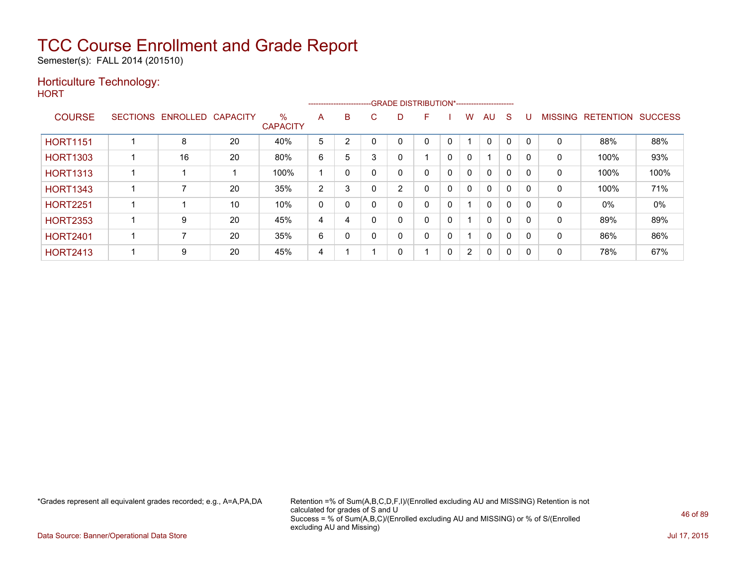Semester(s): FALL 2014 (201510)

### Horticulture Technology:

**HORT** 

|                 |                 |          |                 |                      |                | ------------------------ |   |   | --GRADE DISTRIBUTION*----------------------- |          |                |              |          |              |                |                  |                |
|-----------------|-----------------|----------|-----------------|----------------------|----------------|--------------------------|---|---|----------------------------------------------|----------|----------------|--------------|----------|--------------|----------------|------------------|----------------|
| <b>COURSE</b>   | <b>SECTIONS</b> | ENROLLED | <b>CAPACITY</b> | %<br><b>CAPACITY</b> | A              | B                        | С | D | F                                            |          | w              | AU.          | S        |              | <b>MISSING</b> | <b>RETENTION</b> | <b>SUCCESS</b> |
| <b>HORT1151</b> |                 | 8        | 20              | 40%                  | 5              | ົ                        |   | 0 | 0                                            | 0        |                | $\mathbf 0$  | 0        | $\Omega$     | 0              | 88%              | 88%            |
| <b>HORT1303</b> |                 | 16       | 20              | 80%                  | 6              | 5                        | 3 | 0 |                                              | $\Omega$ | 0              |              | 0        | 0            | 0              | 100%             | 93%            |
| <b>HORT1313</b> |                 |          |                 | 100%                 | 4              |                          |   | 0 | 0                                            | 0        | $\mathbf{0}$   | $\Omega$     | $\Omega$ | $\Omega$     | 0              | 100%             | 100%           |
| <b>HORT1343</b> |                 |          | 20              | 35%                  | $\overline{2}$ | c<br>د.                  |   | 2 | 0                                            | 0        | 0              | $\Omega$     | 0        | $\Omega$     | 0              | 100%             | 71%            |
| <b>HORT2251</b> |                 |          | 10              | 10%                  | $\mathbf{0}$   |                          |   | 0 | $\Omega$                                     | 0        |                | $\Omega$     | $\Omega$ | $\Omega$     | 0              | 0%               | $0\%$          |
| <b>HORT2353</b> |                 | 9        | 20              | 45%                  | 4              | 4                        |   | 0 | 0                                            | 0        |                | $\mathbf{0}$ | $\Omega$ | $\Omega$     | 0              | 89%              | 89%            |
| <b>HORT2401</b> |                 |          | 20              | 35%                  | 6              |                          |   | 0 | 0                                            | 0        |                | $\Omega$     | 0        | $\mathbf{0}$ | 0              | 86%              | 86%            |
| <b>HORT2413</b> |                 | 9        | 20              | 45%                  | 4              |                          |   | 0 | 1                                            | 0        | $\overline{2}$ | $\mathbf{0}$ | 0        | $\Omega$     | 0              | 78%              | 67%            |

\*Grades represent all equivalent grades recorded; e.g., A=A,PA,DA Retention =% of Sum(A,B,C,D,F,I)/(Enrolled excluding AU and MISSING) Retention is not calculated for grades of S and U Success = % of Sum(A,B,C)/(Enrolled excluding AU and MISSING) or % of S/(Enrolled excluding AU and Missing)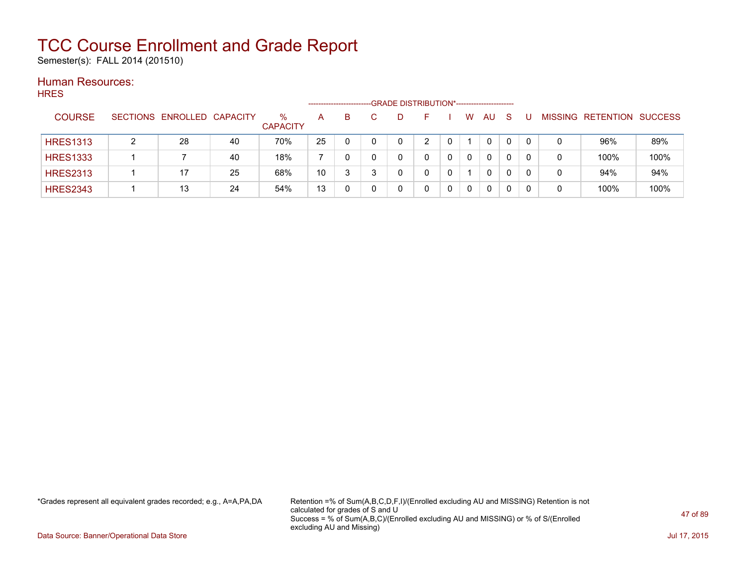Semester(s): FALL 2014 (201510)

#### Human Resources: **HRES**

| .               |                            |    |                      | ------------------- |    | -GRADE DISTRIBUTION*----------------------- |   |          |           |              |    |   |                           |      |
|-----------------|----------------------------|----|----------------------|---------------------|----|---------------------------------------------|---|----------|-----------|--------------|----|---|---------------------------|------|
| <b>COURSE</b>   | SECTIONS ENROLLED CAPACITY |    | %<br><b>CAPACITY</b> | A                   | B. |                                             |   | W        | <b>AU</b> | <sub>S</sub> |    |   | MISSING RETENTION SUCCESS |      |
| <b>HRES1313</b> | 28                         | 40 | 70%                  | 25                  |    |                                             | ົ |          | 0         |              |    | 0 | 96%                       | 89%  |
| <b>HRES1333</b> |                            | 40 | 18%                  |                     |    |                                             | 0 | $\Omega$ | 0         | 0            | -0 | 0 | 100%                      | 100% |
| <b>HRES2313</b> | 17                         | 25 | 68%                  | 10                  | 3  |                                             |   |          | 0         | 0            | -0 | 0 | 94%                       | 94%  |
| <b>HRES2343</b> | 13                         | 24 | 54%                  | 13                  |    |                                             |   | 0        | 0         | 0            |    | 0 | 100%                      | 100% |

\*Grades represent all equivalent grades recorded; e.g., A=A,PA,DA Retention =% of Sum(A,B,C,D,F,I)/(Enrolled excluding AU and MISSING) Retention is not calculated for grades of S and U Success = % of Sum(A,B,C)/(Enrolled excluding AU and MISSING) or % of S/(Enrolled excluding AU and Missing)

Data Source: Banner/Operational Data Store Jul 17, 2015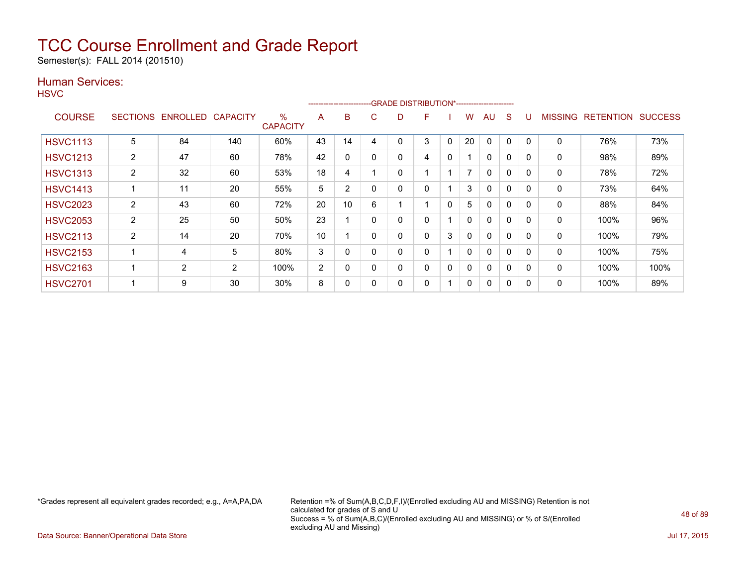Semester(s): FALL 2014 (201510)

### Human Services:

**HSVC** 

|                 |                |                   |                 |                         |    | ------------------------- |   |   | -GRADE DISTRIBUTION*----------------------- |              |                          |              |              |          |                |                  |                |
|-----------------|----------------|-------------------|-----------------|-------------------------|----|---------------------------|---|---|---------------------------------------------|--------------|--------------------------|--------------|--------------|----------|----------------|------------------|----------------|
| <b>COURSE</b>   |                | SECTIONS ENROLLED | <b>CAPACITY</b> | $\%$<br><b>CAPACITY</b> | A  | B                         | C | D | F                                           |              | w                        | AU           | S            |          | <b>MISSING</b> | <b>RETENTION</b> | <b>SUCCESS</b> |
| <b>HSVC1113</b> | 5              | 84                | 140             | 60%                     | 43 | 14                        |   |   | 3                                           | 0            | 20                       | 0            | 0            |          | 0              | 76%              | 73%            |
| <b>HSVC1213</b> | 2              | 47                | 60              | 78%                     | 42 | 0                         |   | 0 | 4                                           | 0            |                          | $\mathbf{0}$ | $\mathbf{0}$ | $\Omega$ | $\mathbf 0$    | 98%              | 89%            |
| <b>HSVC1313</b> | $\overline{2}$ | 32                | 60              | 53%                     | 18 | 4                         |   | 0 |                                             |              | $\overline{\phantom{a}}$ | $\mathbf{0}$ | $\Omega$     | $\Omega$ | $\mathbf{0}$   | 78%              | 72%            |
| <b>HSVC1413</b> |                | 11                | 20              | 55%                     | 5  | $\overline{2}$            |   | 0 | 0                                           |              | 3                        | $\mathbf{0}$ | 0            | $\Omega$ | 0              | 73%              | 64%            |
| <b>HSVC2023</b> | $\overline{2}$ | 43                | 60              | 72%                     | 20 | 10                        | 6 |   |                                             | $\mathbf{0}$ | 5                        | $\mathbf{0}$ | $\mathbf{0}$ | $\Omega$ | 0              | 88%              | 84%            |
| <b>HSVC2053</b> | $\overline{2}$ | 25                | 50              | 50%                     | 23 |                           |   | 0 | 0                                           |              | 0                        | $\Omega$     | 0            | $\Omega$ | 0              | 100%             | 96%            |
| <b>HSVC2113</b> | $\overline{2}$ | 14                | 20              | 70%                     | 10 |                           |   | 0 | 0                                           | 3            | 0                        | $\mathbf{0}$ | $\Omega$     | $\Omega$ | 0              | 100%             | 79%            |
| <b>HSVC2153</b> |                | 4                 | 5               | 80%                     | 3  | $\Omega$                  |   | 0 | 0                                           |              | $\mathbf{0}$             | $\mathbf{0}$ | 0            | $\Omega$ | 0              | 100%             | 75%            |
| <b>HSVC2163</b> |                | $\overline{2}$    | 2               | 100%                    | 2  | 0                         |   | 0 | 0                                           | 0            | 0                        | $\mathbf{0}$ | 0            | $\Omega$ | 0              | 100%             | 100%           |
| <b>HSVC2701</b> |                | 9                 | 30              | 30%                     | 8  | 0                         |   | 0 | 0                                           |              | 0                        | $\mathbf{0}$ | 0            |          | 0              | 100%             | 89%            |

\*Grades represent all equivalent grades recorded; e.g., A=A,PA,DA Retention =% of Sum(A,B,C,D,F,I)/(Enrolled excluding AU and MISSING) Retention is not calculated for grades of S and U Success = % of Sum(A,B,C)/(Enrolled excluding AU and MISSING) or % of S/(Enrolled excluding AU and Missing)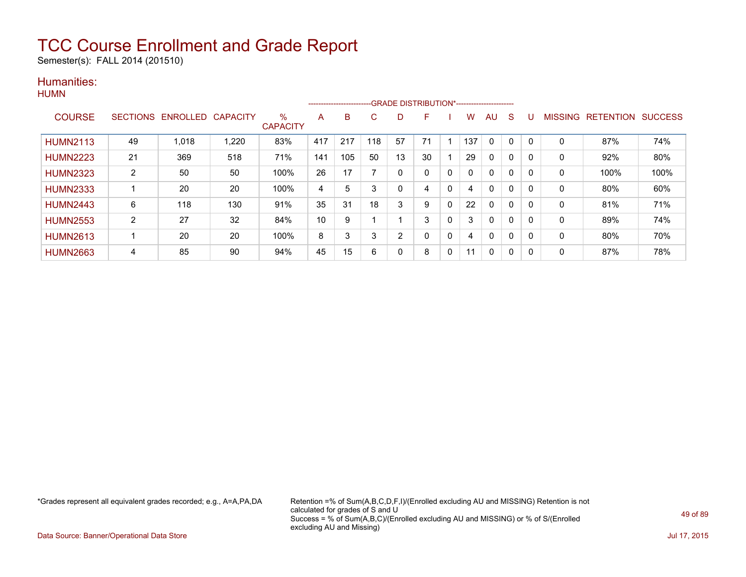Semester(s): FALL 2014 (201510)

### Humanities:

| HUMN |  |  |
|------|--|--|
|      |  |  |

|                 |    |                            |        |                      |     | --------------------------GRADE DISTRIBUTION*----------------------- |     |                |          |              |     |    |              |          |                |                  |                |
|-----------------|----|----------------------------|--------|----------------------|-----|----------------------------------------------------------------------|-----|----------------|----------|--------------|-----|----|--------------|----------|----------------|------------------|----------------|
| <b>COURSE</b>   |    | SECTIONS ENROLLED CAPACITY |        | ℅<br><b>CAPACITY</b> | A   | в                                                                    | C   | D              | F.       |              | w   | AU | <sub>S</sub> | U        | <b>MISSING</b> | <b>RETENTION</b> | <b>SUCCESS</b> |
| <b>HUMN2113</b> | 49 | 1,018                      | 220. ا | 83%                  | 417 | 217                                                                  | 118 | 57             | 71       |              | 137 | 0  |              | $\Omega$ | 0              | 87%              | 74%            |
| <b>HUMN2223</b> | 21 | 369                        | 518    | 71%                  | 141 | 105                                                                  | 50  | 13             | 30       |              | 29  | 0  | $\Omega$     | 0        | 0              | 92%              | 80%            |
| <b>HUMN2323</b> | 2  | 50                         | 50     | 100%                 | 26  | 17                                                                   | ⇁   | 0              | 0        | 0            | 0   | 0  | 0            | 0        | 0              | 100%             | 100%           |
| <b>HUMN2333</b> |    | 20                         | 20     | 100%                 | 4   | 5                                                                    | 3   | 0              | 4        | $\mathbf 0$  | 4   | 0  | 0            | 0        | 0              | 80%              | 60%            |
| <b>HUMN2443</b> | 6  | 118                        | 130    | 91%                  | 35  | 31                                                                   | 18  | 3              | 9        | $\mathbf{0}$ | 22  | 0  | $\Omega$     | 0        | $\Omega$       | 81%              | 71%            |
| <b>HUMN2553</b> | 2  | 27                         | 32     | 84%                  | 10  | 9                                                                    |     |                | 3        | $\Omega$     | 3   | 0  | 0            | 0        | 0              | 89%              | 74%            |
| <b>HUMN2613</b> |    | 20                         | 20     | 100%                 | 8   | 3                                                                    | 3   | $\overline{2}$ | $\Omega$ | $\mathbf 0$  | 4   | 0  | 0            | 0        | 0              | 80%              | 70%            |
| <b>HUMN2663</b> | 4  | 85                         | 90     | 94%                  | 45  | 15                                                                   | 6   | 0              | 8        | $\mathbf{0}$ | 11  | 0  | 0            | 0        | 0              | 87%              | 78%            |

\*Grades represent all equivalent grades recorded; e.g., A=A,PA,DA Retention =% of Sum(A,B,C,D,F,I)/(Enrolled excluding AU and MISSING) Retention is not calculated for grades of S and U Success = % of Sum(A,B,C)/(Enrolled excluding AU and MISSING) or % of S/(Enrolled excluding AU and Missing)

Data Source: Banner/Operational Data Store Jul 17, 2015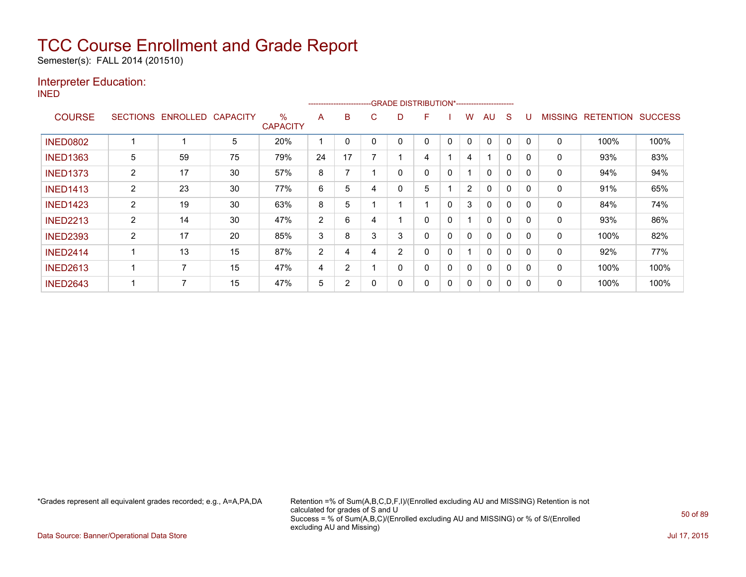Semester(s): FALL 2014 (201510)

### Interpreter Education:

INED

|                 |                |                   |                 |                         |    | ------------------------- |   | -GRADE DISTRIBUTION*---------------------- |   |              |                |              |              |          |                |                  |                |
|-----------------|----------------|-------------------|-----------------|-------------------------|----|---------------------------|---|--------------------------------------------|---|--------------|----------------|--------------|--------------|----------|----------------|------------------|----------------|
| <b>COURSE</b>   |                | SECTIONS ENROLLED | <b>CAPACITY</b> | $\%$<br><b>CAPACITY</b> | A  | B                         | C | D                                          | F |              | W              | AU           | <sub>S</sub> |          | <b>MISSING</b> | <b>RETENTION</b> | <b>SUCCESS</b> |
| <b>INED0802</b> |                |                   | 5               | 20%                     |    | 0                         |   |                                            | 0 | $\mathbf{0}$ | $\mathbf{0}$   | $\mathbf{0}$ | 0            | $\Omega$ | 0              | 100%             | 100%           |
| <b>INED1363</b> | 5              | 59                | 75              | 79%                     | 24 | 17                        |   |                                            | 4 |              | 4              | 1            | $\mathbf{0}$ | $\Omega$ | 0              | 93%              | 83%            |
| <b>INED1373</b> | $\overline{2}$ | 17                | 30              | 57%                     | 8  |                           |   | 0                                          | 0 | 0            |                | $\mathbf{0}$ | $\Omega$     | $\Omega$ | 0              | 94%              | 94%            |
| <b>INED1413</b> | $\overline{2}$ | 23                | 30              | 77%                     | 6  | 5                         | 4 | 0                                          | 5 |              | $\overline{2}$ | 0            | $\Omega$     | $\Omega$ | 0              | 91%              | 65%            |
| <b>INED1423</b> | $\overline{2}$ | 19                | 30              | 63%                     | 8  | 5                         |   |                                            | 4 | 0            | 3              | $\mathbf{0}$ | $\Omega$     | $\Omega$ | 0              | 84%              | 74%            |
| <b>INED2213</b> | 2              | 14                | 30              | 47%                     | 2  | 6                         | 4 |                                            | 0 | 0            |                | $\mathbf{0}$ | $\Omega$     | $\Omega$ | $\Omega$       | 93%              | 86%            |
| <b>INED2393</b> | 2              | 17                | 20              | 85%                     | 3  | 8                         | 3 | 3                                          | 0 | $\mathbf{0}$ | 0              | $\mathbf{0}$ | $\mathbf{0}$ |          | 0              | 100%             | 82%            |
| <b>INED2414</b> |                | 13                | 15              | 87%                     | 2  | 4                         | 4 | $\overline{2}$                             | 0 | $\mathbf{0}$ |                | $\mathbf{0}$ | $\mathbf{0}$ |          | 0              | 92%              | 77%            |
| <b>INED2613</b> |                | 7                 | 15              | 47%                     | 4  | $\overline{2}$            |   | 0                                          | 0 | $\mathbf{0}$ | $\mathbf{0}$   | $\mathbf{0}$ | $\mathbf{0}$ | $\Omega$ | 0              | 100%             | 100%           |
| <b>INED2643</b> |                | 7                 | 15              | 47%                     | 5  | 2                         |   | 0                                          | 0 | 0            | 0              | $\mathbf{0}$ | 0            | 0        | 0              | 100%             | 100%           |

\*Grades represent all equivalent grades recorded; e.g., A=A,PA,DA Retention =% of Sum(A,B,C,D,F,I)/(Enrolled excluding AU and MISSING) Retention is not calculated for grades of S and U Success = % of Sum(A,B,C)/(Enrolled excluding AU and MISSING) or % of S/(Enrolled excluding AU and Missing)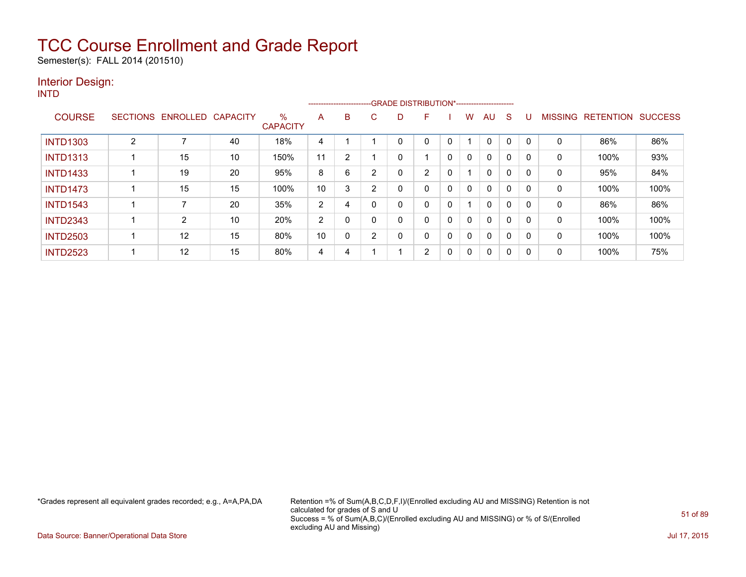Semester(s): FALL 2014 (201510)

### Interior Design:

INTD

|                 |                 |          |                 |                         | ------------------------- |   |              | -GRADE DISTRIBUTION*----------------------- |                |              |              |              |   |          |                |                  |                |
|-----------------|-----------------|----------|-----------------|-------------------------|---------------------------|---|--------------|---------------------------------------------|----------------|--------------|--------------|--------------|---|----------|----------------|------------------|----------------|
| <b>COURSE</b>   | <b>SECTIONS</b> | ENROLLED | <b>CAPACITY</b> | $\%$<br><b>CAPACITY</b> | A                         | B | C            | D                                           | F              |              | W            | AU           | S |          | <b>MISSING</b> | <b>RETENTION</b> | <b>SUCCESS</b> |
| <b>INTD1303</b> | $\overline{2}$  |          | 40              | 18%                     | 4                         |   |              |                                             | 0              |              |              | 0            | 0 |          | 0              | 86%              | 86%            |
| <b>INTD1313</b> |                 | 15       | 10              | 150%                    | 11                        | 2 |              | 0                                           |                | 0            | 0            | $\mathbf{0}$ | 0 |          | 0              | 100%             | 93%            |
| <b>INTD1433</b> |                 | 19       | 20              | 95%                     | 8                         | 6 | ົ            | 0                                           | $\mathcal{P}$  | 0            |              | 0            | 0 |          | 0              | 95%              | 84%            |
| <b>INTD1473</b> |                 | 15       | 15              | 100%                    | 10                        | 3 | <sup>o</sup> | 0                                           | 0              | $\Omega$     | $\mathbf{0}$ | $\mathbf{0}$ | 0 |          | 0              | 100%             | 100%           |
| <b>INTD1543</b> |                 |          | 20              | 35%                     | 2                         | 4 | 0            | 0                                           | 0              | 0            |              | $\mathbf{0}$ | 0 |          | $\mathbf{0}$   | 86%              | 86%            |
| <b>INTD2343</b> |                 | 2        | 10              | 20%                     | 2                         | 0 |              | 0                                           | 0              | $\mathbf{0}$ | 0            | $\mathbf{0}$ | 0 | $\Omega$ | 0              | 100%             | 100%           |
| <b>INTD2503</b> |                 | 12       | 15              | 80%                     | 10                        | 0 | ົ            | 0                                           | 0              | 0            | $\mathbf{0}$ | $\mathbf{0}$ | 0 |          | 0              | 100%             | 100%           |
| <b>INTD2523</b> |                 | 12       | 15              | 80%                     | 4                         | 4 |              |                                             | $\overline{2}$ | 0            | $\Omega$     | $\mathbf 0$  | 0 |          | 0              | 100%             | 75%            |

\*Grades represent all equivalent grades recorded; e.g., A=A,PA,DA Retention =% of Sum(A,B,C,D,F,I)/(Enrolled excluding AU and MISSING) Retention is not calculated for grades of S and U Success = % of Sum(A,B,C)/(Enrolled excluding AU and MISSING) or % of S/(Enrolled excluding AU and Missing)

Data Source: Banner/Operational Data Store Jul 17, 2015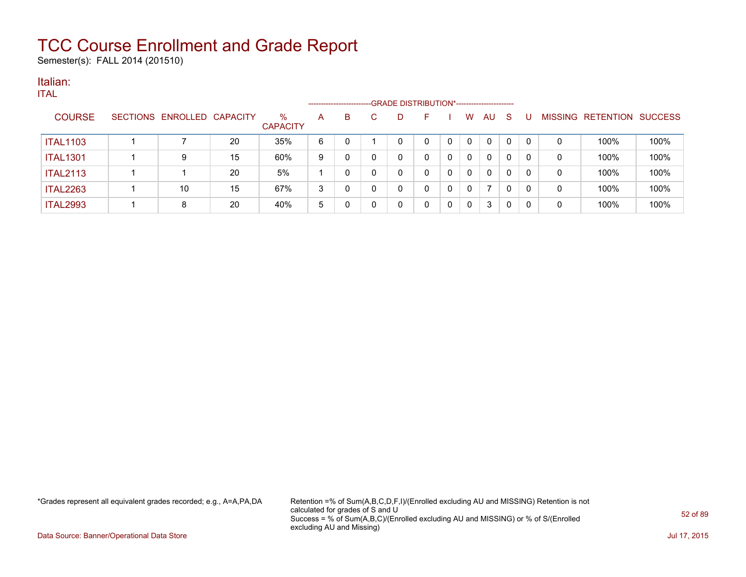Semester(s): FALL 2014 (201510)

#### Italian:

|--|

|                 |                            |    |                         | ------------------- |   | -GRADE DISTRIBUTION*----------------------- |    |   |    |              |   |   |                   |                |
|-----------------|----------------------------|----|-------------------------|---------------------|---|---------------------------------------------|----|---|----|--------------|---|---|-------------------|----------------|
| <b>COURSE</b>   | SECTIONS ENROLLED CAPACITY |    | $\%$<br><b>CAPACITY</b> | A                   | B |                                             | н. | w | AU | S            |   |   | MISSING RETENTION | <b>SUCCESS</b> |
| <b>ITAL1103</b> |                            | 20 | 35%                     | 6                   |   |                                             |    |   | 0  | 0            | 0 |   | 100%              | 100%           |
| <b>ITAL1301</b> | 9                          | 15 | 60%                     | 9                   |   |                                             |    |   | 0  | 0            | 0 | 0 | 100%              | 100%           |
| <b>ITAL2113</b> |                            | 20 | 5%                      |                     |   |                                             |    | 0 | 0  | 0            | 0 | 0 | 100%              | 100%           |
| <b>ITAL2263</b> | 10                         | 15 | 67%                     | 3                   |   |                                             |    | 0 |    | $\mathbf{0}$ | 0 | 0 | 100%              | 100%           |
| <b>ITAL2993</b> | 8                          | 20 | 40%                     | 5                   | 0 |                                             |    |   | 3  | $\mathbf{0}$ |   | 0 | 100%              | 100%           |

\*Grades represent all equivalent grades recorded; e.g., A=A,PA,DA Retention =% of Sum(A,B,C,D,F,I)/(Enrolled excluding AU and MISSING) Retention is not calculated for grades of S and U Success = % of Sum(A,B,C)/(Enrolled excluding AU and MISSING) or % of S/(Enrolled excluding AU and Missing)

Data Source: Banner/Operational Data Store **July 17, 2015**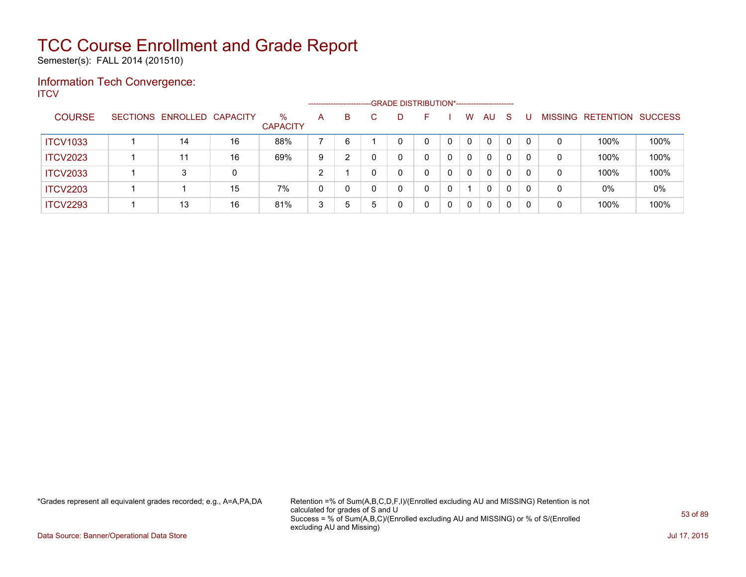Semester(s): FALL 2014 (201510)

#### Information Tech Convergence: **ITCV**

|                 |                            |             |                         |   | ---------------------- |   | -GRADE DISTRIBUTION*----------------------- |   |   |   |     |          |          |                |           |                |
|-----------------|----------------------------|-------------|-------------------------|---|------------------------|---|---------------------------------------------|---|---|---|-----|----------|----------|----------------|-----------|----------------|
| <b>COURSE</b>   | SECTIONS ENROLLED CAPACITY |             | $\%$<br><b>CAPACITY</b> | A | B                      |   | D                                           |   |   | w | AU. | -S       |          | <b>MISSING</b> | RETENTION | <b>SUCCESS</b> |
| <b>ITCV1033</b> | 14                         | 16          | 88%                     |   | 6                      |   | 0                                           | 0 | 0 | 0 | 0   |          | $\Omega$ | 0              | 100%      | 100%           |
| <b>ITCV2023</b> | 11                         | 16          | 69%                     | 9 |                        |   | 0                                           | 0 | 0 | 0 | 0   |          | 0        | $\mathbf 0$    | 100%      | 100%           |
| <b>ITCV2033</b> |                            | $\mathbf 0$ |                         | າ |                        |   | 0                                           | 0 | 0 | 0 | 0   | $\Omega$ | 0        | 0              | 100%      | 100%           |
| <b>ITCV2203</b> |                            | 15          | 7%                      | 0 |                        |   | 0                                           | 0 | 0 |   | 0   |          | 0        | 0              | 0%        | 0%             |
| <b>ITCV2293</b> | 13                         | 16          | 81%                     | 3 | 5                      | 5 | 0                                           | 0 | 0 | 0 | 0   |          | 0        | 0              | 100%      | 100%           |

\*Grades represent all equivalent grades recorded; e.g., A=A,PA,DA Retention =% of Sum(A,B,C,D,F,I)/(Enrolled excluding AU and MISSING) Retention is not calculated for grades of S and U Success = % of Sum(A,B,C)/(Enrolled excluding AU and MISSING) or % of S/(Enrolled excluding AU and Missing)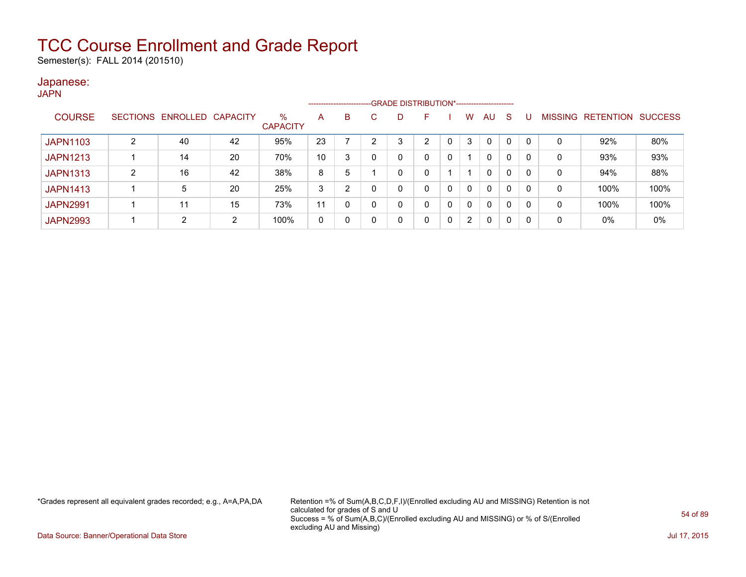Semester(s): FALL 2014 (201510)

#### Japanese:

**JAPN** 

|                 |   |                            |    |                         |    |   | -------------------------GRADE DISTRIBUTION*---------------------- |   |   |   |                |              |              |          |   |                                  |      |
|-----------------|---|----------------------------|----|-------------------------|----|---|--------------------------------------------------------------------|---|---|---|----------------|--------------|--------------|----------|---|----------------------------------|------|
| <b>COURSE</b>   |   | SECTIONS ENROLLED CAPACITY |    | $\%$<br><b>CAPACITY</b> | A  | B | С                                                                  | D | ⊢ |   | w              | AU           | -S           | U        |   | <b>MISSING RETENTION SUCCESS</b> |      |
| <b>JAPN1103</b> |   | 40                         | 42 | 95%                     | 23 |   | n                                                                  | 3 | 2 | 0 | 3              | 0            | $\mathbf{0}$ | $\Omega$ | 0 | 92%                              | 80%  |
| <b>JAPN1213</b> |   | 14                         | 20 | 70%                     | 10 |   |                                                                    | 0 | 0 | 0 |                | 0            | 0            | $\Omega$ | 0 | 93%                              | 93%  |
| <b>JAPN1313</b> | າ | 16                         | 42 | 38%                     | 8  | 5 |                                                                    | 0 | 0 |   |                | $\Omega$     | 0            | $\Omega$ | 0 | 94%                              | 88%  |
| <b>JAPN1413</b> |   | 5                          | 20 | 25%                     | 3  | ົ |                                                                    | 0 | 0 | 0 | $\mathbf{0}$   | $\mathbf{0}$ | 0            | $\Omega$ | 0 | 100%                             | 100% |
| <b>JAPN2991</b> |   | 11                         | 15 | 73%                     | 11 |   |                                                                    | 0 | 0 | 0 | $\mathbf{0}$   | $\Omega$     | 0            | $\Omega$ | 0 | 100%                             | 100% |
| <b>JAPN2993</b> |   | C                          | 2  | 100%                    | 0  |   |                                                                    | 0 | 0 | 0 | $\overline{2}$ | $\mathbf{0}$ | 0            | $\Omega$ | 0 | 0%                               | 0%   |

\*Grades represent all equivalent grades recorded; e.g., A=A,PA,DA Retention =% of Sum(A,B,C,D,F,I)/(Enrolled excluding AU and MISSING) Retention is not calculated for grades of S and U Success = % of Sum(A,B,C)/(Enrolled excluding AU and MISSING) or % of S/(Enrolled excluding AU and Missing)

Data Source: Banner/Operational Data Store Jul 17, 2015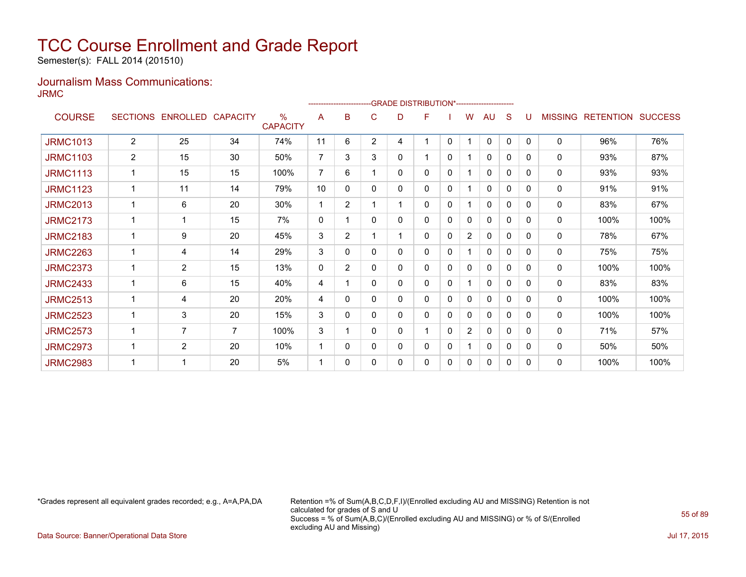Semester(s): FALL 2014 (201510)

#### Journalism Mass Communications: JRMC

|                 |                 |                   |    |                                  |                |                |                |   | <b>GRADE DISTRIBUTION*-----------------------</b> |              |                |              |          |              |                |                  |                |
|-----------------|-----------------|-------------------|----|----------------------------------|----------------|----------------|----------------|---|---------------------------------------------------|--------------|----------------|--------------|----------|--------------|----------------|------------------|----------------|
| <b>COURSE</b>   | <b>SECTIONS</b> | ENROLLED CAPACITY |    | $\frac{0}{0}$<br><b>CAPACITY</b> | A              | в              | C              | D | F                                                 |              | W              | AU           | S        |              | <b>MISSING</b> | <b>RETENTION</b> | <b>SUCCESS</b> |
| <b>JRMC1013</b> | $\overline{2}$  | 25                | 34 | 74%                              | 11             | 6              | $\overline{2}$ | 4 |                                                   | $\mathbf{0}$ |                | $\mathbf{0}$ | 0        | $\mathbf{0}$ | 0              | 96%              | 76%            |
| <b>JRMC1103</b> | $\overline{2}$  | 15                | 30 | 50%                              | 7              | 3              | 3              | 0 |                                                   | $\mathbf{0}$ |                | $\mathbf{0}$ | 0        | 0            | 0              | 93%              | 87%            |
| <b>JRMC1113</b> |                 | 15                | 15 | 100%                             | $\overline{7}$ | 6              |                | 0 | 0                                                 | 0            |                | $\Omega$     | 0        | $\mathbf{0}$ | 0              | 93%              | 93%            |
| <b>JRMC1123</b> |                 | 11                | 14 | 79%                              | 10             | $\mathbf{0}$   | 0              | 0 | 0                                                 | 0            |                | 0            | 0        | 0            | 0              | 91%              | 91%            |
| <b>JRMC2013</b> | 1               | 6                 | 20 | 30%                              |                | $\overline{2}$ |                |   | 0                                                 | 0            |                | 0            | 0        | 0            | 0              | 83%              | 67%            |
| <b>JRMC2173</b> |                 | 1                 | 15 | 7%                               | $\Omega$       | 1              | $\Omega$       | 0 | 0                                                 | $\mathbf 0$  | 0              | $\mathbf{0}$ | 0        | 0            | $\mathbf{0}$   | 100%             | 100%           |
| <b>JRMC2183</b> |                 | 9                 | 20 | 45%                              | 3              | $\overline{2}$ |                |   | 0                                                 | 0            | $\overline{2}$ | $\mathbf{0}$ | 0        | $\mathbf{0}$ | 0              | 78%              | 67%            |
| <b>JRMC2263</b> | 1               | 4                 | 14 | 29%                              | 3              | $\Omega$       | $\mathbf{0}$   | 0 | 0                                                 | 0            |                | 0            | 0        | $\Omega$     | 0              | 75%              | 75%            |
| <b>JRMC2373</b> |                 | $\overline{2}$    | 15 | 13%                              | $\mathbf 0$    | $\overline{2}$ | $\mathbf{0}$   | 0 | 0                                                 | $\mathbf 0$  | 0              | 0            | $\Omega$ | 0            | 0              | 100%             | 100%           |
| <b>JRMC2433</b> |                 | 6                 | 15 | 40%                              | 4              | 1              | 0              | 0 | 0                                                 | 0            |                | 0            | 0        | $\Omega$     | 0              | 83%              | 83%            |
| <b>JRMC2513</b> | 1               | 4                 | 20 | 20%                              | 4              | 0              | $\mathbf{0}$   | 0 | 0                                                 | $\mathbf 0$  | $\mathbf{0}$   | $\mathbf{0}$ | 0        | $\Omega$     | $\mathbf{0}$   | 100%             | 100%           |
| <b>JRMC2523</b> |                 | 3                 | 20 | 15%                              | 3              | $\Omega$       | $\mathbf{0}$   | 0 | 0                                                 | $\mathbf 0$  | 0              | $\mathbf{0}$ | $\Omega$ | 0            | 0              | 100%             | 100%           |
| <b>JRMC2573</b> |                 | $\overline{7}$    | 7  | 100%                             | 3              | 1              | 0              | 0 |                                                   | 0            | $\overline{2}$ | 0            | 0        | 0            | 0              | 71%              | 57%            |
| <b>JRMC2973</b> |                 | $\overline{2}$    | 20 | 10%                              | 1              | 0              | $\mathbf{0}$   | 0 | 0                                                 | 0            |                | $\mathbf{0}$ | 0        | 0            | 0              | 50%              | 50%            |
| <b>JRMC2983</b> |                 | 1                 | 20 | 5%                               |                | $\mathbf{0}$   | 0              | 0 | 0                                                 | 0            | 0              | $\mathbf{0}$ | 0        | 0            | 0              | 100%             | 100%           |

\*Grades represent all equivalent grades recorded; e.g., A=A,PA,DA Retention =% of Sum(A,B,C,D,F,I)/(Enrolled excluding AU and MISSING) Retention is not calculated for grades of S and U Success = % of Sum(A,B,C)/(Enrolled excluding AU and MISSING) or % of S/(Enrolled excluding AU and Missing)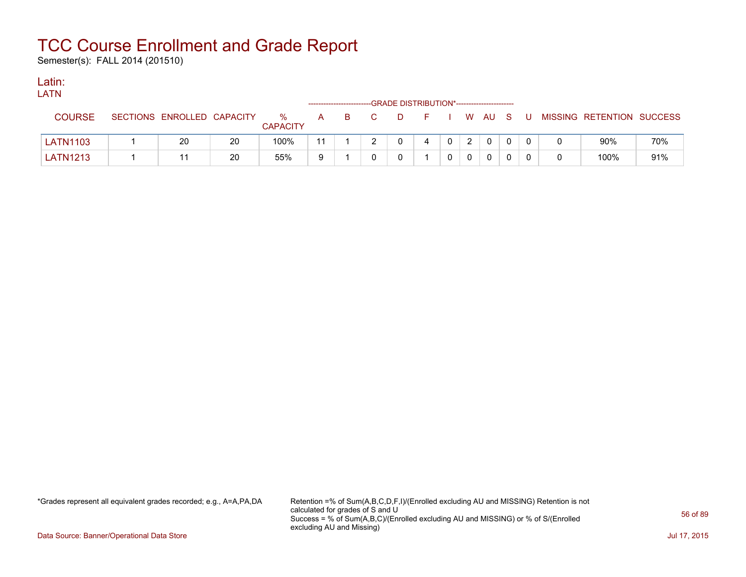Semester(s): FALL 2014 (201510)

### Latin:

| LATN            |                            |    |                      |    |          |    |                                             |                                               |                |              |  |                           |     |
|-----------------|----------------------------|----|----------------------|----|----------|----|---------------------------------------------|-----------------------------------------------|----------------|--------------|--|---------------------------|-----|
|                 |                            |    |                      |    |          |    | -GRADE DISTRIBUTION*----------------------- |                                               |                |              |  |                           |     |
| <b>COURSE</b>   | SECTIONS ENROLLED CAPACITY |    | %<br><b>CAPACITY</b> | A  | <b>B</b> | C. | D.                                          | $\mathbb{R}$ . The first part of $\mathbb{R}$ |                | WAUSU        |  | MISSING RETENTION SUCCESS |     |
| <b>LATN1103</b> | 20                         | 20 | 100%                 | 11 |          |    |                                             |                                               | $\overline{2}$ | $\mathbf{0}$ |  | 90%                       | 70% |
| <b>LATN1213</b> |                            | 20 | 55%                  |    |          |    |                                             |                                               |                |              |  | 100%                      | 91% |

\*Grades represent all equivalent grades recorded; e.g., A=A,PA,DA Retention =% of Sum(A,B,C,D,F,I)/(Enrolled excluding AU and MISSING) Retention is not calculated for grades of S and U Success = % of Sum(A,B,C)/(Enrolled excluding AU and MISSING) or % of S/(Enrolled excluding AU and Missing)

Data Source: Banner/Operational Data Store Jul 17, 2015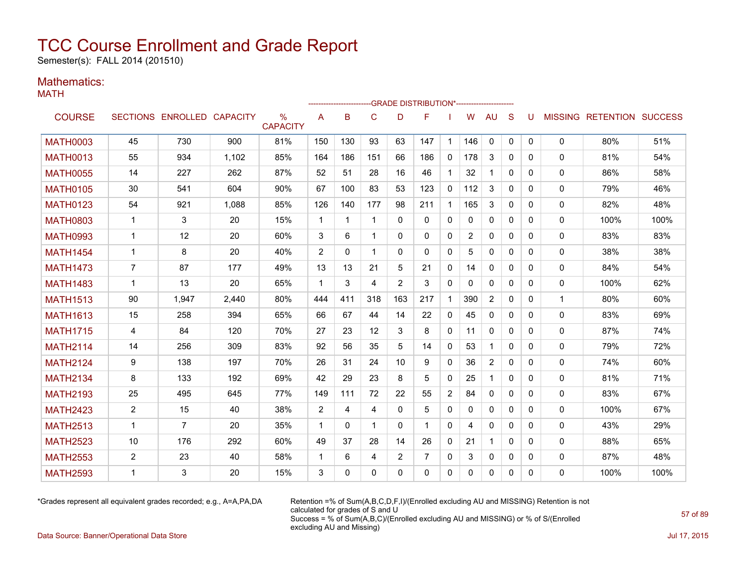Semester(s): FALL 2014 (201510)

### Mathematics:

MATH

|                 |                |                            |       |                         |                |              |                |              | -GRADE DISTRIBUTION*----------------------- |                |                |                |              |              |              |                           |      |
|-----------------|----------------|----------------------------|-------|-------------------------|----------------|--------------|----------------|--------------|---------------------------------------------|----------------|----------------|----------------|--------------|--------------|--------------|---------------------------|------|
| <b>COURSE</b>   |                | SECTIONS ENROLLED CAPACITY |       | $\%$<br><b>CAPACITY</b> | A              | B            | $\mathsf{C}$   | D            | F                                           |                | W              | <b>AU</b>      | S            | U            |              | MISSING RETENTION SUCCESS |      |
| <b>MATH0003</b> | 45             | 730                        | 900   | 81%                     | 150            | 130          | 93             | 63           | 147                                         | $\mathbf{1}$   | 146            | 0              | $\mathbf{0}$ | $\mathbf{0}$ | 0            | 80%                       | 51%  |
| <b>MATH0013</b> | 55             | 934                        | 1,102 | 85%                     | 164            | 186          | 151            | 66           | 186                                         | $\mathbf{0}$   | 178            | 3              | $\Omega$     | $\Omega$     | $\mathbf{0}$ | 81%                       | 54%  |
| <b>MATH0055</b> | 14             | 227                        | 262   | 87%                     | 52             | 51           | 28             | 16           | 46                                          | $\mathbf{1}$   | 32             | $\mathbf{1}$   | $\mathbf{0}$ | $\Omega$     | 0            | 86%                       | 58%  |
| <b>MATH0105</b> | 30             | 541                        | 604   | 90%                     | 67             | 100          | 83             | 53           | 123                                         | $\mathbf{0}$   | 112            | 3              | $\Omega$     | $\Omega$     | 0            | 79%                       | 46%  |
| <b>MATH0123</b> | 54             | 921                        | 1,088 | 85%                     | 126            | 140          | 177            | 98           | 211                                         | $\mathbf{1}$   | 165            | 3              | $\mathbf{0}$ | 0            | 0            | 82%                       | 48%  |
| <b>MATH0803</b> | $\mathbf{1}$   | 3                          | 20    | 15%                     | $\mathbf{1}$   | 1            | $\mathbf 1$    | $\mathbf{0}$ | $\mathbf{0}$                                | $\mathbf{0}$   | $\mathbf{0}$   | $\Omega$       | $\mathbf{0}$ | $\Omega$     | 0            | 100%                      | 100% |
| <b>MATH0993</b> | $\mathbf 1$    | 12                         | 20    | 60%                     | 3              | 6            | 1              | $\mathbf{0}$ | $\mathbf{0}$                                | 0              | $\overline{2}$ | $\mathbf{0}$   | $\Omega$     | $\mathbf{0}$ | 0            | 83%                       | 83%  |
| <b>MATH1454</b> | 1              | 8                          | 20    | 40%                     | $\overline{2}$ | $\mathbf{0}$ | 1              | 0            | 0                                           | 0              | 5              | $\mathbf{0}$   | $\mathbf{0}$ | 0            | 0            | 38%                       | 38%  |
| <b>MATH1473</b> | $\overline{7}$ | 87                         | 177   | 49%                     | 13             | 13           | 21             | 5            | 21                                          | 0              | 14             | 0              | 0            | 0            | 0            | 84%                       | 54%  |
| <b>MATH1483</b> | $\mathbf 1$    | 13                         | 20    | 65%                     | $\mathbf 1$    | 3            | $\overline{4}$ | 2            | 3                                           | 0              | 0              | 0              | 0            | 0            | 0            | 100%                      | 62%  |
| <b>MATH1513</b> | 90             | 1.947                      | 2,440 | 80%                     | 444            | 411          | 318            | 163          | 217                                         | $\mathbf{1}$   | 390            | $\overline{2}$ | $\Omega$     | 0            | 1            | 80%                       | 60%  |
| <b>MATH1613</b> | 15             | 258                        | 394   | 65%                     | 66             | 67           | 44             | 14           | 22                                          | $\mathbf{0}$   | 45             | $\mathbf{0}$   | $\Omega$     | 0            | 0            | 83%                       | 69%  |
| <b>MATH1715</b> | 4              | 84                         | 120   | 70%                     | 27             | 23           | 12             | 3            | 8                                           | $\Omega$       | 11             | $\Omega$       | $\Omega$     | $\Omega$     | $\Omega$     | 87%                       | 74%  |
| <b>MATH2114</b> | 14             | 256                        | 309   | 83%                     | 92             | 56           | 35             | 5            | 14                                          | 0              | 53             | $\mathbf{1}$   | $\mathbf{0}$ | $\mathbf{0}$ | 0            | 79%                       | 72%  |
| <b>MATH2124</b> | 9              | 138                        | 197   | 70%                     | 26             | 31           | 24             | 10           | 9                                           | $\mathbf{0}$   | 36             | $\overline{2}$ | $\mathbf{0}$ | $\Omega$     | 0            | 74%                       | 60%  |
| <b>MATH2134</b> | 8              | 133                        | 192   | 69%                     | 42             | 29           | 23             | 8            | 5                                           | 0              | 25             | $\mathbf 1$    | 0            | 0            | 0            | 81%                       | 71%  |
| <b>MATH2193</b> | 25             | 495                        | 645   | 77%                     | 149            | 111          | 72             | 22           | 55                                          | $\overline{2}$ | 84             | $\mathbf{0}$   | $\Omega$     | 0            | 0            | 83%                       | 67%  |
| <b>MATH2423</b> | $\overline{2}$ | 15                         | 40    | 38%                     | 2              | 4            | 4              | $\mathbf{0}$ | 5                                           | $\mathbf{0}$   | 0              | $\mathbf{0}$   | $\Omega$     | $\Omega$     | 0            | 100%                      | 67%  |
| <b>MATH2513</b> | $\mathbf 1$    | $\overline{7}$             | 20    | 35%                     | 1              | 0            | 1              | $\mathbf{0}$ |                                             | $\mathbf{0}$   | 4              | $\mathbf{0}$   | $\mathbf{0}$ | 0            | 0            | 43%                       | 29%  |
| <b>MATH2523</b> | 10             | 176                        | 292   | 60%                     | 49             | 37           | 28             | 14           | 26                                          | $\mathbf{0}$   | 21             | 1              | $\Omega$     | 0            | 0            | 88%                       | 65%  |
| <b>MATH2553</b> | $\overline{2}$ | 23                         | 40    | 58%                     | 1              | 6            | 4              | 2            | 7                                           | $\mathbf{0}$   | 3              | $\mathbf{0}$   | $\mathbf{0}$ | 0            | 0            | 87%                       | 48%  |
| <b>MATH2593</b> | 1              | 3                          | 20    | 15%                     | 3              | 0            | $\Omega$       | $\Omega$     | $\Omega$                                    | $\Omega$       | 0              | $\Omega$       | $\mathbf{0}$ | 0            | 0            | 100%                      | 100% |

\*Grades represent all equivalent grades recorded; e.g., A=A,PA,DA Retention =% of Sum(A,B,C,D,F,I)/(Enrolled excluding AU and MISSING) Retention is not calculated for grades of S and U Success = % of Sum(A,B,C)/(Enrolled excluding AU and MISSING) or % of S/(Enrolled excluding AU and Missing)

Data Source: Banner/Operational Data Store Jul 17, 2015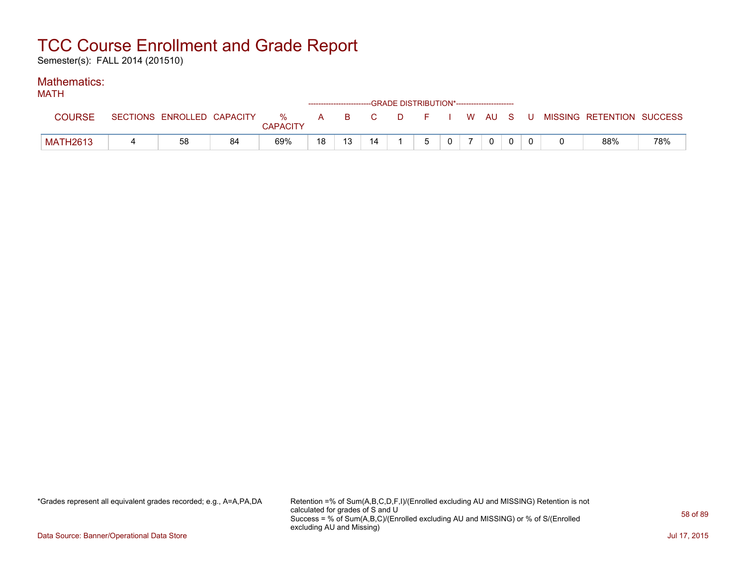Semester(s): FALL 2014 (201510)

#### Mathematics: MATH.

| <b>IVIAI N</b>  |                            |    |                      |    |    |       | ------------------------GRADE DISTRIBUTION*----------------------- |  |  |  |                                          |     |
|-----------------|----------------------------|----|----------------------|----|----|-------|--------------------------------------------------------------------|--|--|--|------------------------------------------|-----|
| <b>COURSE</b>   | SECTIONS ENROLLED CAPACITY |    | %<br><b>CAPACITY</b> |    |    | A B C |                                                                    |  |  |  | D F I W AU S U MISSING RETENTION SUCCESS |     |
| <b>MATH2613</b> | 58                         | 84 | 69%                  | 18 | 13 | 14    |                                                                    |  |  |  | 88%                                      | 78% |

\*Grades represent all equivalent grades recorded; e.g., A=A,PA,DA Retention =% of Sum(A,B,C,D,F,I)/(Enrolled excluding AU and MISSING) Retention is not calculated for grades of S and U Success = % of Sum(A,B,C)/(Enrolled excluding AU and MISSING) or % of S/(Enrolled excluding AU and Missing)

Data Source: Banner/Operational Data Store Jul 17, 2015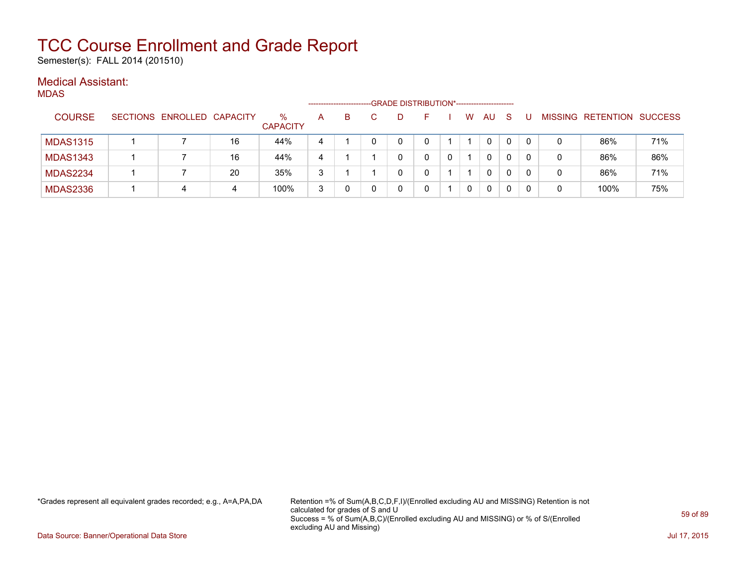Semester(s): FALL 2014 (201510)

#### Medical Assistant:

|--|

|                 |                            |    |                      |   |   | -GRADE DISTRIBUTION*----------------------- |  |   |              |    |   |   |                           |     |
|-----------------|----------------------------|----|----------------------|---|---|---------------------------------------------|--|---|--------------|----|---|---|---------------------------|-----|
| <b>COURSE</b>   | SECTIONS ENROLLED CAPACITY |    | ℅<br><b>CAPACITY</b> | А | B | D                                           |  | w | AU.          | -S | U |   | MISSING RETENTION SUCCESS |     |
| <b>MDAS1315</b> |                            | 16 | 44%                  | 4 |   |                                             |  |   | $\mathbf{0}$ |    |   | 0 | 86%                       | 71% |
| <b>MDAS1343</b> |                            | 16 | 44%                  | 4 |   | 0                                           |  |   | 0            |    |   | 0 | 86%                       | 86% |
| <b>MDAS2234</b> |                            | 20 | 35%                  | 3 |   | 0                                           |  |   | 0            |    |   | 0 | 86%                       | 71% |
| <b>MDAS2336</b> | 4                          | 4  | 100%                 | 3 |   |                                             |  |   | 0            |    |   | 0 | 100%                      | 75% |

\*Grades represent all equivalent grades recorded; e.g., A=A,PA,DA Retention =% of Sum(A,B,C,D,F,I)/(Enrolled excluding AU and MISSING) Retention is not calculated for grades of S and U Success = % of Sum(A,B,C)/(Enrolled excluding AU and MISSING) or % of S/(Enrolled excluding AU and Missing)

Data Source: Banner/Operational Data Store Jul 17, 2015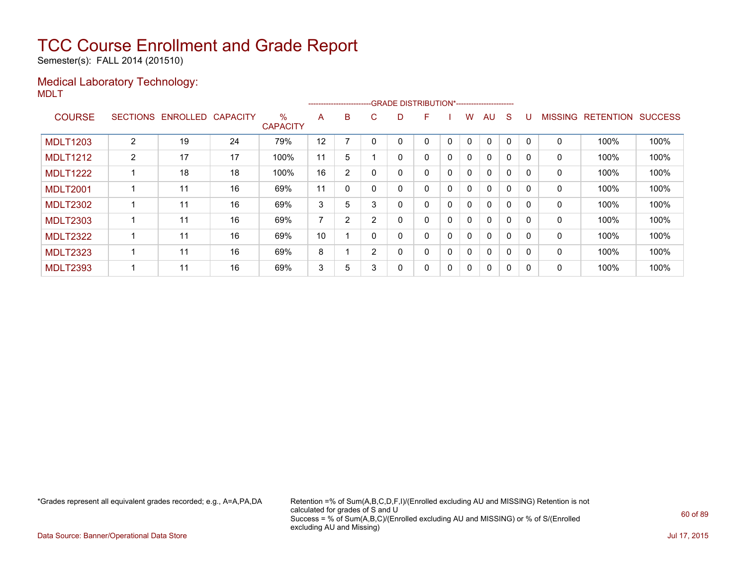Semester(s): FALL 2014 (201510)

#### Medical Laboratory Technology: MDLT

|                 |                 |          |                 |                         |    | ------------------------- |              | -GRADE DISTRIBUTION*---------------------- |   |          |   |          |          |          |                |                  |                |
|-----------------|-----------------|----------|-----------------|-------------------------|----|---------------------------|--------------|--------------------------------------------|---|----------|---|----------|----------|----------|----------------|------------------|----------------|
| <b>COURSE</b>   | <b>SECTIONS</b> | ENROLLED | <b>CAPACITY</b> | $\%$<br><b>CAPACITY</b> | A  | B                         | C.           | D                                          | F |          | w | AU       | S        |          | <b>MISSING</b> | <b>RETENTION</b> | <b>SUCCESS</b> |
| <b>MDLT1203</b> | 2               | 19       | 24              | 79%                     | 12 |                           |              | 0                                          | 0 | $\Omega$ | 0 | 0        | $\Omega$ | $\Omega$ | 0              | 100%             | 100%           |
| <b>MDLT1212</b> | $\overline{2}$  | 17       | 17              | 100%                    | 11 | 5                         |              | 0                                          | 0 | 0        | 0 | $\Omega$ | 0        | 0        | 0              | 100%             | 100%           |
| <b>MDLT1222</b> |                 | 18       | 18              | 100%                    | 16 | $\overline{2}$            | 0            | 0                                          | 0 | 0        | 0 | $\Omega$ | $\Omega$ | 0        | 0              | 100%             | 100%           |
| <b>MDLT2001</b> |                 | 11       | 16              | 69%                     | 11 | 0                         |              | 0                                          | 0 | 0        | 0 | $\Omega$ | 0        | 0        | 0              | 100%             | 100%           |
| <b>MDLT2302</b> |                 | 11       | 16              | 69%                     | 3  | 5                         | 3            | 0                                          | 0 | 0        | 0 | $\Omega$ | 0        | $\Omega$ | 0              | 100%             | 100%           |
| <b>MDLT2303</b> |                 | 11       | 16              | 69%                     | 7  | 2                         | <sup>o</sup> | 0                                          | 0 | 0        | 0 | $\Omega$ | 0        | 0        | 0              | 100%             | 100%           |
| <b>MDLT2322</b> |                 | 11       | 16              | 69%                     | 10 |                           | $\Omega$     | 0                                          | 0 | 0        | 0 | $\Omega$ | 0        | $\Omega$ | 0              | 100%             | 100%           |
| <b>MDLT2323</b> |                 | 11       | 16              | 69%                     | 8  |                           | 2            | 0                                          | 0 | 0        | 0 | $\Omega$ | $\Omega$ | $\Omega$ | 0              | 100%             | 100%           |
| <b>MDLT2393</b> |                 | 11       | 16              | 69%                     | 3  | 5                         | ົ            | 0                                          | 0 | 0        | 0 | 0        | 0        | 0        | 0              | 100%             | 100%           |

\*Grades represent all equivalent grades recorded; e.g., A=A,PA,DA Retention =% of Sum(A,B,C,D,F,I)/(Enrolled excluding AU and MISSING) Retention is not calculated for grades of S and U Success = % of Sum(A,B,C)/(Enrolled excluding AU and MISSING) or % of S/(Enrolled excluding AU and Missing)

Data Source: Banner/Operational Data Store Jul 17, 2015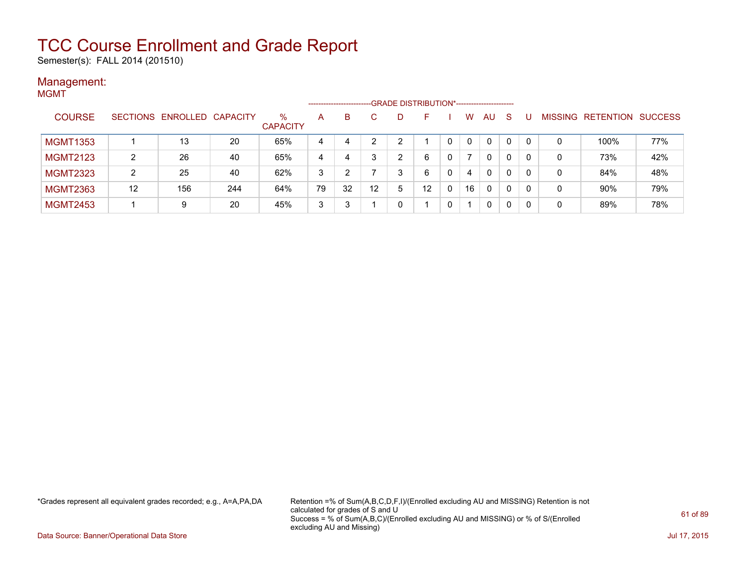Semester(s): FALL 2014 (201510)

#### Management: MGMT

| .               |    |                            |     |                         | -------------------- |    |                   |   |    |   |          |           |              |                |                          |     |
|-----------------|----|----------------------------|-----|-------------------------|----------------------|----|-------------------|---|----|---|----------|-----------|--------------|----------------|--------------------------|-----|
| <b>COURSE</b>   |    | SECTIONS ENROLLED CAPACITY |     | $\%$<br><b>CAPACITY</b> | $\mathsf{A}$         | B  |                   | D | ⊢  |   | W        | <b>AU</b> | <sub>S</sub> | <b>MISSING</b> | <b>RETENTION SUCCESS</b> |     |
| <b>MGMT1353</b> |    | 13                         | 20  | 65%                     | 4                    | 4  |                   | ົ |    |   | $\Omega$ | 0         | 0            | 0              | 100%                     | 77% |
| <b>MGMT2123</b> | 2  | 26                         | 40  | 65%                     | 4                    | 4  |                   | ົ | 6  | 0 |          | 0         | 0            | 0              | 73%                      | 42% |
| <b>MGMT2323</b> | 2  | 25                         | 40  | 62%                     | 3                    | 2  |                   | 3 | 6  | 0 | 4        | 0         | 0            | 0              | 84%                      | 48% |
| <b>MGMT2363</b> | 12 | 156                        | 244 | 64%                     | 79                   | 32 | $12 \overline{ }$ | 5 | 12 |   | 16       | 0         | 0            | 0              | 90%                      | 79% |
| <b>MGMT2453</b> |    | 9                          | 20  | 45%                     | 3                    | 2  |                   | 0 |    |   |          | 0         | 0            | 0              | 89%                      | 78% |

\*Grades represent all equivalent grades recorded; e.g., A=A,PA,DA Retention =% of Sum(A,B,C,D,F,I)/(Enrolled excluding AU and MISSING) Retention is not calculated for grades of S and U Success = % of Sum(A,B,C)/(Enrolled excluding AU and MISSING) or % of S/(Enrolled excluding AU and Missing)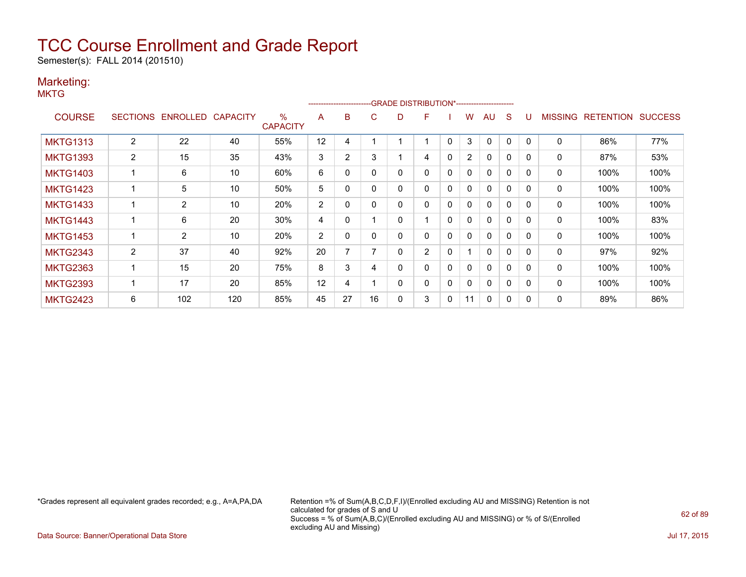Semester(s): FALL 2014 (201510)

### Marketing:

**MKTG** 

|                 |                |                   |                 |                         |    |    |    | ------------------------GRADE                DISTRIBUTION*---------------------- |                |              |                |              |              |          |                |                  |                |
|-----------------|----------------|-------------------|-----------------|-------------------------|----|----|----|----------------------------------------------------------------------------------|----------------|--------------|----------------|--------------|--------------|----------|----------------|------------------|----------------|
| <b>COURSE</b>   |                | SECTIONS ENROLLED | <b>CAPACITY</b> | $\%$<br><b>CAPACITY</b> | A  | B  | C  | D                                                                                | F              |              | w              | AU           | S            |          | <b>MISSING</b> | <b>RETENTION</b> | <b>SUCCESS</b> |
| <b>MKTG1313</b> | $\overline{2}$ | 22                | 40              | 55%                     | 12 | 4  |    |                                                                                  |                | 0            | 3              | 0            | 0            |          | 0              | 86%              | 77%            |
| <b>MKTG1393</b> | 2              | 15                | 35              | 43%                     | 3  | 2  | 3  |                                                                                  | 4              | 0            | $\overline{2}$ | 0            | $\Omega$     | $\Omega$ | 0              | 87%              | 53%            |
| <b>MKTG1403</b> |                | 6                 | 10              | 60%                     | 6  | 0  |    | 0                                                                                | 0              | 0            | $\mathbf{0}$   | $\mathbf{0}$ | $\mathbf{0}$ | $\Omega$ | 0              | 100%             | 100%           |
| <b>MKTG1423</b> |                | 5                 | 10              | 50%                     | 5  | 0  |    | 0                                                                                | 0              | $\mathbf{0}$ | $\mathbf{0}$   | $\mathbf{0}$ | $\mathbf{0}$ | $\Omega$ | 0              | 100%             | 100%           |
| <b>MKTG1433</b> |                | $\overline{2}$    | 10              | 20%                     | 2  | 0  |    | 0                                                                                | 0              | 0            | 0              | $\mathbf{0}$ | $\mathbf{0}$ | 0        | 0              | 100%             | 100%           |
| <b>MKTG1443</b> |                | 6                 | 20              | 30%                     | 4  | 0  |    | 0                                                                                |                | 0            | 0              | $\mathbf{0}$ | 0            |          | 0              | 100%             | 83%            |
| <b>MKTG1453</b> |                | $\overline{2}$    | 10              | 20%                     | 2  | 0  |    | 0                                                                                | 0              | 0            | 0              | $\mathbf{0}$ | 0            | $\Omega$ | 0              | 100%             | 100%           |
| <b>MKTG2343</b> | 2              | 37                | 40              | 92%                     | 20 | ⇁  |    | 0                                                                                | $\overline{2}$ | $\mathbf{0}$ |                | $\mathbf{0}$ | $\Omega$     |          | 0              | 97%              | 92%            |
| <b>MKTG2363</b> |                | 15                | 20              | 75%                     | 8  | 3  | 4  | 0                                                                                | 0              | $\mathbf{0}$ | 0              | $\mathbf{0}$ | $\mathbf{0}$ | $\Omega$ | 0              | 100%             | 100%           |
| <b>MKTG2393</b> |                | 17                | 20              | 85%                     | 12 | 4  |    | 0                                                                                | 0              | 0            | $\mathbf{0}$   | $\mathbf{0}$ | $\mathbf{0}$ | $\Omega$ | $\mathbf{0}$   | 100%             | 100%           |
| <b>MKTG2423</b> | 6              | 102               | 120             | 85%                     | 45 | 27 | 16 | 0                                                                                | 3              | 0            | 11             | $\mathbf{0}$ | 0            |          | 0              | 89%              | 86%            |

\*Grades represent all equivalent grades recorded; e.g., A=A,PA,DA Retention =% of Sum(A,B,C,D,F,I)/(Enrolled excluding AU and MISSING) Retention is not calculated for grades of S and U Success = % of Sum(A,B,C)/(Enrolled excluding AU and MISSING) or % of S/(Enrolled excluding AU and Missing)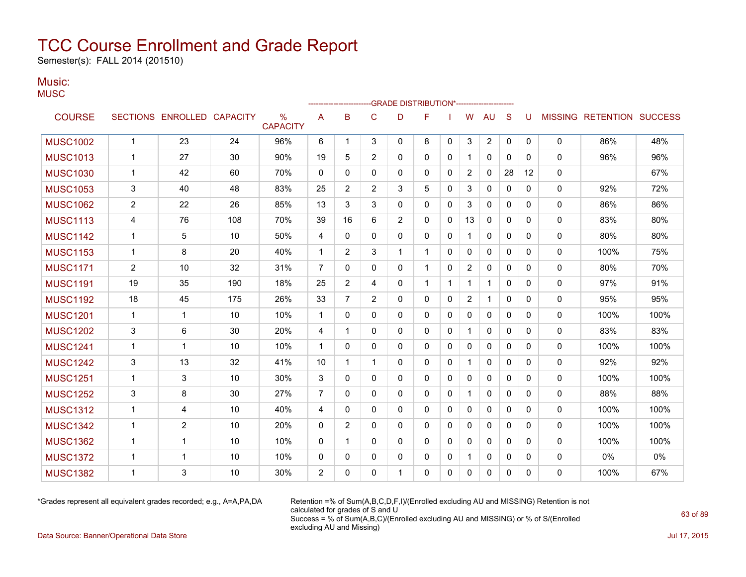Semester(s): FALL 2014 (201510)

#### Music: **MUSC**

|                 |                |                            |     |                      |                |                |                | -GRADE DISTRIBUTION*---------------------- |          |              |                       |                |              |              |              |                           |      |
|-----------------|----------------|----------------------------|-----|----------------------|----------------|----------------|----------------|--------------------------------------------|----------|--------------|-----------------------|----------------|--------------|--------------|--------------|---------------------------|------|
| <b>COURSE</b>   |                | SECTIONS ENROLLED CAPACITY |     | %<br><b>CAPACITY</b> | A              | B              | C              | D                                          | F        |              | W                     | AU             | S            | U            |              | MISSING RETENTION SUCCESS |      |
| <b>MUSC1002</b> | $\mathbf{1}$   | 23                         | 24  | 96%                  | 6              | $\mathbf 1$    | 3              | $\mathbf{0}$                               | 8        | 0            | 3                     | $\overline{2}$ | 0            | 0            | $\mathbf{0}$ | 86%                       | 48%  |
| <b>MUSC1013</b> | $\mathbf{1}$   | 27                         | 30  | 90%                  | 19             | 5              | $\overline{2}$ | 0                                          | 0        | 0            | $\mathbf{1}$          | 0              | $\mathbf{0}$ | 0            | $\mathbf{0}$ | 96%                       | 96%  |
| <b>MUSC1030</b> | $\mathbf{1}$   | 42                         | 60  | 70%                  | $\Omega$       | $\Omega$       | 0              | 0                                          | 0        | $\mathbf{0}$ | $\overline{2}$        | 0              | 28           | 12           | $\mathbf{0}$ |                           | 67%  |
| <b>MUSC1053</b> | 3              | 40                         | 48  | 83%                  | 25             | $\overline{2}$ | $\overline{2}$ | 3                                          | 5        | $\mathbf{0}$ | 3                     | $\mathbf{0}$   | $\mathbf{0}$ | $\mathbf{0}$ | $\mathbf 0$  | 92%                       | 72%  |
| <b>MUSC1062</b> | 2              | 22                         | 26  | 85%                  | 13             | 3              | 3              | 0                                          | 0        | $\Omega$     | 3                     | $\mathbf{0}$   | $\Omega$     | $\Omega$     | $\mathbf{0}$ | 86%                       | 86%  |
| <b>MUSC1113</b> | 4              | 76                         | 108 | 70%                  | 39             | 16             | 6              | $\overline{2}$                             | 0        | $\mathbf{0}$ | 13                    | $\mathbf{0}$   | $\Omega$     | $\Omega$     | $\mathbf{0}$ | 83%                       | 80%  |
| <b>MUSC1142</b> | $\mathbf{1}$   | 5                          | 10  | 50%                  | 4              | $\Omega$       | $\mathbf{0}$   | 0                                          | 0        | $\mathbf{0}$ | $\mathbf 1$           | $\mathbf{0}$   | $\mathbf{0}$ | $\mathbf{0}$ | $\mathbf{0}$ | 80%                       | 80%  |
| <b>MUSC1153</b> | $\mathbf 1$    | 8                          | 20  | 40%                  | $\mathbf{1}$   | 2              | 3              | 1                                          | 1        | $\Omega$     | 0                     | $\mathbf{0}$   | $\Omega$     | $\Omega$     | $\mathbf{0}$ | 100%                      | 75%  |
| <b>MUSC1171</b> | $\overline{2}$ | 10                         | 32  | 31%                  | $\overline{7}$ | $\Omega$       | $\Omega$       | 0                                          | 1        | $\mathbf{0}$ | 2                     | 0              | $\mathbf{0}$ | 0            | $\mathbf{0}$ | 80%                       | 70%  |
| <b>MUSC1191</b> | 19             | 35                         | 190 | 18%                  | 25             | $\overline{2}$ | 4              | 0                                          | 1        | 1            | 1                     | 1              | $\mathbf{0}$ | 0            | 0            | 97%                       | 91%  |
| <b>MUSC1192</b> | 18             | 45                         | 175 | 26%                  | 33             | 7              | $\overline{2}$ | 0                                          | 0        | $\mathbf{0}$ | $\mathbf{2}^{\prime}$ | $\mathbf 1$    | 0            | 0            | 0            | 95%                       | 95%  |
| <b>MUSC1201</b> | $\mathbf 1$    | $\mathbf 1$                | 10  | 10%                  | $\mathbf{1}$   | $\mathbf 0$    | 0              | 0                                          | 0        | $\mathbf{0}$ | 0                     | 0              | $\mathbf{0}$ | 0            | $\mathbf{0}$ | 100%                      | 100% |
| <b>MUSC1202</b> | 3              | 6                          | 30  | 20%                  | 4              | -1             | $\Omega$       | 0                                          | 0        | 0            | 1                     | 0              | 0            | $\mathbf{0}$ | $\mathbf{0}$ | 83%                       | 83%  |
| <b>MUSC1241</b> | $\mathbf{1}$   | $\mathbf 1$                | 10  | 10%                  | 1              | $\Omega$       | 0              | 0                                          | 0        | 0            | 0                     | 0              | 0            | $\mathbf{0}$ | $\mathbf{0}$ | 100%                      | 100% |
| <b>MUSC1242</b> | 3              | 13                         | 32  | 41%                  | 10             | -1             | 1              | 0                                          | 0        | $\mathbf{0}$ | $\mathbf 1$           | $\mathbf{0}$   | 0            | $\Omega$     | $\mathbf{0}$ | 92%                       | 92%  |
| <b>MUSC1251</b> | $\mathbf{1}$   | 3                          | 10  | 30%                  | 3              | $\mathbf 0$    | $\Omega$       | $\Omega$                                   | 0        | 0            | 0                     | 0              | $\mathbf{0}$ | $\mathbf{0}$ | $\mathbf{0}$ | 100%                      | 100% |
| <b>MUSC1252</b> | 3              | 8                          | 30  | 27%                  | $\overline{7}$ | $\Omega$       | $\Omega$       | $\Omega$                                   | $\Omega$ | $\mathbf{0}$ | $\mathbf{1}$          | $\mathbf{0}$   | $\Omega$     | $\Omega$     | $\Omega$     | 88%                       | 88%  |
| <b>MUSC1312</b> | $\mathbf{1}$   | 4                          | 10  | 40%                  | 4              | $\Omega$       | 0              | 0                                          | 0        | $\mathbf{0}$ | 0                     | 0              | 0            | $\mathbf{0}$ | 0            | 100%                      | 100% |
| <b>MUSC1342</b> | $\mathbf{1}$   | $\overline{2}$             | 10  | 20%                  | $\Omega$       | 2              | 0              | $\Omega$                                   | 0        | $\mathbf{0}$ | 0                     | $\mathbf{0}$   | $\Omega$     | $\Omega$     | $\Omega$     | 100%                      | 100% |
| <b>MUSC1362</b> | $\mathbf 1$    | $\mathbf{1}$               | 10  | 10%                  | 0              | -1             | 0              | 0                                          | 0        | $\mathbf{0}$ | 0                     | $\mathbf{0}$   | $\Omega$     | $\mathbf{0}$ | $\mathbf{0}$ | 100%                      | 100% |
| <b>MUSC1372</b> | $\mathbf{1}$   | $\mathbf 1$                | 10  | 10%                  | $\mathbf 0$    | 0              | $\Omega$       | $\Omega$                                   | 0        | $\mathbf{0}$ | 1                     | 0              | $\mathbf{0}$ | $\Omega$     | $\mathbf 0$  | 0%                        | 0%   |
| <b>MUSC1382</b> | $\mathbf{1}$   | 3                          | 10  | 30%                  | $\overline{2}$ | $\Omega$       | $\Omega$       | 1                                          | 0        | $\Omega$     | 0                     | $\mathbf{0}$   | $\Omega$     | $\Omega$     | $\Omega$     | 100%                      | 67%  |
|                 |                |                            |     |                      |                |                |                |                                            |          |              |                       |                |              |              |              |                           |      |

\*Grades represent all equivalent grades recorded; e.g., A=A,PA,DA Retention =% of Sum(A,B,C,D,F,I)/(Enrolled excluding AU and MISSING) Retention is not calculated for grades of S and U Success = % of Sum(A,B,C)/(Enrolled excluding AU and MISSING) or % of S/(Enrolled excluding AU and Missing)

Data Source: Banner/Operational Data Store Jul 17, 2015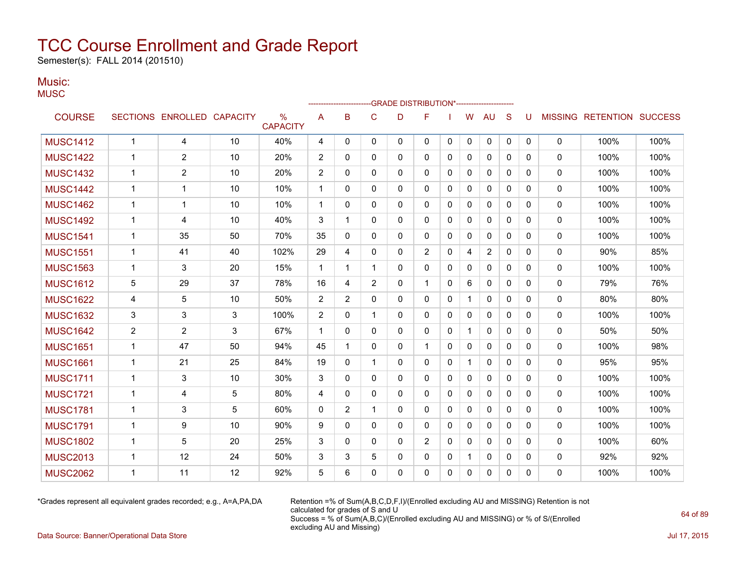Semester(s): FALL 2014 (201510)

### Music:

**MUSC** 

|                 |                |                            |    |                                  |                |                |              | <b>GRADE DISTRIBUTION*-----------------------</b> |                |              |              |                |              |              |              |                           |      |
|-----------------|----------------|----------------------------|----|----------------------------------|----------------|----------------|--------------|---------------------------------------------------|----------------|--------------|--------------|----------------|--------------|--------------|--------------|---------------------------|------|
| <b>COURSE</b>   |                | SECTIONS ENROLLED CAPACITY |    | $\frac{0}{0}$<br><b>CAPACITY</b> | A              | B              | C            | D                                                 | F              |              | W            | <b>AU</b>      | S            | U            |              | MISSING RETENTION SUCCESS |      |
| <b>MUSC1412</b> | $\mathbf{1}$   | 4                          | 10 | 40%                              | 4              | $\mathbf{0}$   | 0            | 0                                                 | $\mathbf{0}$   | 0            | 0            | 0              | 0            | $\mathbf{0}$ | 0            | 100%                      | 100% |
| <b>MUSC1422</b> | $\mathbf{1}$   | $\overline{2}$             | 10 | 20%                              | 2              | $\Omega$       | $\Omega$     | $\Omega$                                          | $\mathbf{0}$   | $\mathbf{0}$ | 0            | $\Omega$       | $\Omega$     | $\Omega$     | $\mathbf{0}$ | 100%                      | 100% |
| <b>MUSC1432</b> | $\mathbf{1}$   | $\overline{2}$             | 10 | 20%                              | $\overline{2}$ | $\Omega$       | $\Omega$     | 0                                                 | $\mathbf{0}$   | $\mathbf{0}$ | 0            | $\Omega$       | $\Omega$     | $\Omega$     | 0            | 100%                      | 100% |
| <b>MUSC1442</b> | $\mathbf{1}$   | 1                          | 10 | 10%                              | $\mathbf{1}$   | $\Omega$       | 0            | 0                                                 | $\mathbf{0}$   | $\mathbf{0}$ | $\Omega$     | $\Omega$       | $\mathbf{0}$ | $\mathbf{0}$ | $\mathbf{0}$ | 100%                      | 100% |
| <b>MUSC1462</b> | $\mathbf{1}$   | 1                          | 10 | 10%                              | $\mathbf 1$    | 0              | 0            | 0                                                 | 0              | 0            | 0            | 0              | $\mathbf{0}$ | 0            | 0            | 100%                      | 100% |
| <b>MUSC1492</b> | $\mathbf 1$    | 4                          | 10 | 40%                              | 3              | $\overline{1}$ | $\Omega$     | 0                                                 | $\Omega$       | $\mathbf{0}$ | $\Omega$     | $\Omega$       | $\Omega$     | $\Omega$     | 0            | 100%                      | 100% |
| <b>MUSC1541</b> | $\mathbf{1}$   | 35                         | 50 | 70%                              | 35             | $\mathbf{0}$   | $\mathbf{0}$ | 0                                                 | $\mathbf{0}$   | 0            | 0            | $\mathbf{0}$   | $\Omega$     | $\Omega$     | 0            | 100%                      | 100% |
| <b>MUSC1551</b> | $\mathbf{1}$   | 41                         | 40 | 102%                             | 29             | 4              | $\Omega$     | $\Omega$                                          | 2              | $\Omega$     | 4            | $\overline{2}$ | $\mathbf{0}$ | $\Omega$     | 0            | 90%                       | 85%  |
| <b>MUSC1563</b> | $\mathbf{1}$   | 3                          | 20 | 15%                              | $\mathbf 1$    | 1              | 1            | $\Omega$                                          | $\mathbf{0}$   | $\mathbf{0}$ | 0            | $\Omega$       | $\mathbf{0}$ | $\Omega$     | 0            | 100%                      | 100% |
| <b>MUSC1612</b> | 5              | 29                         | 37 | 78%                              | 16             | 4              | 2            | 0                                                 | 1              | $\mathbf{0}$ | 6            | $\mathbf{0}$   | $\mathbf{0}$ | 0            | $\mathbf{0}$ | 79%                       | 76%  |
| <b>MUSC1622</b> | 4              | 5                          | 10 | 50%                              | $\overline{2}$ | $\overline{2}$ | 0            | 0                                                 | $\mathbf{0}$   | $\mathbf{0}$ | 1            | 0              | $\mathbf{0}$ | 0            | 0            | 80%                       | 80%  |
| <b>MUSC1632</b> | 3              | 3                          | 3  | 100%                             | 2              | $\mathbf{0}$   | 1            | 0                                                 | $\mathbf{0}$   | 0            | 0            | 0              | $\mathbf{0}$ | 0            | 0            | 100%                      | 100% |
| <b>MUSC1642</b> | $\overline{2}$ | $\overline{2}$             | 3  | 67%                              | $\mathbf{1}$   | $\Omega$       | $\Omega$     | $\Omega$                                          | $\mathbf{0}$   | $\Omega$     | $\mathbf{1}$ | $\Omega$       | $\Omega$     | $\Omega$     | 0            | 50%                       | 50%  |
| <b>MUSC1651</b> | $\mathbf{1}$   | 47                         | 50 | 94%                              | 45             | $\overline{1}$ | $\Omega$     | 0                                                 | $\mathbf 1$    | $\Omega$     | 0            | $\Omega$       | $\Omega$     | $\Omega$     | 0            | 100%                      | 98%  |
| <b>MUSC1661</b> | $\mathbf{1}$   | 21                         | 25 | 84%                              | 19             | $\mathbf{0}$   | 1            | 0                                                 | $\mathbf{0}$   | $\mathbf{0}$ | $\mathbf 1$  | $\Omega$       | $\mathbf{0}$ | 0            | $\mathbf{0}$ | 95%                       | 95%  |
| <b>MUSC1711</b> | $\mathbf{1}$   | 3                          | 10 | 30%                              | 3              | $\mathbf{0}$   | $\Omega$     | 0                                                 | $\mathbf 0$    | $\mathbf{0}$ | 0            | $\mathbf 0$    | $\mathbf{0}$ | 0            | $\mathbf 0$  | 100%                      | 100% |
| <b>MUSC1721</b> | $\mathbf 1$    | 4                          | 5  | 80%                              | 4              | $\Omega$       | $\Omega$     | 0                                                 | $\Omega$       | 0            | $\Omega$     | $\mathbf 0$    | $\mathbf{0}$ | $\Omega$     | 0            | 100%                      | 100% |
| <b>MUSC1781</b> | $\mathbf{1}$   | 3                          | 5  | 60%                              | $\mathbf{0}$   | 2              | 1            | 0                                                 | $\mathbf{0}$   | 0            | 0            | $\mathbf{0}$   | $\Omega$     | $\Omega$     | 0            | 100%                      | 100% |
| <b>MUSC1791</b> | $\mathbf{1}$   | 9                          | 10 | 90%                              | 9              | $\mathbf{0}$   | 0            | 0                                                 | 0              | $\mathbf{0}$ | 0            | $\mathbf 0$    | $\mathbf{0}$ | $\Omega$     | 0            | 100%                      | 100% |
| <b>MUSC1802</b> | $\mathbf{1}$   | 5                          | 20 | 25%                              | 3              | $\Omega$       | $\Omega$     | $\Omega$                                          | $\overline{2}$ | $\mathbf{0}$ | 0            | $\mathbf{0}$   | $\Omega$     | $\Omega$     | 0            | 100%                      | 60%  |
| <b>MUSC2013</b> | $\mathbf{1}$   | 12                         | 24 | 50%                              | 3              | 3              | 5            | 0                                                 | 0              | 0            | 1            | $\mathbf{0}$   | $\mathbf{0}$ | 0            | 0            | 92%                       | 92%  |
| <b>MUSC2062</b> | $\mathbf{1}$   | 11                         | 12 | 92%                              | 5              | 6              | $\Omega$     | $\Omega$                                          | 0              | 0            | 0            | 0              | 0            | $\Omega$     | 0            | 100%                      | 100% |

\*Grades represent all equivalent grades recorded; e.g., A=A,PA,DA Retention =% of Sum(A,B,C,D,F,I)/(Enrolled excluding AU and MISSING) Retention is not calculated for grades of S and U Success = % of Sum(A,B,C)/(Enrolled excluding AU and MISSING) or % of S/(Enrolled excluding AU and Missing)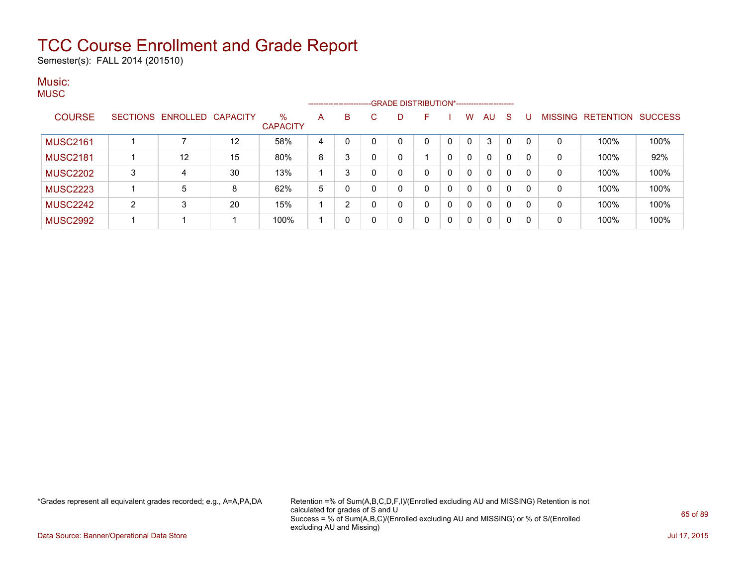Semester(s): FALL 2014 (201510)

#### Music: **MUSC**

| $\cdots$ $\cdots$ |   |                            |    |                         |   | ------------------------ |   |              |          |          |              |              |              |          |   |                                  |      |
|-------------------|---|----------------------------|----|-------------------------|---|--------------------------|---|--------------|----------|----------|--------------|--------------|--------------|----------|---|----------------------------------|------|
| <b>COURSE</b>     |   | SECTIONS ENROLLED CAPACITY |    | $\%$<br><b>CAPACITY</b> | A | B                        | С | D            | F        |          | W            | <b>AU</b>    | -S           |          |   | <b>MISSING RETENTION SUCCESS</b> |      |
| <b>MUSC2161</b>   |   |                            | 12 | 58%                     | 4 | - 0                      |   | $\mathbf{0}$ | $\Omega$ | 0        | 0            | 3            | $\mathbf{0}$ | $\Omega$ | 0 | 100%                             | 100% |
| <b>MUSC2181</b>   |   | 12                         | 15 | 80%                     | 8 | 3                        |   | 0            |          | 0        | $\mathbf{0}$ | 0            | 0            | 0        | 0 | 100%                             | 92%  |
| <b>MUSC2202</b>   | 3 | 4                          | 30 | 13%                     |   | 3                        |   | 0            | 0        | $\Omega$ | $\mathbf{0}$ | $\mathbf{0}$ | $\Omega$     | $\Omega$ | 0 | 100%                             | 100% |
| <b>MUSC2223</b>   |   | 5                          | 8  | 62%                     | 5 |                          |   | 0            | 0        | 0        | $\mathbf{0}$ | $\mathbf{0}$ | $\Omega$     | 0        | 0 | 100%                             | 100% |
| <b>MUSC2242</b>   | っ | 3                          | 20 | 15%                     |   | 2                        |   | 0            | 0        | $\Omega$ | 0            | $\mathbf{0}$ | $\Omega$     | $\Omega$ | 0 | 100%                             | 100% |
| <b>MUSC2992</b>   |   |                            |    | 100%                    |   |                          |   | 0            | 0        | 0        | $\Omega$     | $\Omega$     | 0            | $\Omega$ | 0 | 100%                             | 100% |

\*Grades represent all equivalent grades recorded; e.g., A=A,PA,DA Retention =% of Sum(A,B,C,D,F,I)/(Enrolled excluding AU and MISSING) Retention is not calculated for grades of S and U Success = % of Sum(A,B,C)/(Enrolled excluding AU and MISSING) or % of S/(Enrolled excluding AU and Missing)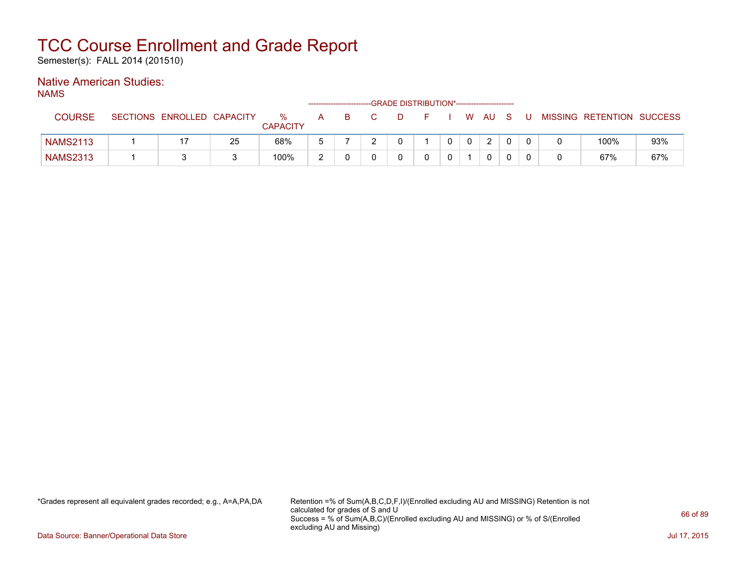Semester(s): FALL 2014 (201510)

#### Native American Studies:

NAMS

|                 |                            |    |                      | --------------------- |  |  |  |        |   |                           |     |
|-----------------|----------------------------|----|----------------------|-----------------------|--|--|--|--------|---|---------------------------|-----|
| <b>COURSE</b>   | SECTIONS ENROLLED CAPACITY |    | %<br><b>CAPACITY</b> | $\mathsf{A}$          |  |  |  | W AU S | U | MISSING RETENTION SUCCESS |     |
| <b>NAMS2113</b> |                            | 25 | 68%                  |                       |  |  |  |        |   | 100%                      | 93% |
| <b>NAMS2313</b> |                            |    | 100%                 | ົ                     |  |  |  |        |   | 67%                       | 67% |

\*Grades represent all equivalent grades recorded; e.g., A=A,PA,DA Retention =% of Sum(A,B,C,D,F,I)/(Enrolled excluding AU and MISSING) Retention is not calculated for grades of S and U Success = % of Sum(A,B,C)/(Enrolled excluding AU and MISSING) or % of S/(Enrolled excluding AU and Missing)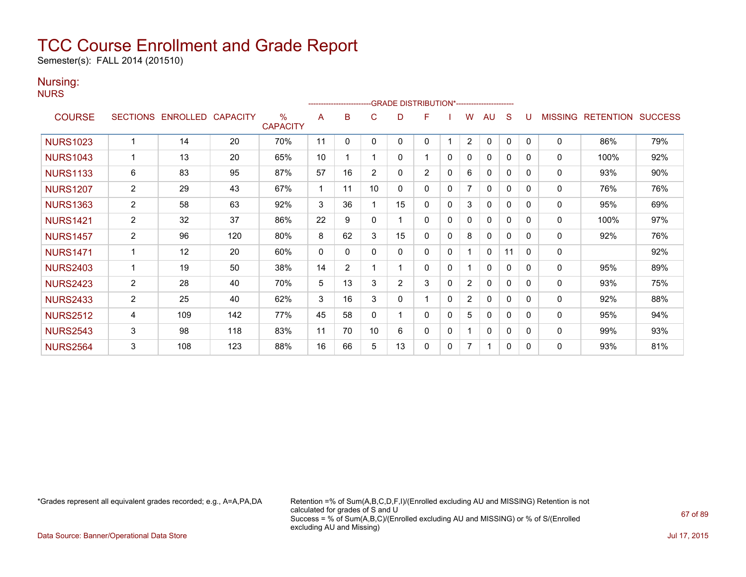Semester(s): FALL 2014 (201510)

### Nursing:

NURS

|                 |                |                   |                 |                                  |             | ------------------------ |                | -GRADE DISTRIBUTION*---------------------- |                |              |                |              |          |          |                |                  |                |
|-----------------|----------------|-------------------|-----------------|----------------------------------|-------------|--------------------------|----------------|--------------------------------------------|----------------|--------------|----------------|--------------|----------|----------|----------------|------------------|----------------|
| <b>COURSE</b>   |                | SECTIONS ENROLLED | <b>CAPACITY</b> | $\frac{0}{0}$<br><b>CAPACITY</b> | A           | в                        | C              | D                                          | F              |              | W              | AU           | S        |          | <b>MISSING</b> | <b>RETENTION</b> | <b>SUCCESS</b> |
| <b>NURS1023</b> |                | 14                | 20              | 70%                              | 11          | $\mathbf{0}$             | $\Omega$       | 0                                          | 0              |              | $\overline{2}$ | $\mathbf{0}$ | $\Omega$ | $\Omega$ | $\mathbf 0$    | 86%              | 79%            |
| <b>NURS1043</b> |                | 13                | 20              | 65%                              | 10          |                          |                | 0                                          |                | 0            | 0              | 0            | 0        | $\Omega$ | 0              | 100%             | 92%            |
| <b>NURS1133</b> | 6              | 83                | 95              | 87%                              | 57          | 16                       | $\overline{2}$ | 0                                          | $\overline{2}$ | $\Omega$     | 6              | $\mathbf{0}$ | $\Omega$ | $\Omega$ | 0              | 93%              | 90%            |
| <b>NURS1207</b> | $\overline{2}$ | 29                | 43              | 67%                              |             | 11                       | 10             | 0                                          | 0              | 0            | 7              | $\mathbf{0}$ | $\Omega$ | $\Omega$ | 0              | 76%              | 76%            |
| <b>NURS1363</b> | $\overline{2}$ | 58                | 63              | 92%                              | 3           | 36                       |                | 15                                         | 0              | 0            | 3              | $\mathbf{0}$ | 0        | $\Omega$ | 0              | 95%              | 69%            |
| <b>NURS1421</b> | $\overline{2}$ | 32                | 37              | 86%                              | 22          | 9                        | 0              |                                            | 0              | $\mathbf{0}$ | 0              | $\mathbf{0}$ | $\Omega$ | $\Omega$ | 0              | 100%             | 97%            |
| <b>NURS1457</b> | $\overline{2}$ | 96                | 120             | 80%                              | 8           | 62                       | 3              | 15                                         | 0              | $\Omega$     | 8              | $\mathbf{0}$ | $\Omega$ | $\Omega$ | 0              | 92%              | 76%            |
| <b>NURS1471</b> |                | 12                | 20              | 60%                              | $\mathbf 0$ | $\Omega$                 | 0              | 0                                          | 0              | 0            |                | $\mathbf{0}$ | 11       | $\Omega$ | 0              |                  | 92%            |
| <b>NURS2403</b> |                | 19                | 50              | 38%                              | 14          | $\mathbf{2}^{\prime}$    |                |                                            | 0              | 0            |                | $\mathbf{0}$ | $\Omega$ | $\Omega$ | 0              | 95%              | 89%            |
| <b>NURS2423</b> | $\overline{2}$ | 28                | 40              | 70%                              | 5           | 13                       | 3              | $\overline{2}$                             | 3              | 0            | $\overline{2}$ | $\mathbf{0}$ | 0        | $\Omega$ | 0              | 93%              | 75%            |
| <b>NURS2433</b> | $\overline{2}$ | 25                | 40              | 62%                              | 3           | 16                       | 3              | 0                                          |                | $\Omega$     | $\overline{2}$ | $\mathbf{0}$ | 0        | $\Omega$ | $\mathbf{0}$   | 92%              | 88%            |
| <b>NURS2512</b> | 4              | 109               | 142             | 77%                              | 45          | 58                       | 0              |                                            | 0              | $\Omega$     | 5              | $\mathbf{0}$ | $\Omega$ | $\Omega$ | 0              | 95%              | 94%            |
| <b>NURS2543</b> | 3              | 98                | 118             | 83%                              | 11          | 70                       | 10             | 6                                          | 0              | 0            |                | 0            | 0        | $\Omega$ | 0              | 99%              | 93%            |
| <b>NURS2564</b> | 3              | 108               | 123             | 88%                              | 16          | 66                       | 5              | 13                                         | 0              | 0            | 7              | 1            | 0        | $\Omega$ | $\Omega$       | 93%              | 81%            |

\*Grades represent all equivalent grades recorded; e.g., A=A,PA,DA Retention =% of Sum(A,B,C,D,F,I)/(Enrolled excluding AU and MISSING) Retention is not calculated for grades of S and U Success = % of Sum(A,B,C)/(Enrolled excluding AU and MISSING) or % of S/(Enrolled excluding AU and Missing)

Data Source: Banner/Operational Data Store Jul 17, 2015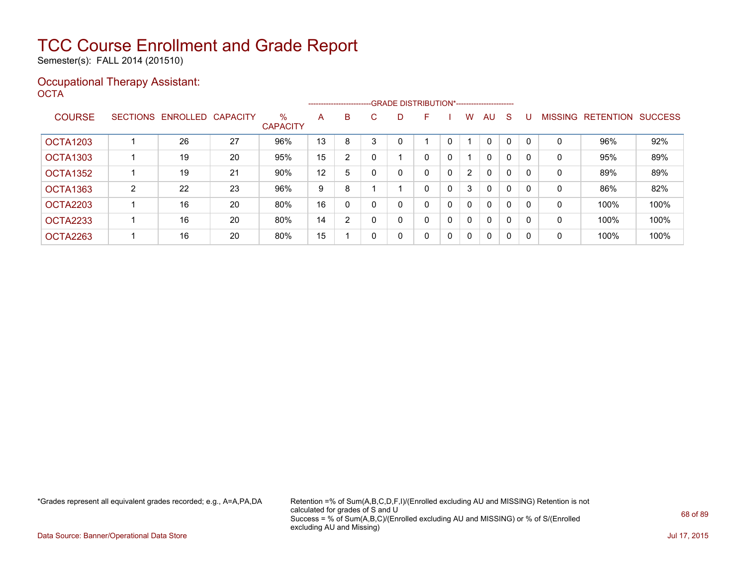Semester(s): FALL 2014 (201510)

#### Occupational Therapy Assistant: OCTA<sup>'</sup>

|                 |   |                   |                 |                         |    | ------------------------GRADE DISTRIBUTION*----------------------- |          |          |   |   |                      |              |              |              |                |                  |                |
|-----------------|---|-------------------|-----------------|-------------------------|----|--------------------------------------------------------------------|----------|----------|---|---|----------------------|--------------|--------------|--------------|----------------|------------------|----------------|
| <b>COURSE</b>   |   | SECTIONS ENROLLED | <b>CAPACITY</b> | $\%$<br><b>CAPACITY</b> | A  | B.                                                                 | C        | D        | F |   | W                    | AU           | S            |              | <b>MISSING</b> | <b>RETENTION</b> | <b>SUCCESS</b> |
| <b>OCTA1203</b> |   | 26                | 27              | 96%                     | 13 | 8                                                                  | 3        | $\Omega$ |   | 0 |                      | 0            |              | $\Omega$     | 0              | 96%              | 92%            |
| <b>OCTA1303</b> |   | 19                | 20              | 95%                     | 15 | $\overline{2}$                                                     | 0        |          | 0 | 0 |                      | $\Omega$     | $\Omega$     | $\Omega$     | 0              | 95%              | 89%            |
| OCTA1352        |   | 19                | 21              | 90%                     | 12 | 5                                                                  | 0        | 0        | 0 | 0 | $\mathbf{2}^{\circ}$ | $\Omega$     | $\Omega$     | $\mathbf{0}$ | 0              | 89%              | 89%            |
| OCTA1363        | 2 | 22                | 23              | 96%                     | 9  | 8                                                                  |          |          | 0 | 0 | 3                    | $\Omega$     | $\Omega$     | $\mathbf{0}$ | 0              | 86%              | 82%            |
| OCTA2203        |   | 16                | 20              | 80%                     | 16 | 0                                                                  | 0        | 0        | 0 | 0 | 0                    | $\mathbf{0}$ | $\Omega$     | $\mathbf{0}$ | 0              | 100%             | 100%           |
| OCTA2233        |   | 16                | 20              | 80%                     | 14 | 2                                                                  | $\Omega$ | 0        | 0 | 0 | 0                    | $\mathbf{0}$ | $\mathbf{0}$ | $\mathbf{0}$ | 0              | 100%             | 100%           |
| OCTA2263        |   | 16                | 20              | 80%                     | 15 |                                                                    | 0        | 0        | 0 | 0 | $\Omega$             | $\mathbf{0}$ | $\Omega$     | $\Omega$     | 0              | 100%             | 100%           |

\*Grades represent all equivalent grades recorded; e.g., A=A,PA,DA Retention =% of Sum(A,B,C,D,F,I)/(Enrolled excluding AU and MISSING) Retention is not calculated for grades of S and U Success = % of Sum(A,B,C)/(Enrolled excluding AU and MISSING) or % of S/(Enrolled excluding AU and Missing)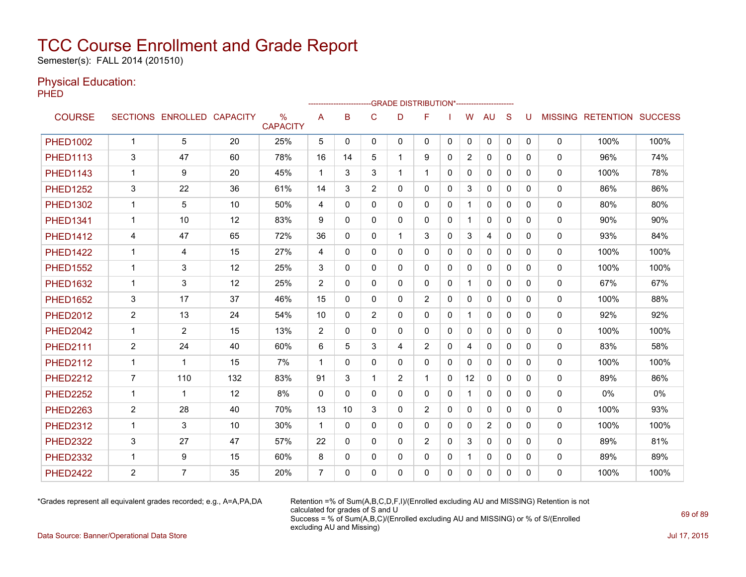Semester(s): FALL 2014 (201510)

### Physical Education:

PHED

|                 |                |                   |                 |                      |                | ------------------------ |                |              | -GRADE DISTRIBUTION*---------------------- |              |              |                |              |   |              |                                  |      |
|-----------------|----------------|-------------------|-----------------|----------------------|----------------|--------------------------|----------------|--------------|--------------------------------------------|--------------|--------------|----------------|--------------|---|--------------|----------------------------------|------|
| <b>COURSE</b>   |                | SECTIONS ENROLLED | <b>CAPACITY</b> | %<br><b>CAPACITY</b> | A              | B                        | C              | D            | F                                          |              | W            | AU             | S            | U |              | <b>MISSING RETENTION SUCCESS</b> |      |
| <b>PHED1002</b> | $\mathbf{1}$   | 5                 | 20              | 25%                  | 5              | $\mathbf{0}$             | $\mathbf{0}$   | $\Omega$     | $\mathbf{0}$                               | $\mathbf{0}$ | 0            | 0              | $\mathbf{0}$ | 0 | 0            | 100%                             | 100% |
| <b>PHED1113</b> | 3              | 47                | 60              | 78%                  | 16             | 14                       | 5              | 1            | 9                                          | 0            | 2            | $\mathbf{0}$   | $\Omega$     | 0 | 0            | 96%                              | 74%  |
| <b>PHED1143</b> | $\mathbf{1}$   | 9                 | 20              | 45%                  | $\mathbf 1$    | 3                        | 3              |              |                                            | 0            | $\mathbf{0}$ | 0              | $\mathbf{0}$ | 0 | 0            | 100%                             | 78%  |
| <b>PHED1252</b> | 3              | 22                | 36              | 61%                  | 14             | 3                        | $\overline{2}$ | $\mathbf{0}$ | $\Omega$                                   | 0            | 3            | $\mathbf{0}$   | $\mathbf{0}$ | 0 | $\mathbf{0}$ | 86%                              | 86%  |
| <b>PHED1302</b> | $\mathbf{1}$   | 5                 | 10              | 50%                  | 4              | $\Omega$                 | $\mathbf{0}$   | $\Omega$     | $\mathbf{0}$                               | 0            | 1            | $\mathbf{0}$   | $\mathbf{0}$ | 0 | 0            | 80%                              | 80%  |
| <b>PHED1341</b> | $\mathbf{1}$   | 10                | 12              | 83%                  | 9              | $\Omega$                 | $\mathbf{0}$   | $\mathbf{0}$ | $\mathbf{0}$                               | 0            | $\mathbf{1}$ | $\mathbf{0}$   | $\Omega$     | 0 | 0            | 90%                              | 90%  |
| <b>PHED1412</b> | 4              | 47                | 65              | 72%                  | 36             | 0                        | 0              | 1            | 3                                          | 0            | 3            | $\overline{4}$ | $\mathbf{0}$ | 0 | 0            | 93%                              | 84%  |
| <b>PHED1422</b> | $\mathbf{1}$   | 4                 | 15              | 27%                  | 4              | 0                        | 0              | $\mathbf{0}$ | $\mathbf{0}$                               | 0            | $\mathbf{0}$ | $\mathbf{0}$   | $\Omega$     | 0 | 0            | 100%                             | 100% |
| <b>PHED1552</b> | $\mathbf 1$    | 3                 | 12              | 25%                  | 3              | 0                        | $\Omega$       | $\Omega$     | $\Omega$                                   | $\Omega$     | $\mathbf{0}$ | $\mathbf{0}$   | $\Omega$     | 0 | $\mathbf{0}$ | 100%                             | 100% |
| <b>PHED1632</b> | $\mathbf{1}$   | 3                 | 12              | 25%                  | 2              | $\Omega$                 | $\mathbf{0}$   | $\mathbf{0}$ | $\mathbf{0}$                               | 0            | $\mathbf 1$  | $\mathbf{0}$   | $\Omega$     | 0 | 0            | 67%                              | 67%  |
| <b>PHED1652</b> | 3              | 17                | 37              | 46%                  | 15             | $\Omega$                 | $\mathbf{0}$   | $\Omega$     | 2                                          | $\Omega$     | $\mathbf{0}$ | $\mathbf{0}$   | $\Omega$     | 0 | 0            | 100%                             | 88%  |
| <b>PHED2012</b> | $\overline{c}$ | 13                | 24              | 54%                  | 10             | $\mathbf{0}$             | 2              | $\mathbf{0}$ | 0                                          | 0            |              | 0              | $\mathbf{0}$ | 0 | 0            | 92%                              | 92%  |
| <b>PHED2042</b> | $\mathbf 1$    | $\overline{2}$    | 15              | 13%                  | 2              | 0                        | 0              | 0            | 0                                          | 0            | 0            | $\mathbf{0}$   | 0            | 0 | 0            | 100%                             | 100% |
| <b>PHED2111</b> | $\overline{2}$ | 24                | 40              | 60%                  | 6              | 5                        | 3              | 4            | 2                                          | 0            | 4            | $\mathbf{0}$   | $\mathbf{0}$ | 0 | 0            | 83%                              | 58%  |
| <b>PHED2112</b> | $\mathbf{1}$   | 1                 | 15              | 7%                   | $\overline{1}$ | $\Omega$                 | $\Omega$       | $\Omega$     | $\Omega$                                   | 0            | $\mathbf{0}$ | $\mathbf{0}$   | $\Omega$     | 0 | $\mathbf{0}$ | 100%                             | 100% |
| <b>PHED2212</b> | $\overline{7}$ | 110               | 132             | 83%                  | 91             | 3                        | 1              | 2            | 1                                          | 0            | 12           | $\mathbf{0}$   | $\mathbf{0}$ | 0 | 0            | 89%                              | 86%  |
| <b>PHED2252</b> | $\mathbf{1}$   | 1                 | 12              | 8%                   | $\mathbf{0}$   | 0                        | $\mathbf{0}$   | $\Omega$     | $\mathbf{0}$                               | 0            | $\mathbf{1}$ | $\mathbf{0}$   | $\Omega$     | 0 | 0            | $0\%$                            | 0%   |
| <b>PHED2263</b> | $\overline{2}$ | 28                | 40              | 70%                  | 13             | 10                       | 3              | $\mathbf{0}$ | $\overline{2}$                             | 0            | 0            | $\mathbf{0}$   | $\mathbf{0}$ | 0 | 0            | 100%                             | 93%  |
| <b>PHED2312</b> | $\mathbf{1}$   | 3                 | 10              | 30%                  | $\mathbf{1}$   | $\Omega$                 | $\mathbf{0}$   | $\Omega$     | 0                                          | $\Omega$     | $\mathbf{0}$ | $\overline{2}$ | $\Omega$     | 0 | $\mathbf{0}$ | 100%                             | 100% |
| <b>PHED2322</b> | 3              | 27                | 47              | 57%                  | 22             | $\Omega$                 | $\Omega$       | $\Omega$     | 2                                          | $\Omega$     | 3            | $\mathbf{0}$   | $\Omega$     | 0 | $\mathbf{0}$ | 89%                              | 81%  |
| <b>PHED2332</b> | $\mathbf 1$    | 9                 | 15              | 60%                  | 8              | 0                        | 0              | 0            | 0                                          | 0            |              | $\mathbf{0}$   | 0            | 0 | 0            | 89%                              | 89%  |
| <b>PHED2422</b> | $\overline{2}$ | 7                 | 35              | 20%                  | $\overline{7}$ | 0                        | $\Omega$       | 0            | 0                                          | 0            | 0            | $\mathbf{0}$   | 0            | 0 | 0            | 100%                             | 100% |

\*Grades represent all equivalent grades recorded; e.g., A=A,PA,DA Retention =% of Sum(A,B,C,D,F,I)/(Enrolled excluding AU and MISSING) Retention is not calculated for grades of S and U Success = % of Sum(A,B,C)/(Enrolled excluding AU and MISSING) or % of S/(Enrolled excluding AU and Missing)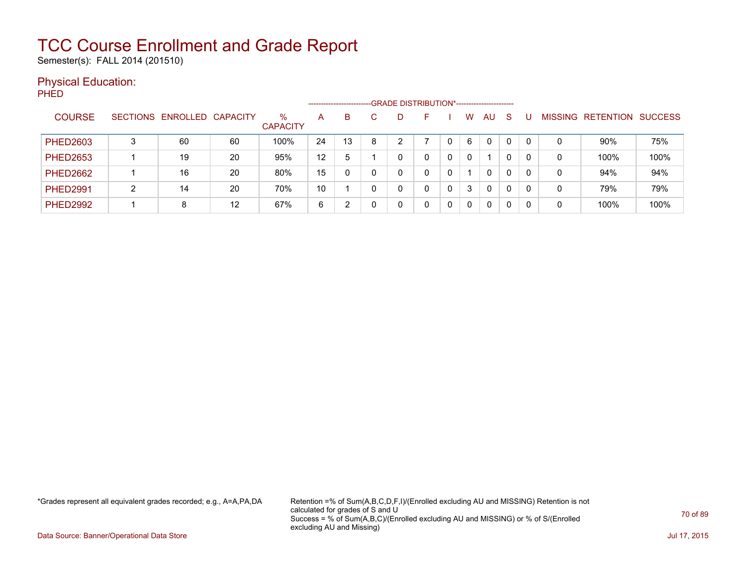Semester(s): FALL 2014 (201510)

### Physical Education:

PHED

|                 | -GRADE DISTRIBUTION*-----------------------<br>----------------------- |                            |                   |                      |    |    |   |   |   |   |              |          |              |  |                |                  |                |
|-----------------|------------------------------------------------------------------------|----------------------------|-------------------|----------------------|----|----|---|---|---|---|--------------|----------|--------------|--|----------------|------------------|----------------|
| <b>COURSE</b>   |                                                                        | SECTIONS ENROLLED CAPACITY |                   | %<br><b>CAPACITY</b> | A  | B  |   |   | ⊢ |   | w            | AU       | <sub>S</sub> |  | <b>MISSING</b> | <b>RETENTION</b> | <b>SUCCESS</b> |
| <b>PHED2603</b> |                                                                        | 60                         | 60                | 100%                 | 24 | 13 | 8 | ⌒ |   |   | 6            | 0        | 0            |  |                | 90%              | 75%            |
| <b>PHED2653</b> |                                                                        | 19                         | 20                | 95%                  | 12 | 5  |   |   |   |   | $\mathbf{0}$ |          | 0            |  | 0              | 100%             | 100%           |
| <b>PHED2662</b> |                                                                        | 16                         | 20                | 80%                  | 15 |    |   |   |   |   |              | 0        | 0            |  |                | 94%              | 94%            |
| <b>PHED2991</b> |                                                                        | 14                         | 20                | 70%                  | 10 |    |   |   | 0 | 0 | 3            | $\Omega$ | 0            |  | 0              | 79%              | 79%            |
| <b>PHED2992</b> |                                                                        | 8                          | $12 \overline{ }$ | 67%                  | 6  | ົ  |   |   | 0 |   | 0            | 0        | 0            |  | 0              | 100%             | 100%           |

\*Grades represent all equivalent grades recorded; e.g., A=A,PA,DA Retention =% of Sum(A,B,C,D,F,I)/(Enrolled excluding AU and MISSING) Retention is not calculated for grades of S and U Success = % of Sum(A,B,C)/(Enrolled excluding AU and MISSING) or % of S/(Enrolled excluding AU and Missing)

Data Source: Banner/Operational Data Store Jul 17, 2015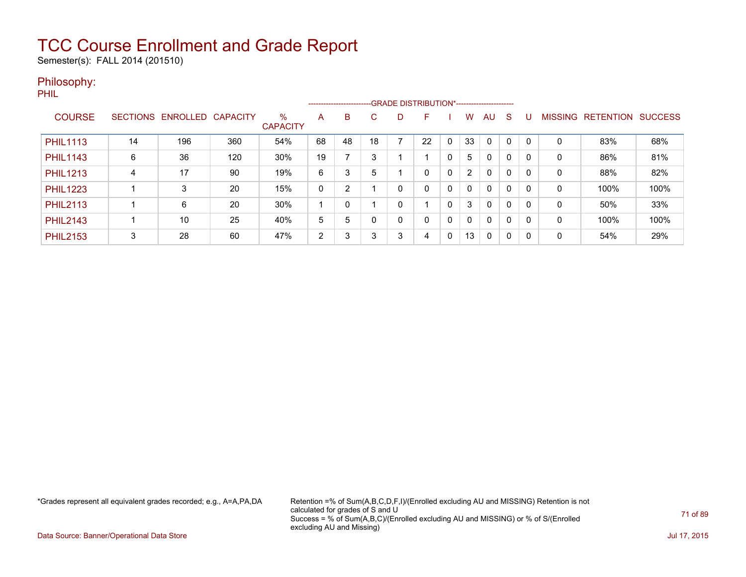Semester(s): FALL 2014 (201510)

#### Philosophy:

PHIL

|                 |                 |          |                 |                         | --------------------------GRADE DISTRIBUTION*----------------------- |          |    |   |    |          |                |              |          |          |                |                  |                |
|-----------------|-----------------|----------|-----------------|-------------------------|----------------------------------------------------------------------|----------|----|---|----|----------|----------------|--------------|----------|----------|----------------|------------------|----------------|
| <b>COURSE</b>   | <b>SECTIONS</b> | ENROLLED | <b>CAPACITY</b> | $\%$<br><b>CAPACITY</b> | A                                                                    | B        | C. | D | F  |          | w              | AU           | S        |          | <b>MISSING</b> | <b>RETENTION</b> | <b>SUCCESS</b> |
| <b>PHIL1113</b> | 14              | 196      | 360             | 54%                     | 68                                                                   | 48       | 18 |   | 22 | $\Omega$ | 33             | $\Omega$     |          | $\Omega$ | 0              | 83%              | 68%            |
| <b>PHIL1143</b> | 6               | 36       | 120             | 30%                     | 19                                                                   | ⇁        | 3  |   |    | 0        | 5              | 0            | 0        | 0        | 0              | 86%              | 81%            |
| <b>PHIL1213</b> | 4               | 17       | 90              | 19%                     | 6                                                                    | 3        | 5  |   | 0  | 0        | $\overline{2}$ | $\Omega$     | 0        | $\Omega$ | 0              | 88%              | 82%            |
| <b>PHIL1223</b> |                 | 3        | 20              | 15%                     | 0                                                                    | 2        |    | 0 | 0  | 0        | $\mathbf{0}$   | $\mathbf{0}$ | 0        | 0        | 0              | 100%             | 100%           |
| <b>PHIL2113</b> |                 | 6        | 20              | 30%                     |                                                                      | $\Omega$ |    | 0 |    | 0        | 3              | $\mathbf{0}$ | $\Omega$ | 0        | 0              | 50%              | 33%            |
| <b>PHIL2143</b> |                 | 10       | 25              | 40%                     | 5                                                                    | 5        |    | 0 | 0  | 0        | 0              | $\Omega$     | $\Omega$ | $\Omega$ | $\mathbf 0$    | 100%             | 100%           |
| <b>PHIL2153</b> | 3               | 28       | 60              | 47%                     | 2                                                                    | 3        | 3  | 3 | 4  | 0        | 13             | $\mathbf{0}$ | $\Omega$ | $\Omega$ | 0              | 54%              | 29%            |

\*Grades represent all equivalent grades recorded; e.g., A=A,PA,DA Retention =% of Sum(A,B,C,D,F,I)/(Enrolled excluding AU and MISSING) Retention is not calculated for grades of S and U Success = % of Sum(A,B,C)/(Enrolled excluding AU and MISSING) or % of S/(Enrolled excluding AU and Missing)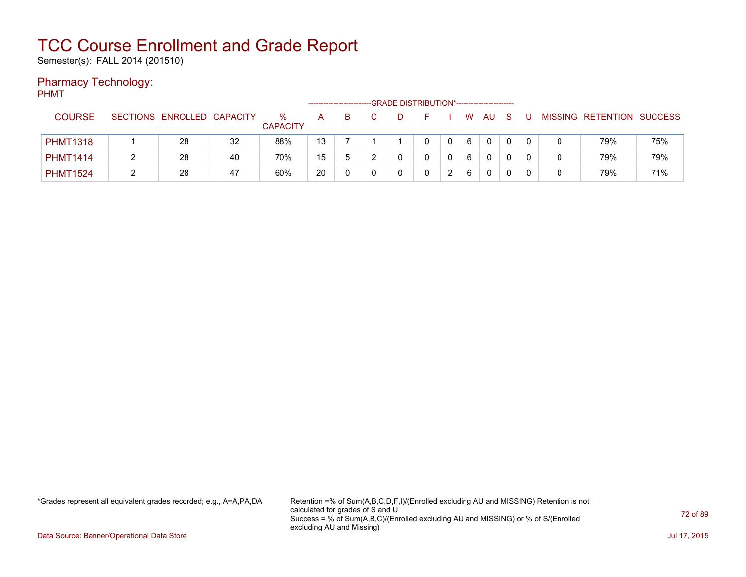Semester(s): FALL 2014 (201510)

### Pharmacy Technology:

PHMT

|                 |                            |    | -GRADE DISTRIBUTION*-----------------------<br>---------------------- |    |   |  |   |   |   |   |              |  |  |  |                           |     |
|-----------------|----------------------------|----|-----------------------------------------------------------------------|----|---|--|---|---|---|---|--------------|--|--|--|---------------------------|-----|
| <b>COURSE</b>   | SECTIONS ENROLLED CAPACITY |    | $\%$<br><b>CAPACITY</b>                                               | A  | B |  | D |   |   | W | AU           |  |  |  | MISSING RETENTION SUCCESS |     |
| <b>PHMT1318</b> | 28                         | 32 | 88%                                                                   | 13 |   |  |   | 0 |   | 6 | $\mathbf{0}$ |  |  |  | 79%                       | 75% |
| <b>PHMT1414</b> | 28                         | 40 | 70%                                                                   | 15 | 5 |  |   |   |   | 6 | $\mathbf{0}$ |  |  |  | 79%                       | 79% |
| <b>PHMT1524</b> | 28                         | 47 | 60%                                                                   | 20 |   |  |   | 0 | ົ | 6 | $\mathbf{0}$ |  |  |  | 79%                       | 71% |

\*Grades represent all equivalent grades recorded; e.g., A=A,PA,DA Retention =% of Sum(A,B,C,D,F,I)/(Enrolled excluding AU and MISSING) Retention is not calculated for grades of S and U Success = % of Sum(A,B,C)/(Enrolled excluding AU and MISSING) or % of S/(Enrolled excluding AU and Missing)

Data Source: Banner/Operational Data Store Jul 17, 2015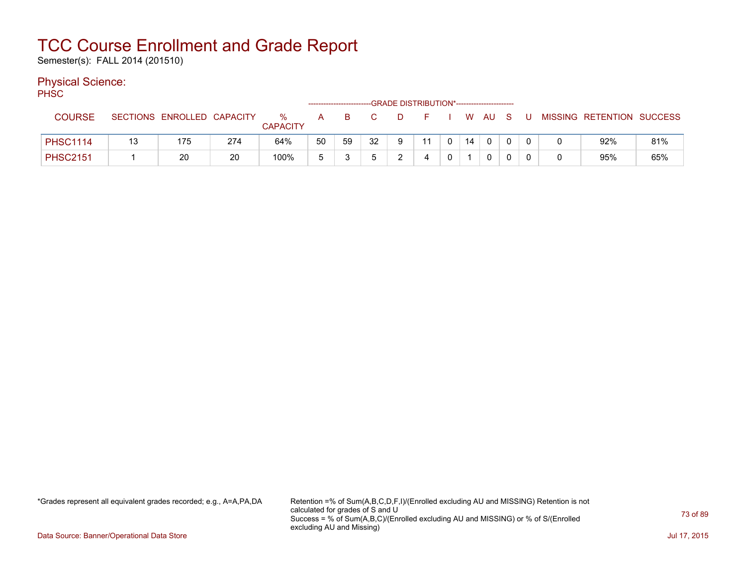Semester(s): FALL 2014 (201510)

#### Physical Science:

PH<sub>SC</sub>

| ----            |    |                            |     |                         |    |    | ------------------------GRADE DISTRIBUTION*----------------------- |   |    |          |    |              |              |   |                           |     |
|-----------------|----|----------------------------|-----|-------------------------|----|----|--------------------------------------------------------------------|---|----|----------|----|--------------|--------------|---|---------------------------|-----|
| <b>COURSE</b>   |    | SECTIONS ENROLLED CAPACITY |     | $\%$<br><b>CAPACITY</b> | A  | в  |                                                                    | D |    |          |    | W AU S       |              |   | MISSING RETENTION SUCCESS |     |
| <b>PHSC1114</b> | 13 | 175                        | 274 | 64%                     | 50 | 59 | 32                                                                 |   | 11 | $\Omega$ | 14 | $\mathbf{0}$ | $\mathbf{0}$ |   | 92%                       | 81% |
| <b>PHSC2151</b> |    | 20                         | 20  | 100%                    | b  |    |                                                                    |   | 4  |          |    |              |              | 0 | 95%                       | 65% |

\*Grades represent all equivalent grades recorded; e.g., A=A,PA,DA Retention =% of Sum(A,B,C,D,F,I)/(Enrolled excluding AU and MISSING) Retention is not calculated for grades of S and U Success = % of Sum(A,B,C)/(Enrolled excluding AU and MISSING) or % of S/(Enrolled excluding AU and Missing)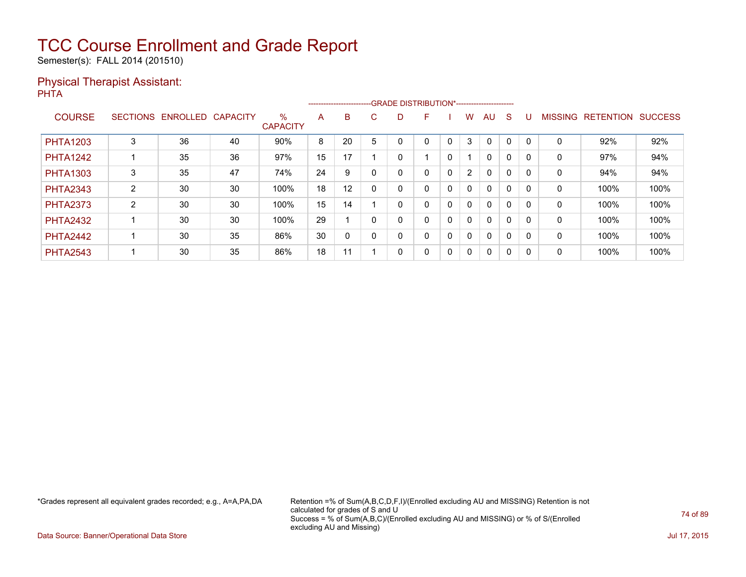Semester(s): FALL 2014 (201510)

#### Physical Therapist Assistant: PHTA

|                 |   |                   |                 |                         |    |    |    | -------------------------GRADE DISTRIBUTION*----------------------- |   |              |                |              |              |          |                |                  |                |
|-----------------|---|-------------------|-----------------|-------------------------|----|----|----|---------------------------------------------------------------------|---|--------------|----------------|--------------|--------------|----------|----------------|------------------|----------------|
| <b>COURSE</b>   |   | SECTIONS ENROLLED | <b>CAPACITY</b> | $\%$<br><b>CAPACITY</b> | A  | B  | C. | D                                                                   | F |              | W              | AU           | <sub>S</sub> |          | <b>MISSING</b> | <b>RETENTION</b> | <b>SUCCESS</b> |
| <b>PHTA1203</b> | 3 | 36                | 40              | 90%                     | 8  | 20 |    |                                                                     |   |              | 3              | $\Omega$     | 0            |          | 0              | 92%              | 92%            |
| <b>PHTA1242</b> |   | 35                | 36              | 97%                     | 15 | 17 |    |                                                                     |   | 0            |                | $\mathbf{0}$ | 0            |          | 0              | 97%              | 94%            |
| <b>PHTA1303</b> | 3 | 35                | 47              | 74%                     | 24 | 9  |    | 0                                                                   | 0 | $\mathbf{0}$ | $\overline{2}$ | $\mathbf{0}$ | $\Omega$     |          | 0              | 94%              | 94%            |
| <b>PHTA2343</b> | 2 | 30                | 30              | 100%                    | 18 | 12 |    | 0                                                                   | 0 | 0            | 0              | $\mathbf{0}$ | 0            |          | 0              | 100%             | 100%           |
| <b>PHTA2373</b> | 2 | 30                | 30              | 100%                    | 15 | 14 |    | 0                                                                   | 0 | 0            | 0              | $\mathbf{0}$ | $\Omega$     |          | 0              | 100%             | 100%           |
| <b>PHTA2432</b> |   | 30                | 30              | 100%                    | 29 |    |    | 0                                                                   | 0 | 0            | 0              | $\mathbf{0}$ | 0            | $\Omega$ | 0              | 100%             | 100%           |
| <b>PHTA2442</b> |   | 30                | 35              | 86%                     | 30 | 0  |    | 0                                                                   | 0 | 0            | $\mathbf{0}$   | $\mathbf{0}$ | 0            |          | 0              | 100%             | 100%           |
| <b>PHTA2543</b> |   | 30                | 35              | 86%                     | 18 | 11 |    | 0                                                                   | 0 | 0            | 0              | $\mathbf{0}$ | 0            | $\Omega$ | 0              | 100%             | 100%           |

\*Grades represent all equivalent grades recorded; e.g., A=A,PA,DA Retention =% of Sum(A,B,C,D,F,I)/(Enrolled excluding AU and MISSING) Retention is not calculated for grades of S and U Success = % of Sum(A,B,C)/(Enrolled excluding AU and MISSING) or % of S/(Enrolled excluding AU and Missing)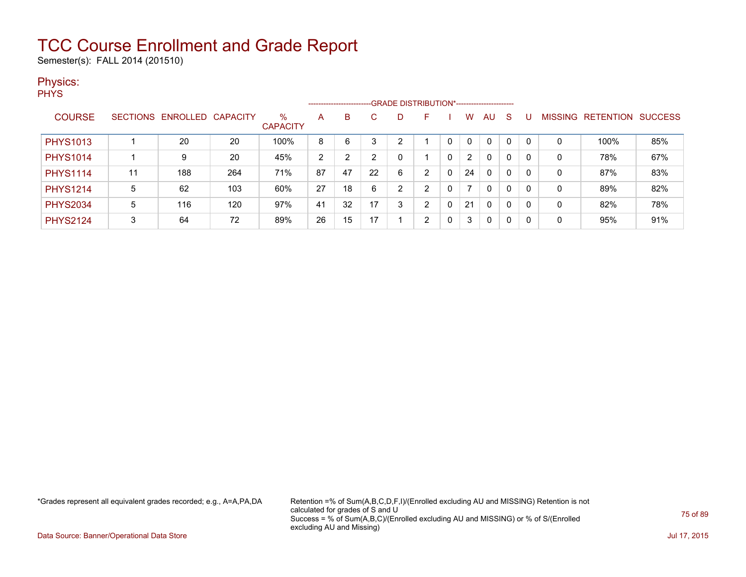Semester(s): FALL 2014 (201510)

#### Physics:

PHYS

|                 |    |                            |     |                         |                |    |    |   | ------------------------GRADE DISTRIBUTION*----------------------- |   |                |              |   |   |              |                   |                |
|-----------------|----|----------------------------|-----|-------------------------|----------------|----|----|---|--------------------------------------------------------------------|---|----------------|--------------|---|---|--------------|-------------------|----------------|
| <b>COURSE</b>   |    | SECTIONS ENROLLED CAPACITY |     | $\%$<br><b>CAPACITY</b> | A              | B  |    |   | F                                                                  |   | w              | AU           | S |   |              | MISSING RETENTION | <b>SUCCESS</b> |
| <b>PHYS1013</b> |    | 20                         | 20  | 100%                    | 8              | 6  |    | ◠ |                                                                    |   | 0              | $\mathbf{0}$ | 0 |   | 0            | 100%              | 85%            |
| <b>PHYS1014</b> |    | 9                          | 20  | 45%                     | $\overline{2}$ | っ  |    |   |                                                                    | 0 | $\overline{2}$ | 0            | 0 | 0 | 0            | 78%               | 67%            |
| <b>PHYS1114</b> | 11 | 188                        | 264 | 71%                     | 87             | 47 | 22 | 6 | 2                                                                  | 0 | 24             | $\mathbf{0}$ | 0 | 0 | 0            | 87%               | 83%            |
| <b>PHYS1214</b> | 5  | 62                         | 103 | 60%                     | 27             | 18 | 6  | ົ | າ                                                                  | 0 |                | $\mathbf{0}$ | 0 | 0 | $\mathbf{0}$ | 89%               | 82%            |
| <b>PHYS2034</b> | 5  | 116                        | 120 | 97%                     | 41             | 32 | 17 | 3 | ົ                                                                  | 0 | 21             | $\mathbf{0}$ | 0 | 0 | 0            | 82%               | 78%            |
| <b>PHYS2124</b> | 3  | 64                         | 72  | 89%                     | 26             | 15 | 17 |   | 2                                                                  | 0 | 3              | 0            | 0 |   | 0            | 95%               | 91%            |

\*Grades represent all equivalent grades recorded; e.g., A=A,PA,DA Retention =% of Sum(A,B,C,D,F,I)/(Enrolled excluding AU and MISSING) Retention is not calculated for grades of S and U Success = % of Sum(A,B,C)/(Enrolled excluding AU and MISSING) or % of S/(Enrolled excluding AU and Missing)

Data Source: Banner/Operational Data Store Jul 17, 2015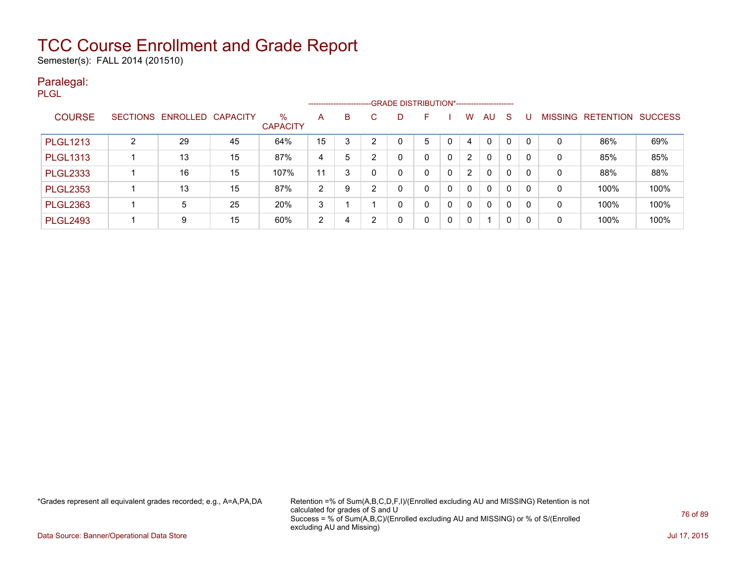Semester(s): FALL 2014 (201510)

#### Paralegal:

|    | . .            |
|----|----------------|
| -- |                |
|    | ×<br>۰.<br>. . |

|                 |   |                            |    |                         |    |   |    |   | -----------------------GRADE DISTRIBUTION*----------------------- |   |                      |              |              |   |   |                   |                |
|-----------------|---|----------------------------|----|-------------------------|----|---|----|---|-------------------------------------------------------------------|---|----------------------|--------------|--------------|---|---|-------------------|----------------|
| <b>COURSE</b>   |   | SECTIONS ENROLLED CAPACITY |    | $\%$<br><b>CAPACITY</b> | A  | B | C. | D | F                                                                 |   | w                    | AU           | <sub>S</sub> |   |   | MISSING RETENTION | <b>SUCCESS</b> |
| <b>PLGL1213</b> | 2 | 29                         | 45 | 64%                     | 15 | 3 |    |   | 5                                                                 |   | 4                    | $\mathbf{0}$ | 0            | 0 | 0 | 86%               | 69%            |
| <b>PLGL1313</b> |   | 13                         | 15 | 87%                     | 4  | 5 |    |   | 0                                                                 | 0 | $\overline{2}$       | 0            | 0            | 0 | 0 | 85%               | 85%            |
| <b>PLGL2333</b> |   | 16                         | 15 | 107%                    | 11 | 3 |    |   | 0                                                                 | 0 | $\mathbf{2}^{\circ}$ | $\mathbf{0}$ | 0            | 0 | 0 | 88%               | 88%            |
| <b>PLGL2353</b> |   | 13                         | 15 | 87%                     | 2  | 9 | 2  |   | 0                                                                 | 0 | 0                    | $\mathbf{0}$ | 0            |   | 0 | 100%              | 100%           |
| <b>PLGL2363</b> |   | 5                          | 25 | 20%                     | 3  |   |    |   | 0                                                                 | 0 | 0                    | $\mathbf{0}$ | 0            | 0 | 0 | 100%              | 100%           |
| <b>PLGL2493</b> |   | 9                          | 15 | 60%                     | 2  | 4 | 2  |   | 0                                                                 | 0 | 0                    |              | $\Omega$     |   | 0 | 100%              | 100%           |

\*Grades represent all equivalent grades recorded; e.g., A=A,PA,DA Retention =% of Sum(A,B,C,D,F,I)/(Enrolled excluding AU and MISSING) Retention is not calculated for grades of S and U Success = % of Sum(A,B,C)/(Enrolled excluding AU and MISSING) or % of S/(Enrolled excluding AU and Missing)

Data Source: Banner/Operational Data Store Jul 17, 2015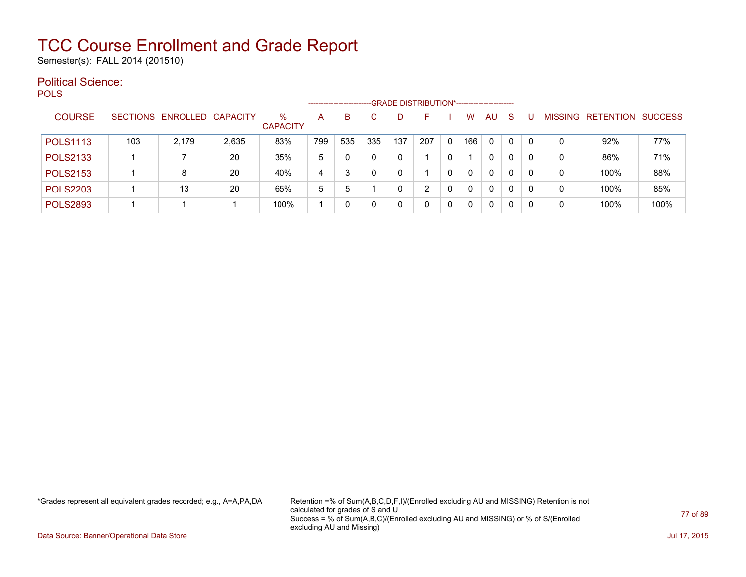Semester(s): FALL 2014 (201510)

#### Political Science: POLS

|                 |     |                            |       |                         |     | ---------------------- |     | -GRADE DISTRIBUTION*----------------------- |     |   |     |    |              |          |                |                  |                |
|-----------------|-----|----------------------------|-------|-------------------------|-----|------------------------|-----|---------------------------------------------|-----|---|-----|----|--------------|----------|----------------|------------------|----------------|
| <b>COURSE</b>   |     | SECTIONS ENROLLED CAPACITY |       | $\%$<br><b>CAPACITY</b> | Α   | B                      |     |                                             | ⊢   |   | w   | AU | <sub>S</sub> |          | <b>MISSING</b> | <b>RETENTION</b> | <b>SUCCESS</b> |
| <b>POLS1113</b> | 103 | 2.179                      | 2,635 | 83%                     | 799 | 535                    | 335 | 137                                         | 207 | 0 | 166 | 0  | $\Omega$     | $\Omega$ | 0              | 92%              | 77%            |
| <b>POLS2133</b> |     |                            | 20    | 35%                     | 5   |                        | 0   | $\Omega$                                    |     | 0 |     | 0  | $\Omega$     | $\Omega$ | 0              | 86%              | 71%            |
| <b>POLS2153</b> |     | 8                          | 20    | 40%                     | 4   | 3                      | 0   | 0                                           |     | 0 | 0   | 0  | $\Omega$     | $\Omega$ | 0              | 100%             | 88%            |
| <b>POLS2203</b> |     | 13                         | 20    | 65%                     | 5   | 5                      |     | 0                                           |     | 0 |     | 0  | $\Omega$     | $\Omega$ | 0              | 100%             | 85%            |
| <b>POLS2893</b> |     |                            |       | 100%                    |     |                        |     | 0                                           |     | 0 |     | 0  | $\Omega$     | $\Omega$ | 0              | 100%             | 100%           |

\*Grades represent all equivalent grades recorded; e.g., A=A,PA,DA Retention =% of Sum(A,B,C,D,F,I)/(Enrolled excluding AU and MISSING) Retention is not calculated for grades of S and U Success = % of Sum(A,B,C)/(Enrolled excluding AU and MISSING) or % of S/(Enrolled excluding AU and Missing)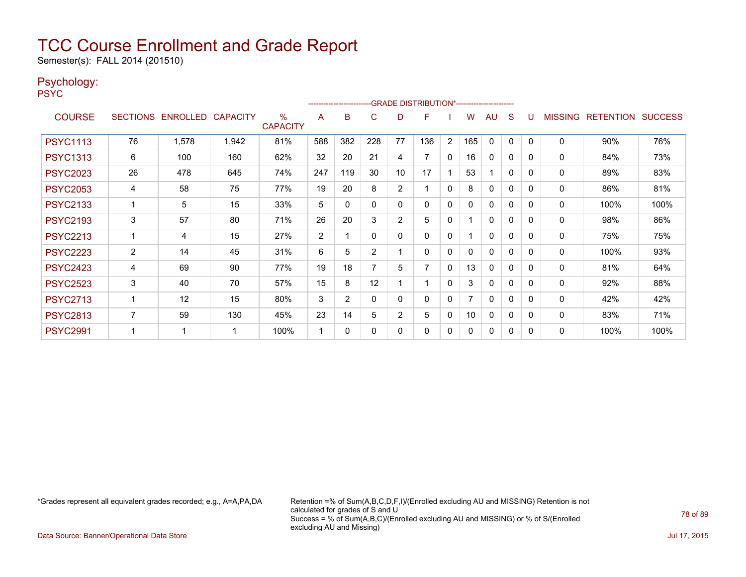Semester(s): FALL 2014 (201510)

#### Psychology:

PSYC

|                 |                 |                   |       |                         |                | ------------------------ |          |                | -GRADE DISTRIBUTION*---------------------- |              |     |              |          |          |                |                          |      |
|-----------------|-----------------|-------------------|-------|-------------------------|----------------|--------------------------|----------|----------------|--------------------------------------------|--------------|-----|--------------|----------|----------|----------------|--------------------------|------|
| <b>COURSE</b>   | <b>SECTIONS</b> | ENROLLED CAPACITY |       | $\%$<br><b>CAPACITY</b> | A              | B                        | C        | D              | F                                          |              | W   | AU           | S        | U        | <b>MISSING</b> | <b>RETENTION SUCCESS</b> |      |
| <b>PSYC1113</b> | 76              | 1,578             | 1,942 | 81%                     | 588            | 382                      | 228      | 77             | 136                                        | 2            | 165 | 0            | 0        | $\Omega$ | $\mathbf 0$    | 90%                      | 76%  |
| <b>PSYC1313</b> | 6               | 100               | 160   | 62%                     | 32             | 20                       | 21       | 4              | 7                                          | $\mathbf{0}$ | 16  | $\Omega$     | $\Omega$ | $\Omega$ | $\mathbf{0}$   | 84%                      | 73%  |
| <b>PSYC2023</b> | 26              | 478               | 645   | 74%                     | 247            | 119                      | 30       | 10             | 17                                         |              | 53  | 1            | 0        | $\Omega$ | 0              | 89%                      | 83%  |
| <b>PSYC2053</b> | 4               | 58                | 75    | 77%                     | 19             | 20                       | 8        | 2              |                                            | 0            | 8   | $\Omega$     | 0        | $\Omega$ | 0              | 86%                      | 81%  |
| <b>PSYC2133</b> |                 | 5                 | 15    | 33%                     | 5              | 0                        | 0        | 0              | 0                                          | $\mathbf{0}$ | 0   | $\mathbf{0}$ | $\Omega$ | $\Omega$ | 0              | 100%                     | 100% |
| <b>PSYC2193</b> | 3               | 57                | 80    | 71%                     | 26             | 20                       | 3        | 2              | 5                                          | $\mathbf{0}$ |     | $\mathbf{0}$ | $\Omega$ | $\Omega$ | $\mathbf{0}$   | 98%                      | 86%  |
| <b>PSYC2213</b> |                 | 4                 | 15    | 27%                     | $\overline{2}$ |                          | $\Omega$ | 0              | $\Omega$                                   | $\mathbf{0}$ |     | $\mathbf{0}$ | 0        | $\Omega$ | $\mathbf{0}$   | 75%                      | 75%  |
| <b>PSYC2223</b> | $\overline{2}$  | 14                | 45    | 31%                     | 6              | 5                        | 2        |                | $\Omega$                                   | $\mathbf{0}$ | 0   | $\mathbf{0}$ | 0        | $\Omega$ | $\Omega$       | 100%                     | 93%  |
| <b>PSYC2423</b> | 4               | 69                | 90    | 77%                     | 19             | 18                       |          | 5              |                                            | $\mathbf{0}$ | 13  | $\Omega$     | 0        | $\Omega$ | $\Omega$       | 81%                      | 64%  |
| <b>PSYC2523</b> | 3               | 40                | 70    | 57%                     | 15             | 8                        | 12       |                |                                            | $\mathbf{0}$ | 3   | $\mathbf{0}$ | $\Omega$ | $\Omega$ | $\mathbf{0}$   | 92%                      | 88%  |
| <b>PSYC2713</b> |                 | 12                | 15    | 80%                     | 3              | $\overline{2}$           | $\Omega$ | $\Omega$       | 0                                          | 0            |     | $\Omega$     | 0        | $\Omega$ | $\mathbf{0}$   | 42%                      | 42%  |
| <b>PSYC2813</b> | 7               | 59                | 130   | 45%                     | 23             | 14                       | 5        | $\overline{2}$ | 5                                          | 0            | 10  | $\mathbf{0}$ | $\Omega$ | $\Omega$ | 0              | 83%                      | 71%  |
| <b>PSYC2991</b> |                 | 1                 | 1     | 100%                    | 1              | $\Omega$                 | $\Omega$ | $\Omega$       | 0                                          | 0            | 0   | $\Omega$     | 0        | $\Omega$ | 0              | 100%                     | 100% |

\*Grades represent all equivalent grades recorded; e.g., A=A,PA,DA Retention =% of Sum(A,B,C,D,F,I)/(Enrolled excluding AU and MISSING) Retention is not calculated for grades of S and U Success = % of Sum(A,B,C)/(Enrolled excluding AU and MISSING) or % of S/(Enrolled excluding AU and Missing)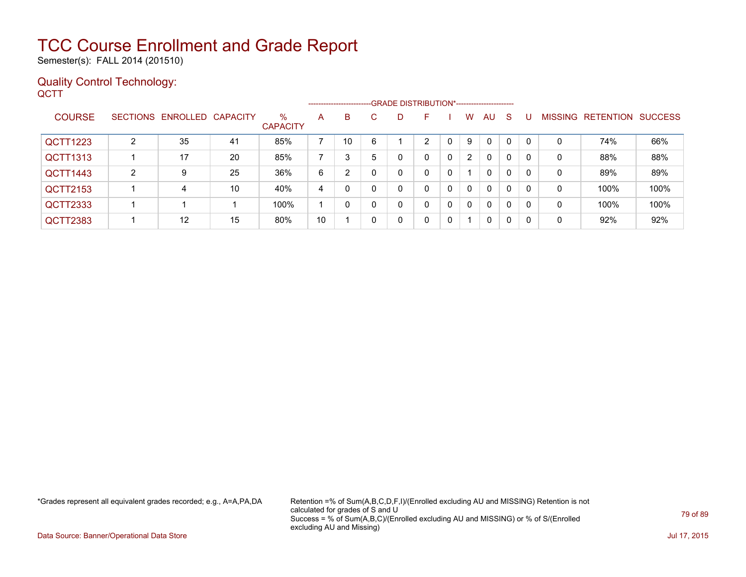Semester(s): FALL 2014 (201510)

#### Quality Control Technology: **QCTT**

|                 |   |                            |    |                         |    |    |   |    | ------------------------GRADE                DISTRIBUTION*---------------------- |   |              |              |   |          |                |                          |      |
|-----------------|---|----------------------------|----|-------------------------|----|----|---|----|----------------------------------------------------------------------------------|---|--------------|--------------|---|----------|----------------|--------------------------|------|
| <b>COURSE</b>   |   | SECTIONS ENROLLED CAPACITY |    | $\%$<br><b>CAPACITY</b> | A  | B  |   | D. | F                                                                                |   | W            | AU           | S |          | <b>MISSING</b> | <b>RETENTION SUCCESS</b> |      |
| QCTT1223        |   | 35                         | 41 | 85%                     |    | 10 | 6 |    | っ                                                                                |   | 9            | $\Omega$     | 0 |          | 0              | 74%                      | 66%  |
| QCTT1313        |   | 17                         | 20 | 85%                     |    | 3  | 5 |    | 0                                                                                | 0 | $\mathbf{2}$ | $\Omega$     | 0 | $\Omega$ | 0              | 88%                      | 88%  |
| <b>QCTT1443</b> | 2 | 9                          | 25 | 36%                     | 6  | 2  |   |    | 0                                                                                | 0 |              | $\mathbf{0}$ | 0 | $\Omega$ | 0              | 89%                      | 89%  |
| QCTT2153        |   | 4                          | 10 | 40%                     | 4  | 0  |   |    | 0                                                                                | 0 | 0            | $\Omega$     | 0 | $\Omega$ | 0              | 100%                     | 100% |
| QCTT2333        |   |                            |    | 100%                    |    | 0  |   |    | 0                                                                                | 0 | 0            | $\mathbf{0}$ | 0 | $\Omega$ | 0              | 100%                     | 100% |
| <b>QCTT2383</b> |   | 12                         | 15 | 80%                     | 10 |    |   |    | 0                                                                                | 0 |              | $\Omega$     | 0 | 0        | 0              | 92%                      | 92%  |

\*Grades represent all equivalent grades recorded; e.g., A=A,PA,DA Retention =% of Sum(A,B,C,D,F,I)/(Enrolled excluding AU and MISSING) Retention is not calculated for grades of S and U Success = % of Sum(A,B,C)/(Enrolled excluding AU and MISSING) or % of S/(Enrolled excluding AU and Missing)

Data Source: Banner/Operational Data Store Jul 17, 2015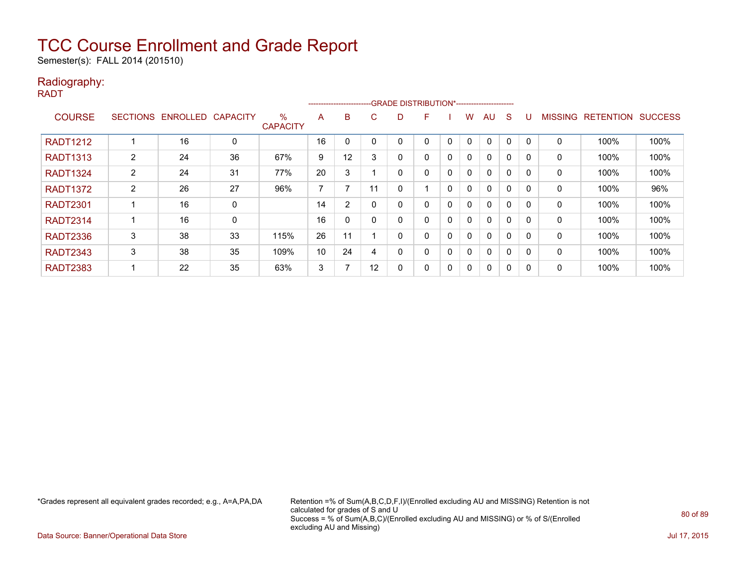Semester(s): FALL 2014 (201510)

#### Radiography:

RADT

|                 |                 |          |                 |                      |                |    |    |   | -------------------------GRADE DISTRIBUTION*----------------------- |   |              |              |              |          |                |                  |                |
|-----------------|-----------------|----------|-----------------|----------------------|----------------|----|----|---|---------------------------------------------------------------------|---|--------------|--------------|--------------|----------|----------------|------------------|----------------|
| <b>COURSE</b>   | <b>SECTIONS</b> | ENROLLED | <b>CAPACITY</b> | %<br><b>CAPACITY</b> | A              | B  | C. | D | F                                                                   |   | w            | AU           | S            |          | <b>MISSING</b> | <b>RETENTION</b> | <b>SUCCESS</b> |
| <b>RADT1212</b> |                 | 16       | 0               |                      | 16             |    |    |   | 0                                                                   | 0 | 0            | $\mathbf{0}$ | 0            |          | 0              | 100%             | 100%           |
| <b>RADT1313</b> | $\overline{2}$  | 24       | 36              | 67%                  | 9              | 12 | 3  |   | 0                                                                   | 0 | $\mathbf{0}$ | $\Omega$     | $\mathbf{0}$ |          | 0              | 100%             | 100%           |
| <b>RADT1324</b> | 2               | 24       | 31              | 77%                  | 20             | 3  |    |   | 0                                                                   | 0 | $\mathbf{0}$ | $\mathbf{0}$ | 0            | 0        | $\mathbf 0$    | 100%             | 100%           |
| <b>RADT1372</b> | $\overline{2}$  | 26       | 27              | 96%                  | $\overline{ }$ |    | 11 |   |                                                                     | 0 | $\mathbf{0}$ | $\mathbf{0}$ | 0            | $\Omega$ | 0              | 100%             | 96%            |
| <b>RADT2301</b> |                 | 16       | 0               |                      | 14             | 2  |    |   | 0                                                                   | 0 | 0            | $\mathbf{0}$ | 0            | $\Omega$ | 0              | 100%             | 100%           |
| <b>RADT2314</b> |                 | 16       | 0               |                      | 16             | 0  |    |   | 0                                                                   | 0 | 0            | $\mathbf{0}$ | 0            |          | 0              | 100%             | 100%           |
| <b>RADT2336</b> | 3               | 38       | 33              | 115%                 | 26             | 11 |    |   | 0                                                                   | 0 | $\mathbf{0}$ | $\mathbf{0}$ | 0            | $\Omega$ | $\Omega$       | 100%             | 100%           |
| <b>RADT2343</b> | 3               | 38       | 35              | 109%                 | 10             | 24 | 4  |   | 0                                                                   | 0 | 0            | $\mathbf{0}$ | 0            | $\Omega$ | 0              | 100%             | 100%           |
| <b>RADT2383</b> |                 | 22       | 35              | 63%                  | 3              |    | 12 |   | 0                                                                   | 0 | 0            | 0            | 0            | $\Omega$ | 0              | 100%             | 100%           |

\*Grades represent all equivalent grades recorded; e.g., A=A,PA,DA Retention =% of Sum(A,B,C,D,F,I)/(Enrolled excluding AU and MISSING) Retention is not calculated for grades of S and U Success = % of Sum(A,B,C)/(Enrolled excluding AU and MISSING) or % of S/(Enrolled excluding AU and Missing)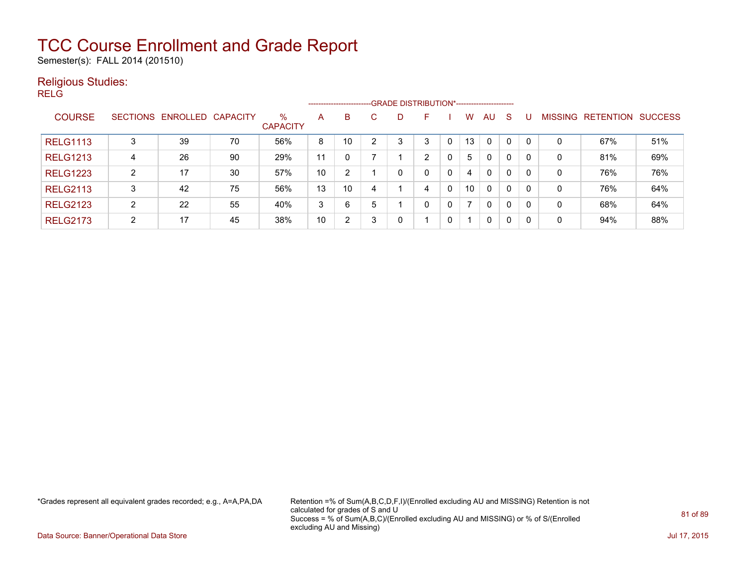Semester(s): FALL 2014 (201510)

#### Religious Studies:

RELG

|                 |                |                            |    |                         |    | ------------------------- |    |   | -GRADE DISTRIBUTION*----------------------- |              |    |              |              |     |                |                  |                |
|-----------------|----------------|----------------------------|----|-------------------------|----|---------------------------|----|---|---------------------------------------------|--------------|----|--------------|--------------|-----|----------------|------------------|----------------|
| <b>COURSE</b>   |                | SECTIONS ENROLLED CAPACITY |    | $\%$<br><b>CAPACITY</b> | A  | B                         | C. | D | F                                           |              | W  | AU           | <sub>S</sub> |     | <b>MISSING</b> | <b>RETENTION</b> | <b>SUCCESS</b> |
| <b>RELG1113</b> | 3              | 39                         | 70 | 56%                     | 8  | 10                        | ົ  | 3 | 3                                           |              | 13 | 0            | 0            |     | 0              | 67%              | 51%            |
| <b>RELG1213</b> | 4              | 26                         | 90 | 29%                     | 11 |                           |    |   | C.                                          | 0            | 5  | $\mathbf{0}$ | 0            | 0   | 0              | 81%              | 69%            |
| <b>RELG1223</b> | $\overline{2}$ | 17                         | 30 | 57%                     | 10 | $\overline{2}$            |    | 0 | 0                                           | 0            | 4  | $\mathbf{0}$ | 0            | - 0 | 0              | 76%              | 76%            |
| <b>RELG2113</b> | 3              | 42                         | 75 | 56%                     | 13 | 10                        |    |   | 4                                           | $\mathbf{0}$ | 10 | $\mathbf{0}$ | 0            | 0   | 0              | 76%              | 64%            |
| <b>RELG2123</b> | 2              | 22                         | 55 | 40%                     | 3  | 6                         | 5  |   | 0                                           | 0            | ⇁  | $\mathbf{0}$ | 0            | -0  | 0              | 68%              | 64%            |
| <b>RELG2173</b> | $\overline{2}$ | 17                         | 45 | 38%                     | 10 | 2                         |    | 0 |                                             | 0            |    | 0            | 0            | -0  | 0              | 94%              | 88%            |

\*Grades represent all equivalent grades recorded; e.g., A=A,PA,DA Retention =% of Sum(A,B,C,D,F,I)/(Enrolled excluding AU and MISSING) Retention is not calculated for grades of S and U Success = % of Sum(A,B,C)/(Enrolled excluding AU and MISSING) or % of S/(Enrolled excluding AU and Missing)

Data Source: Banner/Operational Data Store Jul 17, 2015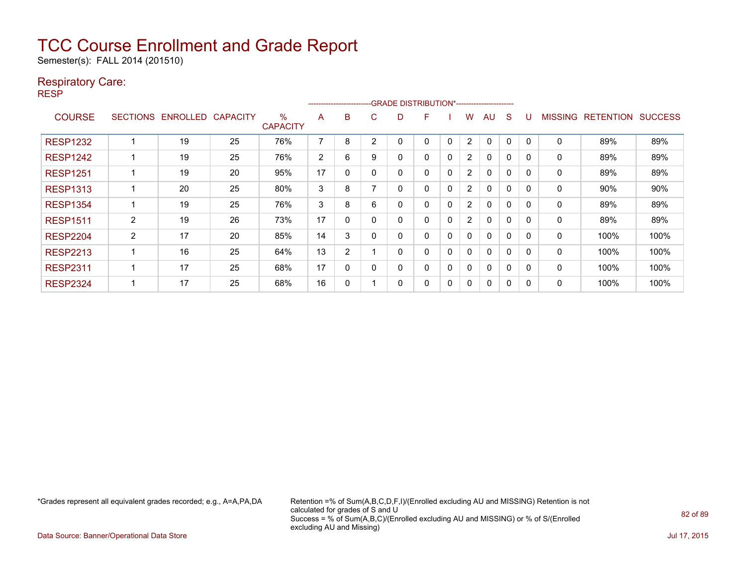Semester(s): FALL 2014 (201510)

#### Respiratory Care:

RESP

|                 |                 |                 |                 |                      |                          | ------------------------ |        | -GRADE DISTRIBUTION*----------------------- |   |              |                |          |             |              |                |                  |                |
|-----------------|-----------------|-----------------|-----------------|----------------------|--------------------------|--------------------------|--------|---------------------------------------------|---|--------------|----------------|----------|-------------|--------------|----------------|------------------|----------------|
| <b>COURSE</b>   | <b>SECTIONS</b> | <b>ENROLLED</b> | <b>CAPACITY</b> | %<br><b>CAPACITY</b> | A                        | B                        | C      | D                                           | F |              | w              | AU       | S           |              | <b>MISSING</b> | <b>RETENTION</b> | <b>SUCCESS</b> |
| <b>RESP1232</b> |                 | 19              | 25              | 76%                  | $\overline{\phantom{a}}$ | 8                        | $\sim$ |                                             | 0 | 0            | 2              |          | $\Omega$    |              | $\Omega$       | 89%              | 89%            |
| <b>RESP1242</b> |                 | 19              | 25              | 76%                  | 2                        | 6                        | 9      | 0                                           | 0 | 0            | $\overline{2}$ | 0        | $\mathbf 0$ | ∩            | 0              | 89%              | 89%            |
| <b>RESP1251</b> |                 | 19              | 20              | 95%                  | 17                       | 0                        |        | 0                                           | 0 | $\mathbf{0}$ | $\overline{2}$ | $\Omega$ | $\Omega$    | <sup>n</sup> | 0              | 89%              | 89%            |
| <b>RESP1313</b> |                 | 20              | 25              | 80%                  | 3                        | 8                        |        | 0                                           | 0 | 0            | $\overline{2}$ | 0        | $\Omega$    | ∩            | 0              | 90%              | 90%            |
| <b>RESP1354</b> |                 | 19              | 25              | 76%                  | 3                        | 8                        | 6      | 0                                           | 0 | $\Omega$     | $\overline{2}$ | 0        | $\Omega$    | <sup>0</sup> | 0              | 89%              | 89%            |
| <b>RESP1511</b> | $\overline{2}$  | 19              | 26              | 73%                  | 17                       | 0                        |        | 0                                           | 0 | $\Omega$     | $\overline{2}$ | 0        | $\Omega$    | ∩            | 0              | 89%              | 89%            |
| <b>RESP2204</b> | $\overline{2}$  | 17              | 20              | 85%                  | 14                       | 3                        |        | 0                                           | 0 | 0            | 0              | 0        | $\mathbf 0$ | O            | 0              | 100%             | 100%           |
| <b>RESP2213</b> |                 | 16              | 25              | 64%                  | 13                       | $\overline{2}$           |        | 0                                           | 0 | 0            | 0              | 0        | $\Omega$    | O            | 0              | 100%             | 100%           |
| <b>RESP2311</b> |                 | 17              | 25              | 68%                  | 17                       | 0                        |        | 0                                           | 0 | 0            | 0              | 0        | 0           | C            | 0              | 100%             | 100%           |
| <b>RESP2324</b> |                 | 17              | 25              | 68%                  | 16                       | 0                        |        | 0                                           | 0 | 0            | 0              | 0        | 0           |              | 0              | 100%             | 100%           |

\*Grades represent all equivalent grades recorded; e.g., A=A,PA,DA Retention =% of Sum(A,B,C,D,F,I)/(Enrolled excluding AU and MISSING) Retention is not calculated for grades of S and U Success = % of Sum(A,B,C)/(Enrolled excluding AU and MISSING) or % of S/(Enrolled excluding AU and Missing)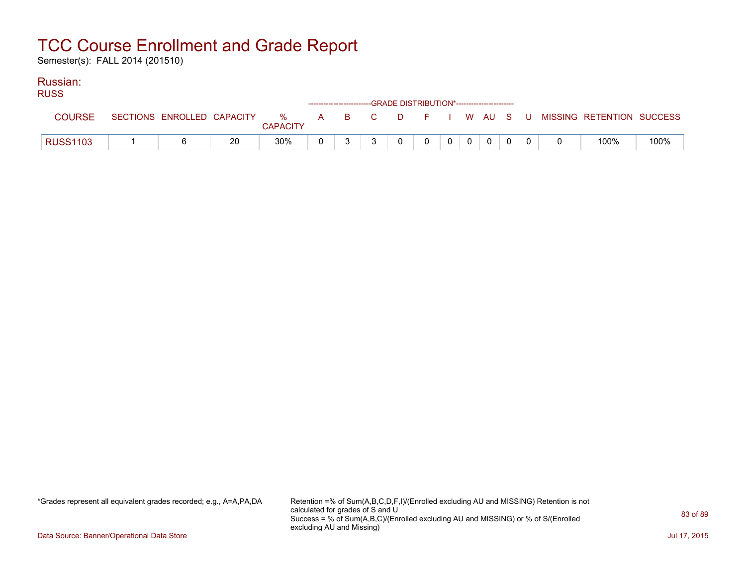Semester(s): FALL 2014 (201510)

#### Russian:

| <b>RUSS</b>     |                            |    |                 |  | ------------------------GRADE DISTRIBUTION*----------------------- |          |          |         |             |  |                                                  |      |
|-----------------|----------------------------|----|-----------------|--|--------------------------------------------------------------------|----------|----------|---------|-------------|--|--------------------------------------------------|------|
| <b>COURSE</b>   | SECTIONS ENROLLED CAPACITY |    | <b>CAPACITY</b> |  |                                                                    |          |          |         |             |  | % A B C D F I W AU S U MISSING RETENTION SUCCESS |      |
| <b>RUSS1103</b> |                            | 20 | $30\%$          |  | $\mathbf{r}$                                                       | $\Omega$ | $\Omega$ | $0$   0 | $\mathbf 0$ |  | 100%                                             | 100% |

\*Grades represent all equivalent grades recorded; e.g., A=A,PA,DA Retention =% of Sum(A,B,C,D,F,I)/(Enrolled excluding AU and MISSING) Retention is not calculated for grades of S and U Success = % of Sum(A,B,C)/(Enrolled excluding AU and MISSING) or % of S/(Enrolled excluding AU and Missing)

Data Source: Banner/Operational Data Store Jul 17, 2015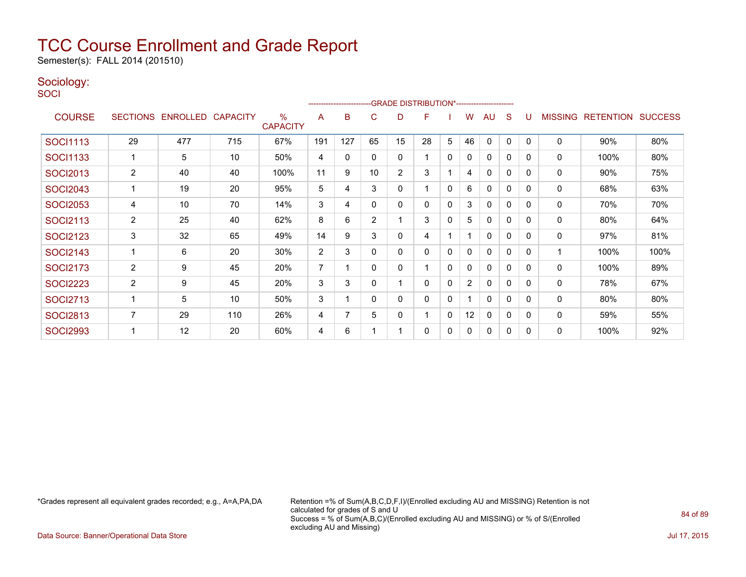Semester(s): FALL 2014 (201510)

#### Sociology:

**SOCI** 

|                 |                 | ENROLLED |                 |                                  |                | -------------------------GRADE DISTRIBUTION*----------------------- |                |    |    |   |                |              |   |          |                |                  |                |
|-----------------|-----------------|----------|-----------------|----------------------------------|----------------|---------------------------------------------------------------------|----------------|----|----|---|----------------|--------------|---|----------|----------------|------------------|----------------|
| <b>COURSE</b>   | <b>SECTIONS</b> |          | <b>CAPACITY</b> | $\frac{0}{0}$<br><b>CAPACITY</b> | A              | B                                                                   | C              | D  | F  |   | w              | AU           | S |          | <b>MISSING</b> | <b>RETENTION</b> | <b>SUCCESS</b> |
| <b>SOCI1113</b> | 29              | 477      | 715             | 67%                              | 191            | 127                                                                 | 65             | 15 | 28 | 5 | 46             | $\Omega$     | 0 | 0        | $\Omega$       | 90%              | 80%            |
| SOCI1133        |                 | 5        | 10              | 50%                              | 4              | $\mathbf{0}$                                                        | 0              | 0  |    | 0 | 0              | $\Omega$     | 0 | 0        | 0              | 100%             | 80%            |
| <b>SOCI2013</b> | $\overline{2}$  | 40       | 40              | 100%                             | 11             | 9                                                                   | 10             | 2  | 3  |   | 4              | 0            | 0 | 0        | 0              | 90%              | 75%            |
| <b>SOCI2043</b> |                 | 19       | 20              | 95%                              | 5              | 4                                                                   | 3              | 0  | 1  | 0 | 6              | $\Omega$     | 0 | 0        | 0              | 68%              | 63%            |
| <b>SOCI2053</b> | 4               | 10       | 70              | 14%                              | 3              | 4                                                                   | 0              | 0  | 0  | 0 | 3              | 0            | 0 | 0        | 0              | 70%              | 70%            |
| <b>SOCI2113</b> | $\overline{2}$  | 25       | 40              | 62%                              | 8              | 6                                                                   | $\overline{2}$ |    | 3  | 0 | 5              | 0            | 0 | 0        | 0              | 80%              | 64%            |
| <b>SOCI2123</b> | 3               | 32       | 65              | 49%                              | 14             | 9                                                                   | 3              | 0  | 4  |   |                | $\mathbf{0}$ | 0 | 0        | $\mathbf{0}$   | 97%              | 81%            |
| <b>SOCI2143</b> |                 | 6        | 20              | 30%                              | $\overline{2}$ | 3                                                                   | 0              | 0  | 0  | 0 | 0              | $\mathbf{0}$ | 0 | 0        | 1              | 100%             | 100%           |
| <b>SOCI2173</b> | $\overline{2}$  | 9        | 45              | 20%                              | 7              |                                                                     | 0              | 0  |    | 0 | 0              | $\mathbf{0}$ | 0 | 0        | $\mathbf{0}$   | 100%             | 89%            |
| <b>SOCI2223</b> | $\overline{2}$  | 9        | 45              | 20%                              | 3              | 3                                                                   | 0              |    | 0  | 0 | $\overline{2}$ | $\mathbf{0}$ | 0 | 0        | 0              | 78%              | 67%            |
| <b>SOCI2713</b> |                 | 5        | 10              | 50%                              | 3              |                                                                     | 0              | 0  | 0  | 0 |                | 0            | 0 | 0        | 0              | 80%              | 80%            |
| <b>SOCI2813</b> | $\overline{7}$  | 29       | 110             | 26%                              | 4              | 7                                                                   | 5              | 0  |    | 0 | 12             | 0            | 0 | 0        | $\mathbf 0$    | 59%              | 55%            |
| <b>SOCI2993</b> |                 | 12       | 20              | 60%                              | 4              | 6                                                                   |                |    | 0  | 0 | 0              | 0            | 0 | $\Omega$ | $\mathbf 0$    | 100%             | 92%            |

\*Grades represent all equivalent grades recorded; e.g., A=A,PA,DA Retention =% of Sum(A,B,C,D,F,I)/(Enrolled excluding AU and MISSING) Retention is not calculated for grades of S and U Success = % of Sum(A,B,C)/(Enrolled excluding AU and MISSING) or % of S/(Enrolled excluding AU and Missing)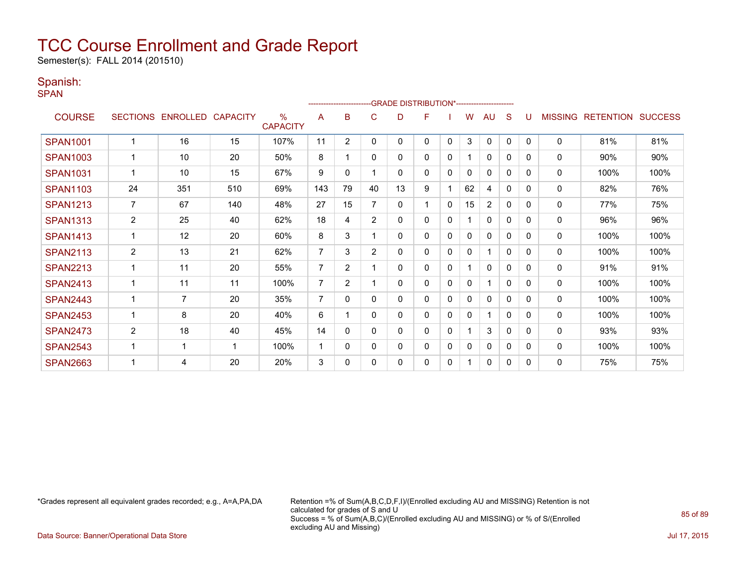Semester(s): FALL 2014 (201510)

#### Spanish:

SPAN

|                 |                | SECTIONS ENROLLED | <b>CAPACITY</b> |                                  |                | ------------------------ |                | -GRADE DISTRIBUTION*---------------------- |   |          |          |                |              |          |                |                  |                |
|-----------------|----------------|-------------------|-----------------|----------------------------------|----------------|--------------------------|----------------|--------------------------------------------|---|----------|----------|----------------|--------------|----------|----------------|------------------|----------------|
| <b>COURSE</b>   |                |                   |                 | $\frac{9}{6}$<br><b>CAPACITY</b> | A              | B                        | C              | D                                          | F |          | W        | AU             | <sub>S</sub> |          | <b>MISSING</b> | <b>RETENTION</b> | <b>SUCCESS</b> |
| <b>SPAN1001</b> |                | 16                | 15              | 107%                             | 11             | $\overline{2}$           | 0              | 0                                          | 0 | $\Omega$ | 3        | $\mathbf 0$    | $\mathbf{0}$ | $\Omega$ | 0              | 81%              | 81%            |
| <b>SPAN1003</b> |                | 10                | 20              | 50%                              | 8              |                          | 0              | 0                                          | 0 | 0        |          | 0              | $\Omega$     | 0        | 0              | 90%              | 90%            |
| <b>SPAN1031</b> |                | 10                | 15              | 67%                              | 9              | 0                        |                | 0                                          | 0 | 0        | 0        | 0              | 0            | 0        | 0              | 100%             | 100%           |
| <b>SPAN1103</b> | 24             | 351               | 510             | 69%                              | 143            | 79                       | 40             | 13                                         | 9 |          | 62       | 4              | $\Omega$     | 0        | $\mathbf{0}$   | 82%              | 76%            |
| <b>SPAN1213</b> | $\overline{7}$ | 67                | 140             | 48%                              | 27             | 15                       |                | 0                                          |   | $\Omega$ | 15       | $\overline{2}$ | $\Omega$     | $\Omega$ | 0              | 77%              | 75%            |
| <b>SPAN1313</b> | $\overline{2}$ | 25                | 40              | 62%                              | 18             | 4                        | $\overline{2}$ | 0                                          | 0 | 0        |          | 0              | $\mathbf{0}$ | 0        | 0              | 96%              | 96%            |
| <b>SPAN1413</b> |                | 12                | 20              | 60%                              | 8              | 3                        |                | 0                                          | 0 | 0        | 0        | $\mathbf{0}$   | 0            | 0        | 0              | 100%             | 100%           |
| <b>SPAN2113</b> | $\overline{2}$ | 13                | 21              | 62%                              | $\overline{7}$ | 3                        | $\overline{2}$ | 0                                          | 0 | $\Omega$ | 0        |                | $\Omega$     | 0        | 0              | 100%             | 100%           |
| <b>SPAN2213</b> |                | 11                | 20              | 55%                              | 7              | $\overline{2}$           |                | 0                                          | 0 | 0        |          | 0              | $\Omega$     | 0        | 0              | 91%              | 91%            |
| <b>SPAN2413</b> |                | 11                | 11              | 100%                             | $\overline{7}$ | $\overline{2}$           |                | 0                                          | 0 | $\Omega$ | 0        |                | $\Omega$     | 0        | 0              | 100%             | 100%           |
| <b>SPAN2443</b> |                | 7                 | 20              | 35%                              | 7              | 0                        | 0              | 0                                          | 0 | $\Omega$ | 0        | $\Omega$       | $\Omega$     | 0        | 0              | 100%             | 100%           |
| <b>SPAN2453</b> |                | 8                 | 20              | 40%                              | 6              |                          | 0              | 0                                          | 0 | 0        | $\Omega$ |                | $\mathbf{0}$ | 0        | 0              | 100%             | 100%           |
| <b>SPAN2473</b> | $\overline{2}$ | 18                | 40              | 45%                              | 14             | 0                        | $\Omega$       | 0                                          | 0 | $\Omega$ |          | 3              | $\Omega$     | 0        | $\mathbf{0}$   | 93%              | 93%            |
| <b>SPAN2543</b> |                | 1                 |                 | 100%                             |                | 0                        | 0              | 0                                          | 0 | 0        | 0        | 0              | 0            | 0        | 0              | 100%             | 100%           |
| <b>SPAN2663</b> |                | 4                 | 20              | 20%                              | 3              | 0                        | 0              | 0                                          | 0 | 0        | 1        | 0              | 0            | 0        | 0              | 75%              | 75%            |

\*Grades represent all equivalent grades recorded; e.g., A=A,PA,DA Retention =% of Sum(A,B,C,D,F,I)/(Enrolled excluding AU and MISSING) Retention is not calculated for grades of S and U Success = % of Sum(A,B,C)/(Enrolled excluding AU and MISSING) or % of S/(Enrolled excluding AU and Missing)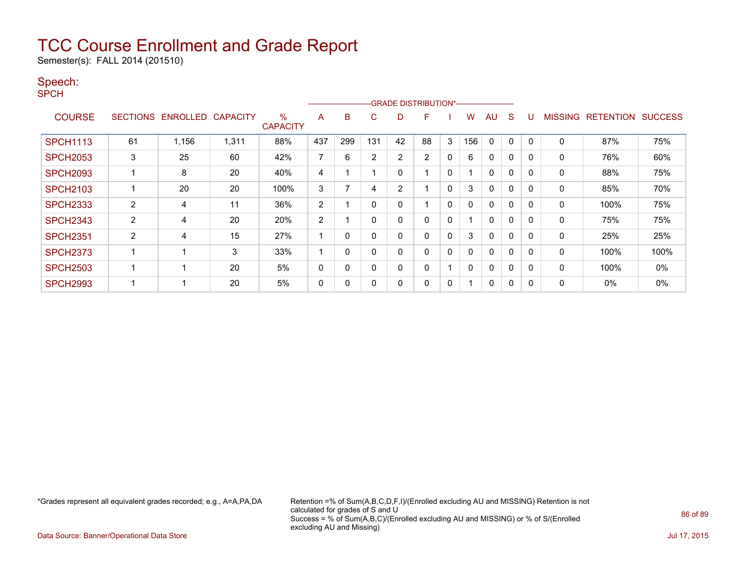Semester(s): FALL 2014 (201510)

#### Speech:

SPCH

|                 | -GRADE DISTRIBUTION*-----------------------<br>---------------------- |                            |       |                      |                |     |                |                |              |              |          |              |              |             |                |                  |                |
|-----------------|-----------------------------------------------------------------------|----------------------------|-------|----------------------|----------------|-----|----------------|----------------|--------------|--------------|----------|--------------|--------------|-------------|----------------|------------------|----------------|
| <b>COURSE</b>   |                                                                       | SECTIONS ENROLLED CAPACITY |       | %<br><b>CAPACITY</b> | A              | B   | C              | D              | F            |              | w        | AU           | S            | U           | <b>MISSING</b> | <b>RETENTION</b> | <b>SUCCESS</b> |
| <b>SPCH1113</b> | 61                                                                    | 1,156                      | 1,311 | 88%                  | 437            | 299 | 131            | 42             | 88           | 3            | 156      | $\mathbf{0}$ | $\mathbf{0}$ | 0           | $\Omega$       | 87%              | 75%            |
| <b>SPCH2053</b> | 3                                                                     | 25                         | 60    | 42%                  | 7              | 6   | $\overline{2}$ | $\overline{2}$ | 2            | $\mathbf{0}$ | 6        | $\mathbf{0}$ | 0            | 0           | $\mathbf{0}$   | 76%              | 60%            |
| <b>SPCH2093</b> |                                                                       | 8                          | 20    | 40%                  | 4              |     |                | 0              |              | 0            |          | 0            | $\mathbf{0}$ | $\mathbf 0$ | 0              | 88%              | 75%            |
| <b>SPCH2103</b> |                                                                       | 20                         | 20    | 100%                 | 3              | 7   | 4              | 2              |              | 0            | 3        | $\mathbf 0$  | $\mathbf{0}$ | 0           | 0              | 85%              | 70%            |
| <b>SPCH2333</b> | $\overline{2}$                                                        | 4                          | 11    | 36%                  | $\overline{2}$ |     | 0              | 0              |              | $\Omega$     | $\Omega$ | 0            | $\mathbf{0}$ | 0           | $\mathbf{0}$   | 100%             | 75%            |
| <b>SPCH2343</b> | $\overline{2}$                                                        | 4                          | 20    | 20%                  | 2              |     | $\Omega$       | $\Omega$       | $\mathbf{0}$ | $\Omega$     |          | $\mathbf{0}$ | $\mathbf{0}$ | $\Omega$    | $\mathbf{0}$   | 75%              | 75%            |
| <b>SPCH2351</b> | $\overline{2}$                                                        | 4                          | 15    | 27%                  | 1              | 0   | $\Omega$       | $\Omega$       | $\Omega$     | 0            | 3        | $\mathbf{0}$ | $\mathbf{0}$ | 0           | 0              | 25%              | 25%            |
| <b>SPCH2373</b> |                                                                       |                            | 3     | 33%                  | 1              | 0   | 0              | 0              | $\Omega$     | $\mathbf{0}$ | 0        | $\mathbf{0}$ | 0            | 0           | 0              | 100%             | 100%           |
| <b>SPCH2503</b> |                                                                       |                            | 20    | 5%                   | 0              | 0   | $\Omega$       | $\Omega$       | 0            |              | 0        | $\mathbf{0}$ | 0            | 0           | 0              | 100%             | 0%             |
| <b>SPCH2993</b> |                                                                       |                            | 20    | 5%                   | 0              | 0   | 0              | 0              | 0            | 0            |          | 0            | 0            | 0           | 0              | 0%               | 0%             |

\*Grades represent all equivalent grades recorded; e.g., A=A,PA,DA Retention =% of Sum(A,B,C,D,F,I)/(Enrolled excluding AU and MISSING) Retention is not calculated for grades of S and U Success = % of Sum(A,B,C)/(Enrolled excluding AU and MISSING) or % of S/(Enrolled excluding AU and Missing)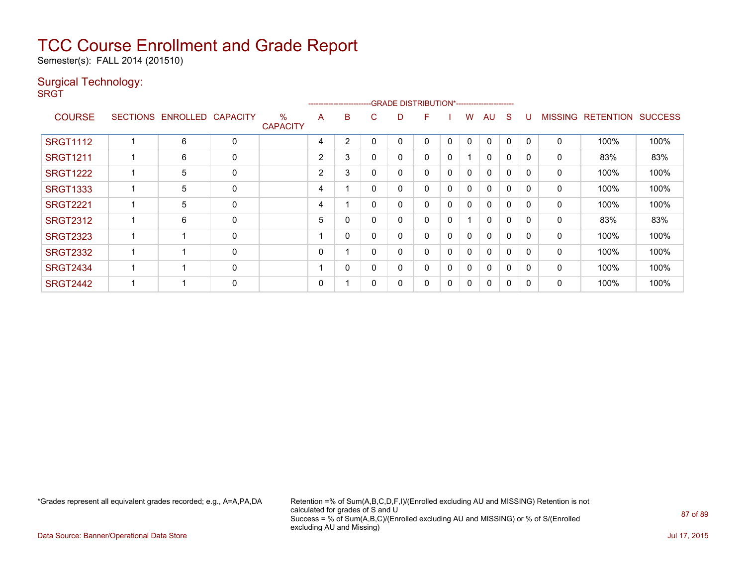Semester(s): FALL 2014 (201510)

#### Surgical Technology:

**SRGT** 

|                 | -------------------------GRADE                DISTRIBUTION*---------------------- |                 |                 |                         |                |              |          |   |   |              |              |              |              |              |                |                  |                |
|-----------------|-----------------------------------------------------------------------------------|-----------------|-----------------|-------------------------|----------------|--------------|----------|---|---|--------------|--------------|--------------|--------------|--------------|----------------|------------------|----------------|
| <b>COURSE</b>   | <b>SECTIONS</b>                                                                   | <b>ENROLLED</b> | <b>CAPACITY</b> | $\%$<br><b>CAPACITY</b> | A              | B            | C        | D | F |              | W            | AU           | S            | υ            | <b>MISSING</b> | <b>RETENTION</b> | <b>SUCCESS</b> |
| <b>SRGT1112</b> |                                                                                   | 6               | 0               |                         | 4              | 2            | 0        | 0 | 0 | $\mathbf{0}$ | $\mathbf{0}$ | $\mathbf{0}$ | $\mathbf{0}$ | $\Omega$     | 0              | 100%             | 100%           |
| <b>SRGT1211</b> |                                                                                   | 6               | 0               |                         | $\overline{2}$ | 3            | 0        | 0 | 0 | 0            |              | 0            | $\mathbf{0}$ | $\Omega$     | 0              | 83%              | 83%            |
| <b>SRGT1222</b> |                                                                                   | 5               | 0               |                         | 2              | 3            |          | 0 | 0 | 0            | $\mathbf{0}$ | $\mathbf{0}$ | $\mathbf 0$  | $\Omega$     | 0              | 100%             | 100%           |
| <b>SRGT1333</b> |                                                                                   | 5               | 0               |                         | 4              |              |          | 0 | 0 | $\Omega$     | $\mathbf{0}$ | $\mathbf{0}$ | $\mathbf 0$  | $\Omega$     | 0              | 100%             | 100%           |
| <b>SRGT2221</b> |                                                                                   | 5               | 0               |                         | 4              |              |          | 0 | 0 | 0            | 0            | 0            | $\mathbf 0$  | $\Omega$     | 0              | 100%             | 100%           |
| <b>SRGT2312</b> |                                                                                   | 6               | 0               |                         | 5              | 0            |          | 0 | 0 | $\mathbf{0}$ |              | $\Omega$     | $\Omega$     | $\Omega$     | 0              | 83%              | 83%            |
| <b>SRGT2323</b> |                                                                                   |                 | 0               |                         |                | $\Omega$     |          | 0 | 0 | $\mathbf{0}$ | $\mathbf{0}$ | $\mathbf{0}$ | $\Omega$     | $\Omega$     | 0              | 100%             | 100%           |
| <b>SRGT2332</b> |                                                                                   |                 | 0               |                         | 0              |              | $\Omega$ | 0 | 0 | $\mathbf{0}$ | 0            | $\mathbf{0}$ | $\Omega$     | $\Omega$     | 0              | 100%             | 100%           |
| <b>SRGT2434</b> |                                                                                   |                 | 0               |                         |                | $\mathbf{0}$ |          | 0 | 0 | $\mathbf{0}$ | $\Omega$     | $\Omega$     | $\Omega$     | <sup>0</sup> | 0              | 100%             | 100%           |
| <b>SRGT2442</b> |                                                                                   |                 | 0               |                         | 0              |              |          | 0 | 0 | $\Omega$     | $\mathbf 0$  | $\mathbf{0}$ | 0            | ∩            | 0              | 100%             | 100%           |

\*Grades represent all equivalent grades recorded; e.g., A=A,PA,DA Retention =% of Sum(A,B,C,D,F,I)/(Enrolled excluding AU and MISSING) Retention is not calculated for grades of S and U Success = % of Sum(A,B,C)/(Enrolled excluding AU and MISSING) or % of S/(Enrolled excluding AU and Missing)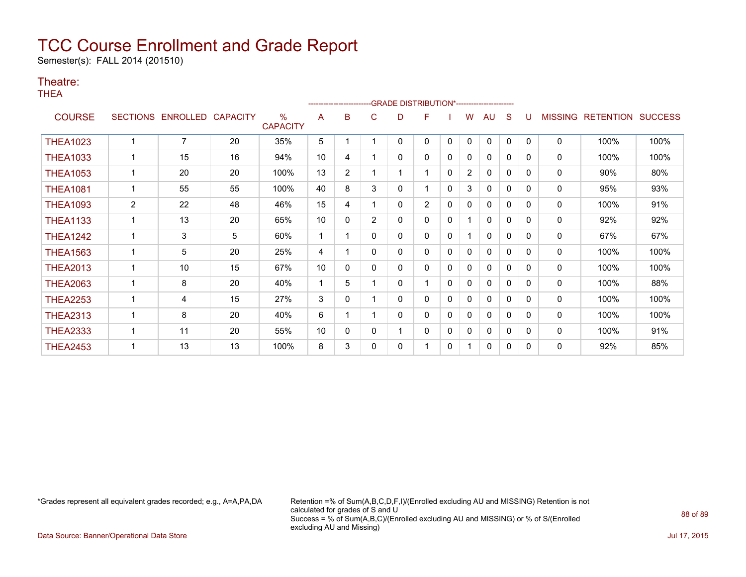Semester(s): FALL 2014 (201510)

#### Theatre:

THEA

|                 |                      |                   |                 |                                  |    |                |                | ------------------------GRADE                DISTRIBUTION*---------------------- |                |              |                |              |              |              |                |                  |                |
|-----------------|----------------------|-------------------|-----------------|----------------------------------|----|----------------|----------------|----------------------------------------------------------------------------------|----------------|--------------|----------------|--------------|--------------|--------------|----------------|------------------|----------------|
| <b>COURSE</b>   |                      | SECTIONS ENROLLED | <b>CAPACITY</b> | $\frac{0}{0}$<br><b>CAPACITY</b> | A  | в              | С              | D                                                                                | F              |              | W              | AU           | <sub>S</sub> |              | <b>MISSING</b> | <b>RETENTION</b> | <b>SUCCESS</b> |
| <b>THEA1023</b> |                      | 7                 | 20              | 35%                              | 5  |                |                | 0                                                                                | 0              | 0            | 0              | $\mathbf{0}$ | $\mathbf{0}$ | $\mathbf{0}$ | $\mathbf 0$    | 100%             | 100%           |
| <b>THEA1033</b> |                      | 15                | 16              | 94%                              | 10 | 4              |                | 0                                                                                | 0              | 0            | 0              | 0            | $\Omega$     | 0            | $\mathbf 0$    | 100%             | 100%           |
| <b>THEA1053</b> | $\mathbf{1}$         | 20                | 20              | 100%                             | 13 | $\overline{2}$ |                |                                                                                  |                | $\Omega$     | $\overline{2}$ | $\mathbf{0}$ | $\Omega$     | 0            | 0              | 90%              | 80%            |
| <b>THEA1081</b> |                      | 55                | 55              | 100%                             | 40 | 8              | 3              | 0                                                                                |                | 0            | 3              | 0            | 0            | 0            | $\mathbf 0$    | 95%              | 93%            |
| <b>THEA1093</b> | $\overline{2}$       | 22                | 48              | 46%                              | 15 | 4              |                | 0                                                                                | $\overline{2}$ | $\Omega$     | 0              | 0            | $\Omega$     | 0            | $\mathbf 0$    | 100%             | 91%            |
| <b>THEA1133</b> | 1                    | 13                | 20              | 65%                              | 10 | 0              | $\overline{2}$ | 0                                                                                | 0              | 0            | 1              | 0            | 0            | 0            | 0              | 92%              | 92%            |
| <b>THEA1242</b> | $\blacktriangleleft$ | 3                 | 5               | 60%                              | 1  |                | 0              | 0                                                                                | 0              | 0            | 1              | $\Omega$     | 0            | 0            | $\mathbf 0$    | 67%              | 67%            |
| <b>THEA1563</b> | 1                    | 5                 | 20              | 25%                              | 4  |                | 0              | 0                                                                                | 0              | 0            | 0              | $\Omega$     | $\Omega$     | 0            | 0              | 100%             | 100%           |
| <b>THEA2013</b> |                      | 10                | 15              | 67%                              | 10 | $\mathbf{0}$   | $\Omega$       | 0                                                                                | 0              | $\mathbf{0}$ | 0              | $\mathbf{0}$ | $\Omega$     | 0            | 0              | 100%             | 100%           |
| <b>THEA2063</b> | 1                    | 8                 | 20              | 40%                              |    | 5              |                | 0                                                                                |                | 0            | 0              | $\mathbf{0}$ | 0            | 0            | 0              | 100%             | 88%            |
| <b>THEA2253</b> |                      | 4                 | 15              | 27%                              | 3  | 0              |                | 0                                                                                | 0              | 0            | 0              | 0            | $\mathbf{0}$ | 0            | $\mathbf 0$    | 100%             | 100%           |
| <b>THEA2313</b> | 1                    | 8                 | 20              | 40%                              | 6  |                |                | 0                                                                                | 0              | 0            | 0              | 0            | $\Omega$     | 0            | 0              | 100%             | 100%           |
| <b>THEA2333</b> | $\mathbf 1$          | 11                | 20              | 55%                              | 10 | $\mathbf{0}$   | 0              |                                                                                  | 0              | 0            | 0              | 0            | $\mathbf{0}$ | 0            | 0              | 100%             | 91%            |
| <b>THEA2453</b> |                      | 13                | 13              | 100%                             | 8  | 3              | 0              | 0                                                                                | 1              | 0            | 1              | 0            | 0            | 0            | $\mathbf 0$    | 92%              | 85%            |

\*Grades represent all equivalent grades recorded; e.g., A=A,PA,DA Retention =% of Sum(A,B,C,D,F,I)/(Enrolled excluding AU and MISSING) Retention is not calculated for grades of S and U Success = % of Sum(A,B,C)/(Enrolled excluding AU and MISSING) or % of S/(Enrolled excluding AU and Missing)

Data Source: Banner/Operational Data Store Jul 17, 2015